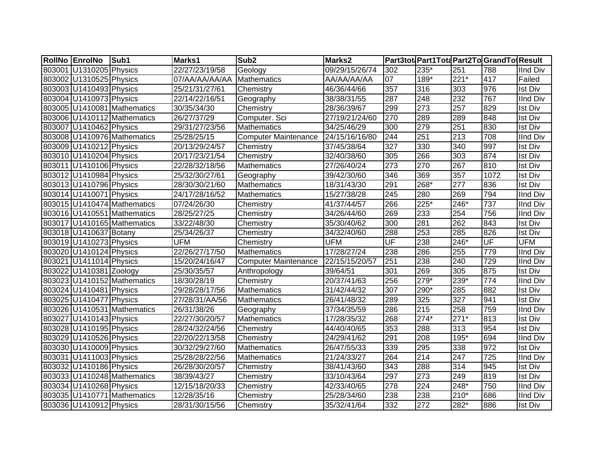| RollNo EnrolNo          | Sub1                        | <b>Marks1</b>  | Sub <sub>2</sub>            | Marks2         |                          |        |                  | Part3tot Part1Tota Part2To GrandTo Result |                 |
|-------------------------|-----------------------------|----------------|-----------------------------|----------------|--------------------------|--------|------------------|-------------------------------------------|-----------------|
| 803001 U1310205 Physics |                             | 22/27/23/19/58 | Geology                     | 09/29/15/26/74 | 302                      | 235*   | 251              | 788                                       | <b>IInd Div</b> |
| 803002 U1310525 Physics |                             | 07/AA/AA/AA/AA | Mathematics                 | AA/AA/AA/AA    | 07                       | 189*   | $221*$           | 417                                       | Failed          |
| 803003 U1410493 Physics |                             | 25/21/31/27/61 | Chemistry                   | 46/36/44/66    | 357                      | 316    | 303              | 976                                       | <b>Ist Div</b>  |
| 803004 U1410973 Physics |                             | 22/14/22/16/51 | Geography                   | 38/38/31/55    | 287                      | 248    | 232              | 767                                       | <b>IInd Div</b> |
|                         | 803005 U1410081 Mathematics | 30/35/34/30    | Chemistry                   | 28/36/39/67    | 299                      | 273    | 257              | 829                                       | <b>Ist Div</b>  |
|                         | 803006 U1410112 Mathematics | 26/27/37/29    | Computer. Sci               | 27/19/21/24/60 | 270                      | 289    | 289              | 848                                       | <b>Ist Div</b>  |
| 803007 U1410462 Physics |                             | 29/31/27/23/56 | <b>Mathematics</b>          | 34/25/46/29    | 300                      | 279    | 251              | 830                                       | <b>Ist Div</b>  |
|                         | 803008 U1410976 Mathematics | 25/28/25/15    | <b>Computer Maintenance</b> | 24/15/16/16/80 | 244                      | 251    | 213              | 708                                       | <b>IInd Div</b> |
| 803009 U1410212 Physics |                             | 20/13/29/24/57 | Chemistry                   | 37/45/38/64    | 327                      | 330    | 340              | 997                                       | <b>Ist Div</b>  |
| 803010 U1410204 Physics |                             | 20/17/23/21/54 | Chemistry                   | 32/40/38/60    | 305                      | 266    | 303              | 874                                       | <b>Ist Div</b>  |
| 803011 U1410106 Physics |                             | 22/28/32/18/56 | <b>Mathematics</b>          | 27/26/40/24    | 273                      | 270    | 267              | 810                                       | <b>Ist Div</b>  |
| 803012 U1410984 Physics |                             | 25/32/30/27/61 | Geography                   | 39/42/30/60    | 346                      | 369    | 357              | 1072                                      | <b>Ist Div</b>  |
| 803013 U1410796 Physics |                             | 28/30/30/21/60 | Mathematics                 | 18/31/43/30    | 291                      | 268*   | 277              | 836                                       | <b>Ist Div</b>  |
| 803014 U1410071 Physics |                             | 24/17/28/16/52 | Mathematics                 | 15/27/38/28    | 245                      | 280    | 269              | 794                                       | <b>IInd Div</b> |
|                         | 803015 U1410474 Mathematics | 07/24/26/30    | Chemistry                   | 41/37/44/57    | 266                      | $225*$ | 246*             | 737                                       | <b>IInd Div</b> |
|                         | 803016 U1410551 Mathematics | 28/25/27/25    | Chemistry                   | 34/26/44/60    | 269                      | 233    | 254              | 756                                       | <b>IInd Div</b> |
|                         | 803017 U1410165 Mathematics | 33/22/48/30    | Chemistry                   | 35/30/40/62    | 300                      | 281    | 262              | 843                                       | <b>Ist Div</b>  |
| 803018 U1410637 Botany  |                             | 25/34/26/37    | Chemistry                   | 34/32/40/60    | 288                      | 253    | 285              | 826                                       | <b>Ist Div</b>  |
| 803019 U1410273 Physics |                             | <b>UFM</b>     | Chemistry                   | <b>UFM</b>     | $\overline{\mathsf{UF}}$ | 238    | 246*             | UF                                        | <b>UFM</b>      |
| 803020 U1410124 Physics |                             | 22/26/27/17/50 | Mathematics                 | 17/28/27/24    | 238                      | 286    | 255              | 779                                       | <b>IInd Div</b> |
| 803021 U1411014 Physics |                             | 15/20/24/16/47 | <b>Computer Maintenance</b> | 22/15/15/20/57 | 251                      | 238    | 240              | $\overline{729}$                          | <b>IInd Div</b> |
| 803022 U1410381 Zoology |                             | 25/30/35/57    | Anthropology                | 39/64/51       | 301                      | 269    | $\overline{305}$ | 875                                       | <b>Ist Div</b>  |
|                         | 803023 U1410152 Mathematics | 18/30/28/19    | Chemistry                   | 20/37/41/63    | 256                      | $279*$ | 239*             | 774                                       | <b>IInd Div</b> |
| 803024 U1410481 Physics |                             | 29/28/28/17/56 | <b>Mathematics</b>          | 31/42/44/32    | 307                      | 290*   | 285              | 882                                       | <b>Ist Div</b>  |
| 803025 U1410477 Physics |                             | 27/28/31/AA/56 | Mathematics                 | 26/41/48/32    | 289                      | 325    | 327              | 941                                       | <b>Ist Div</b>  |
|                         | 803026 U1410531 Mathematics | 26/31/38/26    | Geography                   | 37/34/35/59    | 286                      | 215    | 258              | 759                                       | <b>IInd Div</b> |
| 803027 U1410143 Physics |                             | 22/27/30/20/57 | <b>Mathematics</b>          | 17/28/35/32    | 268                      | $274*$ | $271*$           | 813                                       | <b>Ist Div</b>  |
| 803028 U1410195 Physics |                             | 28/24/32/24/56 | Chemistry                   | 44/40/40/65    | 353                      | 288    | 313              | 954                                       | <b>Ist Div</b>  |
| 803029 U1410526 Physics |                             | 22/20/22/13/58 | Chemistry                   | 24/29/41/62    | 291                      | 208    | $195*$           | 694                                       | <b>IInd Div</b> |
| 803030 U1410009 Physics |                             | 30/32/29/27/60 | <b>Mathematics</b>          | 26/47/55/33    | 339                      | 295    | 338              | 972                                       | <b>Ist Div</b>  |
| 803031 U1411003 Physics |                             | 25/28/28/22/56 | <b>Mathematics</b>          | 21/24/33/27    | 264                      | 214    | 247              | 725                                       | <b>IInd Div</b> |
| 803032 U1410186 Physics |                             | 26/28/30/20/57 | Chemistry                   | 38/41/43/60    | 343                      | 288    | 314              | 945                                       | <b>Ist Div</b>  |
|                         | 803033 U1410248 Mathematics | 38/39/43/27    | Chemistry                   | 33/10/43/64    | 297                      | 273    | 249              | 819                                       | <b>Ist Div</b>  |
| 803034 U1410268 Physics |                             | 12/15/18/20/33 | Chemistry                   | 42/33/40/65    | 278                      | 224    | 248*             | 750                                       | <b>IInd Div</b> |
|                         | 803035 U1410771 Mathematics | 12/28/35/16    | Chemistry                   | 25/28/34/60    | 238                      | 238    | $210*$           | 686                                       | <b>IInd Div</b> |
| 803036 U1410912 Physics |                             | 28/31/30/15/56 | Chemistry                   | 35/32/41/64    | 332                      | 272    | 282*             | 886                                       | <b>Ist Div</b>  |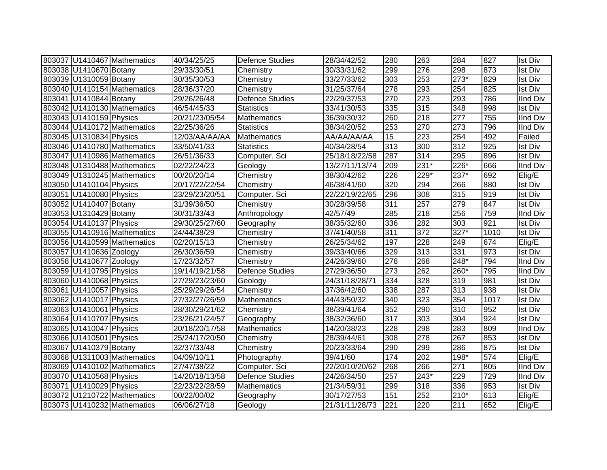|                         | 803037 U1410467 Mathematics | 40/34/25/25    | <b>Defence Studies</b> | 28/34/42/52    | 280              | 263              | 284              | 827  | <b>Ist Div</b>  |
|-------------------------|-----------------------------|----------------|------------------------|----------------|------------------|------------------|------------------|------|-----------------|
| 803038 U1410670 Botany  |                             | 29/33/30/51    | Chemistry              | 30/33/31/62    | 299              | 276              | 298              | 873  | <b>Ist Div</b>  |
| 803039 U1310059 Botany  |                             | 30/35/30/53    | Chemistry              | 33/27/33/62    | $\overline{303}$ | 253              | $273*$           | 829  | <b>Ist Div</b>  |
|                         | 803040 U1410154 Mathematics | 28/36/37/20    | Chemistry              | 31/25/37/64    | 278              | 293              | 254              | 825  | <b>Ist Div</b>  |
| 803041 U1410844 Botany  |                             | 29/26/26/48    | Defence Studies        | 22/29/37/53    | 270              | $\overline{223}$ | 293              | 786  | <b>IInd Div</b> |
|                         | 803042 U1410130 Mathematics | 46/54/45/33    | <b>Statistics</b>      | 33/41/30/53    | 335              | 315              | 348              | 998  | <b>Ist Div</b>  |
| 803043 U1410159 Physics |                             | 20/21/23/05/54 | <b>Mathematics</b>     | 36/39/30/32    | 260              | 218              | $\overline{277}$ | 755  | <b>IInd Div</b> |
|                         | 803044 U1410172 Mathematics | 22/25/36/26    | <b>Statistics</b>      | 38/34/20/52    | 253              | 270              | $\overline{273}$ | 796  | <b>IInd Div</b> |
| 803045 U1310834 Physics |                             | 12/03/AA/AA/AA | Mathematics            | AA/AA/AA/AA    | $\overline{15}$  | $\overline{223}$ | 254              | 492  | Failed          |
|                         | 803046 U1410780 Mathematics | 33/50/41/33    | <b>Statistics</b>      | 40/34/28/54    | 313              | 300              | 312              | 925  | <b>Ist Div</b>  |
|                         | 803047 U1410986 Mathematics | 26/51/36/33    | Computer. Sci          | 25/18/18/22/58 | 287              | 314              | 295              | 896  | <b>Ist Div</b>  |
|                         | 803048 U1310488 Mathematics | 02/22/24/23    | Geology                | 13/27/11/13/74 | 209              | $231*$           | 226*             | 666  | IInd Div        |
|                         | 803049 U1310245 Mathematics | 00/20/20/14    | Chemistry              | 38/30/42/62    | 226              | 229*             | 237*             | 692  | Elig/E          |
| 803050 U1410104 Physics |                             | 20/17/22/22/54 | Chemistry              | 46/38/41/60    | 320              | 294              | 266              | 880  | <b>Ist Div</b>  |
| 803051 U1410080 Physics |                             | 23/29/23/20/51 | Computer. Sci          | 22/22/19/22/65 | 296              | 308              | 315              | 919  | <b>Ist Div</b>  |
| 803052 U1410407 Botany  |                             | 31/39/36/50    | Chemistry              | 30/28/39/58    | 311              | 257              | 279              | 847  | <b>Ist Div</b>  |
| 803053 U1310429 Botany  |                             | 30/31/33/43    | Anthropology           | 42/57/49       | 285              | 218              | 256              | 759  | <b>IInd Div</b> |
| 803054 U1410137 Physics |                             | 29/30/25/27/60 | Geography              | 38/35/32/60    | 336              | 282              | 303              | 921  | <b>Ist Div</b>  |
|                         | 803055 U1410916 Mathematics | 24/44/38/29    | Chemistry              | 37/41/40/58    | 311              | 372              | $327*$           | 1010 | <b>Ist Div</b>  |
|                         | 803056 U1410599 Mathematics | 02/20/15/13    | Chemistry              | 26/25/34/62    | 197              | 228              | 249              | 674  | Elig/E          |
| 803057 U1410636 Zoology |                             | 26/30/36/59    | Chemistry              | 39/33/40/66    | 329              | 313              | 331              | 973  | <b>Ist Div</b>  |
| 803058 U1410677 Zoology |                             | 17/23/32/57    | Chemistry              | 24/26/39/60    | 278              | 268              | 248*             | 794  | <b>IInd Div</b> |
| 803059 U1410795 Physics |                             | 19/14/19/21/58 | <b>Defence Studies</b> | 27/29/36/50    | 273              | 262              | 260*             | 795  | <b>IInd Div</b> |
| 803060 U1410068 Physics |                             | 27/29/23/23/60 | Geology                | 24/31/18/28/71 | 334              | 328              | 319              | 981  | <b>Ist Div</b>  |
| 803061 U1410057 Physics |                             | 25/29/29/26/54 | Chemistry              | 37/36/42/60    | 338              | 287              | 313              | 938  | <b>Ist Div</b>  |
| 803062 U1410017 Physics |                             | 27/32/27/26/59 | <b>Mathematics</b>     | 44/43/50/32    | 340              | 323              | 354              | 1017 | <b>Ist Div</b>  |
| 803063 U1410061 Physics |                             | 28/30/29/21/62 | Chemistry              | 38/39/41/64    | 352              | 290              | 310              | 952  | <b>Ist Div</b>  |
| 803064 U1410707 Physics |                             | 23/26/21/24/57 | Geography              | 38/32/36/60    | 317              | 303              | 304              | 924  | <b>Ist Div</b>  |
| 803065 U1410047 Physics |                             | 20/18/20/17/58 | <b>Mathematics</b>     | 14/20/38/23    | 228              | 298              | 283              | 809  | <b>IInd Div</b> |
| 803066 U1410501 Physics |                             | 25/24/17/20/50 | Chemistry              | 28/39/44/61    | 308              | 278              | 267              | 853  | <b>Ist Div</b>  |
| 803067 U1410379 Botany  |                             | 32/37/33/48    | Chemistry              | 20/23/33/64    | 290              | 299              | 286              | 875  | <b>Ist Div</b>  |
|                         | 803068 U1311003 Mathematics | 04/09/10/11    | Photography            | 39/41/60       | 174              | 202              | 198*             | 574  | Elig/E          |
|                         | 803069 U1410102 Mathematics | 27/47/38/22    | Computer. Sci          | 22/20/10/20/62 | 268              | 266              | 271              | 805  | <b>IInd Div</b> |
| 803070 U1410568 Physics |                             | 14/20/18/13/58 | <b>Defence Studies</b> | 24/26/34/50    | 257              | 243*             | 229              | 729  | <b>IInd Div</b> |
| 803071 U1410029 Physics |                             | 22/23/22/28/59 | Mathematics            | 21/34/59/31    | 299              | 318              | 336              | 953  | <b>Ist Div</b>  |
|                         | 803072 U1210722 Mathematics | 00/22/00/02    | Geography              | 30/17/27/53    | 151              | 252              | $210*$           | 613  | Elig/E          |
|                         | 803073 U1410232 Mathematics | 06/06/27/18    | Geology                | 21/31/11/28/73 | 221              | 220              | 211              | 652  | Elig/E          |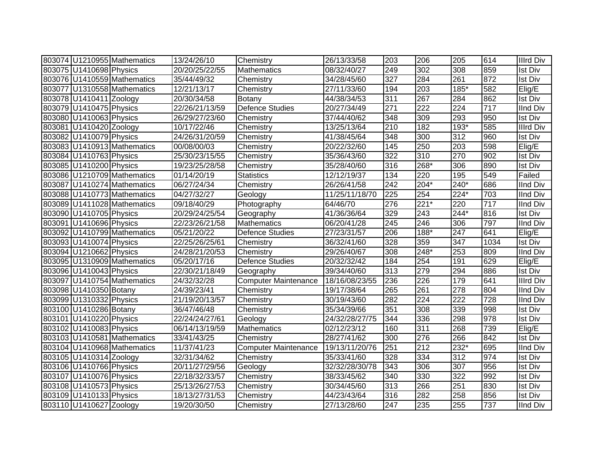|                         | 803074 U1210955 Mathematics | 13/24/26/10    | Chemistry                   | 26/13/33/58    | 203              | 206    | 205              | 614  | <b>Illrd Div</b> |
|-------------------------|-----------------------------|----------------|-----------------------------|----------------|------------------|--------|------------------|------|------------------|
| 803075 U1410698 Physics |                             | 20/20/25/22/55 | Mathematics                 | 08/32/40/27    | 249              | 302    | 308              | 859  | <b>Ist Div</b>   |
|                         | 803076 U1410559 Mathematics | 35/44/49/32    | Chemistry                   | 34/28/45/60    | 327              | 284    | 261              | 872  | <b>Ist Div</b>   |
|                         | 803077 U1310558 Mathematics | 12/21/13/17    | Chemistry                   | 27/11/33/60    | 194              | 203    | 185*             | 582  | Elig/E           |
| 803078 U1410411 Zoology |                             | 20/30/34/58    | Botany                      | 44/38/34/53    | 311              | 267    | 284              | 862  | <b>Ist Div</b>   |
| 803079 U1410475 Physics |                             | 22/26/21/13/59 | Defence Studies             | 20/27/34/49    | $\overline{271}$ | 222    | $\overline{224}$ | 717  | <b>IInd Div</b>  |
| 803080 U1410063 Physics |                             | 26/29/27/23/60 | Chemistry                   | 37/44/40/62    | 348              | 309    | 293              | 950  | <b>Ist Div</b>   |
| 803081 U1410420 Zoology |                             | 10/17/22/46    | Chemistry                   | 13/25/13/64    | 210              | 182    | $193*$           | 585  | <b>Illrd Div</b> |
| 803082 U1410079 Physics |                             | 24/26/31/20/59 | Chemistry                   | 41/38/45/64    | 348              | 300    | $\overline{312}$ | 960  | Ist Div          |
|                         | 803083 U1410913 Mathematics | 00/08/00/03    | Chemistry                   | 20/22/32/60    | 145              | 250    | 203              | 598  | Elig/E           |
| 803084 U1410763 Physics |                             | 25/30/23/15/55 | Chemistry                   | 35/36/43/60    | 322              | 310    | 270              | 902  | <b>Ist Div</b>   |
| 803085 U1410200 Physics |                             | 19/23/25/28/58 | Chemistry                   | 35/28/40/60    | 316              | 268*   | 306              | 890  | Ist Div          |
|                         | 803086 U1210709 Mathematics | 01/14/20/19    | <b>Statistics</b>           | 12/12/19/37    | 134              | 220    | 195              | 549  | Failed           |
|                         | 803087 U1410274 Mathematics | 06/27/24/34    | Chemistry                   | 26/26/41/58    | 242              | 204*   | 240*             | 686  | <b>IInd Div</b>  |
|                         | 803088 U1410773 Mathematics | 04/27/32/27    | Geology                     | 11/25/11/18/70 | 225              | 254    | 224*             | 703  | <b>IInd Div</b>  |
|                         | 803089 U1411028 Mathematics | 09/18/40/29    | Photography                 | 64/46/70       | 276              | $221*$ | 220              | 717  | <b>IInd Div</b>  |
| 803090 U1410705 Physics |                             | 20/29/24/25/54 | Geography                   | 41/36/36/64    | 329              | 243    | 244*             | 816  | <b>Ist Div</b>   |
| 803091 U1410696 Physics |                             | 22/23/26/21/58 | <b>Mathematics</b>          | 06/20/41/28    | 245              | 246    | 306              | 797  | <b>IInd Div</b>  |
|                         | 803092 U1410799 Mathematics | 05/21/20/22    | <b>Defence Studies</b>      | 27/23/31/57    | 206              | 188*   | 247              | 641  | Elig/E           |
| 803093 U1410074 Physics |                             | 22/25/26/25/61 | Chemistry                   | 36/32/41/60    | 328              | 359    | 347              | 1034 | <b>Ist Div</b>   |
| 803094 U1210662 Physics |                             | 24/28/21/20/53 | Chemistry                   | 29/26/40/67    | 308              | 248*   | 253              | 809  | IInd Div         |
|                         | 803095 U1310909 Mathematics | 05/20/17/16    | Defence Studies             | 20/32/32/42    | 184              | 254    | 191              | 629  | Elig/E           |
| 803096 U1410043 Physics |                             | 22/30/21/18/49 | Geography                   | 39/34/40/60    | 313              | 279    | 294              | 886  | <b>Ist Div</b>   |
|                         | 803097 U1410754 Mathematics | 24/32/32/28    | <b>Computer Maintenance</b> | 18/16/08/23/55 | 236              | 226    | 179              | 641  | <b>Illrd Div</b> |
| 803098 U1410350 Botany  |                             | 24/39/23/41    | Chemistry                   | 19/17/38/64    | 265              | 261    | 278              | 804  | <b>IInd Div</b>  |
| 803099 U1310332 Physics |                             | 21/19/20/13/57 | Chemistry                   | 30/19/43/60    | 282              | 224    | $\overline{222}$ | 728  | <b>IInd Div</b>  |
| 803100 U1410286 Botany  |                             | 36/47/46/48    | Chemistry                   | 35/34/39/66    | 351              | 308    | 339              | 998  | <b>Ist Div</b>   |
| 803101 U1410220 Physics |                             | 22/24/24/27/61 | Geology                     | 24/32/28/27/75 | 344              | 336    | 298              | 978  | <b>Ist Div</b>   |
| 803102 U1410083 Physics |                             | 06/14/13/19/59 | <b>Mathematics</b>          | 02/12/23/12    | 160              | 311    | 268              | 739  | Elig/E           |
|                         | 803103 U1410581 Mathematics | 33/41/43/25    | Chemistry                   | 28/27/41/62    | 300              | 276    | 266              | 842  | <b>Ist Div</b>   |
|                         | 803104 U1410968 Mathematics | 11/37/41/23    | <b>Computer Maintenance</b> | 19/13/11/20/76 | 251              | 212    | 232*             | 695  | <b>IInd Div</b>  |
| 803105 U1410314 Zoology |                             | 32/31/34/62    | Chemistry                   | 35/33/41/60    | 328              | 334    | 312              | 974  | <b>Ist Div</b>   |
| 803106 U1410766 Physics |                             | 20/11/27/29/56 | Geology                     | 32/32/28/30/78 | 343              | 306    | 307              | 956  | <b>Ist Div</b>   |
| 803107 U1410076 Physics |                             | 22/18/32/33/57 | Chemistry                   | 38/33/45/62    | 340              | 330    | 322              | 992  | <b>Ist Div</b>   |
| 803108 U1410573 Physics |                             | 25/13/26/27/53 | Chemistry                   | 30/34/45/60    | 313              | 266    | 251              | 830  | <b>Ist Div</b>   |
| 803109 U1410133 Physics |                             | 18/13/27/31/53 | Chemistry                   | 44/23/43/64    | 316              | 282    | 258              | 856  | <b>Ist Div</b>   |
| 803110 U1410627 Zoology |                             | 19/20/30/50    | Chemistry                   | 27/13/28/60    | 247              | 235    | 255              | 737  | IInd Div         |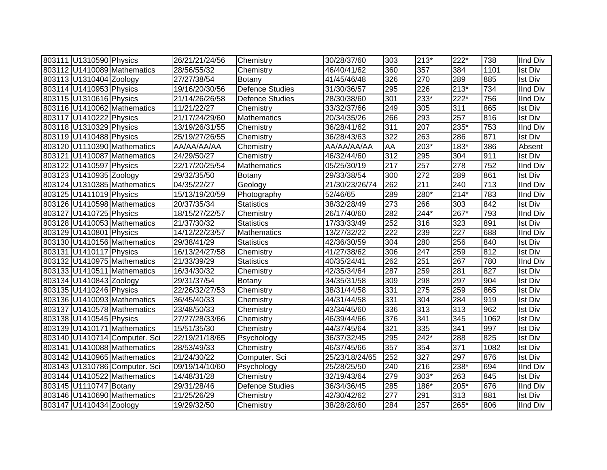| 803111 U1310590 Physics |                               | 26/21/21/24/56 | Chemistry              | 30/28/37/60    | 303              | $213*$ | $222*$           | 738  | IInd Div        |
|-------------------------|-------------------------------|----------------|------------------------|----------------|------------------|--------|------------------|------|-----------------|
|                         | 803112 U1410089 Mathematics   | 28/56/55/32    | Chemistry              | 46/40/41/62    | 360              | 357    | 384              | 1101 | <b>Ist Div</b>  |
| 803113 U1310404 Zoology |                               | 27/27/38/54    | Botany                 | 41/45/46/48    | 326              | 270    | 289              | 885  | <b>Ist Div</b>  |
| 803114 U1410953 Physics |                               | 19/16/20/30/56 | <b>Defence Studies</b> | 31/30/36/57    | 295              | 226    | $213*$           | 734  | <b>IInd Div</b> |
| 803115 U1310616 Physics |                               | 21/14/26/26/58 | <b>Defence Studies</b> | 28/30/38/60    | $\overline{301}$ | $233*$ | $222*$           | 756  | <b>IInd Div</b> |
|                         | 803116 U1410062 Mathematics   | 11/21/22/27    | Chemistry              | 33/32/37/66    | 249              | 305    | $\overline{311}$ | 865  | <b>Ist Div</b>  |
| 803117 U1410222 Physics |                               | 21/17/24/29/60 | Mathematics            | 20/34/35/26    | 266              | 293    | 257              | 816  | <b>Ist Div</b>  |
| 803118 U1310329 Physics |                               | 13/19/26/31/55 | Chemistry              | 36/28/41/62    | $\overline{311}$ | 207    | $235*$           | 753  | <b>IInd Div</b> |
| 803119 U1410488 Physics |                               | 25/19/27/26/55 | Chemistry              | 36/28/43/63    | $\overline{322}$ | 263    | 286              | 871  | <b>Ist Div</b>  |
|                         | 803120 U1110390 Mathematics   | AA/AA/AA/AA    | Chemistry              | AA/AA/AA/AA    | AA               | $203*$ | $183*$           | 386  | Absent          |
|                         | 803121 U1410087 Mathematics   | 24/29/50/27    | Chemistry              | 46/32/44/60    | 312              | 295    | 304              | 911  | Ist Div         |
| 803122 U1410597 Physics |                               | 22/17/20/25/54 | <b>Mathematics</b>     | 05/25/30/19    | 217              | 257    | 278              | 752  | IInd Div        |
| 803123 U1410935 Zoology |                               | 29/32/35/50    | Botany                 | 29/33/38/54    | 300              | 272    | 289              | 861  | <b>Ist Div</b>  |
|                         | 803124 U1310385 Mathematics   | 04/35/22/27    | Geology                | 21/30/23/26/74 | 262              | 211    | 240              | 713  | <b>IInd Div</b> |
| 803125 U1411019 Physics |                               | 15/13/19/20/59 | Photography            | 52/46/65       | 289              | 280*   | $214*$           | 783  | IInd Div        |
|                         | 803126 U1410598 Mathematics   | 20/37/35/34    | <b>Statistics</b>      | 38/32/28/49    | 273              | 266    | 303              | 842  | <b>Ist Div</b>  |
| 803127 U1410725 Physics |                               | 18/15/27/22/57 | Chemistry              | 26/17/40/60    | 282              | 244*   | 267*             | 793  | <b>IInd Div</b> |
|                         | 803128 U1410053 Mathematics   | 21/37/30/32    | <b>Statistics</b>      | 17/33/33/49    | 252              | 316    | 323              | 891  | <b>Ist Div</b>  |
| 803129 U1410801 Physics |                               | 14/12/22/23/57 | Mathematics            | 13/27/32/22    | 222              | 239    | 227              | 688  | <b>IInd Div</b> |
|                         | 803130 U1410156 Mathematics   | 29/38/41/29    | <b>Statistics</b>      | 42/36/30/59    | 304              | 280    | 256              | 840  | <b>Ist Div</b>  |
| 803131 U1410117 Physics |                               | 16/13/24/27/58 | Chemistry              | 41/27/38/62    | 306              | 247    | 259              | 812  | <b>Ist Div</b>  |
|                         | 803132 U1410975 Mathematics   | 21/33/39/29    | <b>Statistics</b>      | 40/35/24/41    | 262              | 251    | 267              | 780  | <b>IInd Div</b> |
|                         | 803133 U1410511 Mathematics   | 16/34/30/32    | Chemistry              | 42/35/34/64    | 287              | 259    | 281              | 827  | <b>Ist Div</b>  |
| 803134 U1410843 Zoology |                               | 29/31/37/54    | Botany                 | 34/35/31/58    | 309              | 298    | 297              | 904  | <b>Ist Div</b>  |
| 803135 U1410246 Physics |                               | 22/26/32/27/53 | Chemistry              | 38/31/44/58    | 331              | 275    | 259              | 865  | <b>Ist Div</b>  |
|                         | 803136 U1410093 Mathematics   | 36/45/40/33    | Chemistry              | 44/31/44/58    | 331              | 304    | 284              | 919  | <b>Ist Div</b>  |
|                         | 803137 U1410578 Mathematics   | 23/48/50/33    | Chemistry              | 43/34/45/60    | 336              | 313    | 313              | 962  | <b>Ist Div</b>  |
| 803138 U1410545 Physics |                               | 27/27/28/33/66 | Chemistry              | 46/39/44/66    | 376              | 341    | 345              | 1062 | <b>Ist Div</b>  |
|                         | 803139 U1410171 Mathematics   | 15/51/35/30    | Chemistry              | 44/37/45/64    | 321              | 335    | 341              | 997  | <b>Ist Div</b>  |
|                         | 803140 U1410714 Computer. Sci | 22/19/21/18/65 | Psychology             | 36/37/32/45    | 295              | 242*   | 288              | 825  | <b>Ist Div</b>  |
|                         | 803141 U1410088 Mathematics   | 28/53/49/33    | Chemistry              | 46/37/45/66    | 357              | 354    | 371              | 1082 | <b>Ist Div</b>  |
|                         | 803142 U1410965 Mathematics   | 21/24/30/22    | Computer. Sci          | 25/23/18/24/65 | 252              | 327    | 297              | 876  | <b>Ist Div</b>  |
|                         | 803143 U1310786 Computer. Sci | 09/19/14/10/60 | Psychology             | 25/28/25/50    | 240              | 216    | 238*             | 694  | <b>IInd Div</b> |
|                         | 803144 U1410522 Mathematics   | 14/48/31/28    | Chemistry              | 32/19/43/64    | 279              | 303*   | 263              | 845  | <b>Ist Div</b>  |
| 803145 U1110747 Botany  |                               | 29/31/28/46    | <b>Defence Studies</b> | 36/34/36/45    | 285              | 186*   | 205*             | 676  | <b>IInd Div</b> |
|                         | 803146 U1410690 Mathematics   | 21/25/26/29    | Chemistry              | 42/30/42/62    | 277              | 291    | 313              | 881  | <b>Ist Div</b>  |
| 803147 U1410434 Zoology |                               | 19/29/32/50    | Chemistry              | 38/28/28/60    | 284              | 257    | 265*             | 806  | <b>IInd Div</b> |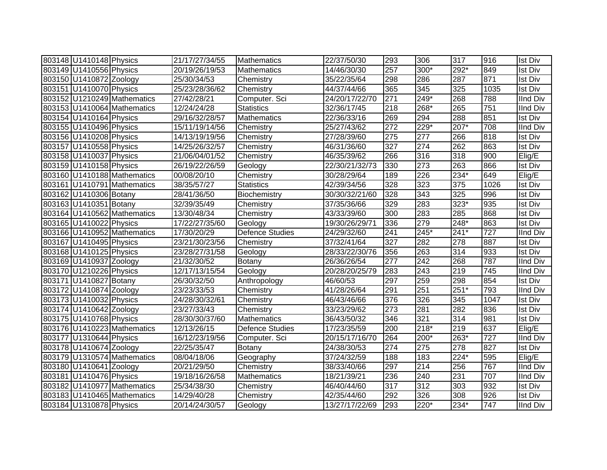| 803148 U1410148 Physics |                             | 21/17/27/34/55 | <b>Mathematics</b>     | 22/37/50/30    | 293              | 306    | 317    | 916  | <b>Ist Div</b>  |
|-------------------------|-----------------------------|----------------|------------------------|----------------|------------------|--------|--------|------|-----------------|
| 803149 U1410556 Physics |                             | 20/19/26/19/53 | <b>Mathematics</b>     | 14/46/30/30    | 257              | 300*   | 292*   | 849  | <b>Ist Div</b>  |
| 803150 U1410872 Zoology |                             | 25/30/34/53    | Chemistry              | 35/22/35/64    | 298              | 286    | 287    | 871  | <b>Ist Div</b>  |
| 803151 U1410070 Physics |                             | 25/23/28/36/62 | Chemistry              | 44/37/44/66    | 365              | 345    | 325    | 1035 | <b>Ist Div</b>  |
|                         | 803152 U1210249 Mathematics | 27/42/28/21    | Computer. Sci          | 24/20/17/22/70 | $\overline{271}$ | $249*$ | 268    | 788  | <b>IInd Div</b> |
|                         | 803153 U1410064 Mathematics | 12/24/24/28    | <b>Statistics</b>      | 32/36/17/45    | $\overline{218}$ | 268*   | 265    | 751  | <b>IInd Div</b> |
| 803154 U1410164 Physics |                             | 29/16/32/28/57 | Mathematics            | 22/36/33/16    | 269              | 294    | 288    | 851  | <b>Ist Div</b>  |
| 803155 U1410496 Physics |                             | 15/11/19/14/56 | Chemistry              | 25/27/43/62    | $\overline{272}$ | $229*$ | $207*$ | 708  | <b>IInd Div</b> |
| 803156 U1410208 Physics |                             | 14/13/19/19/56 | Chemistry              | 27/28/39/60    | 275              | 277    | 266    | 818  | <b>Ist Div</b>  |
| 803157 U1410558 Physics |                             | 14/25/26/32/57 | Chemistry              | 46/31/36/60    | 327              | 274    | 262    | 863  | <b>Ist Div</b>  |
| 803158 U1410037 Physics |                             | 21/06/04/01/52 | Chemistry              | 46/35/39/62    | 266              | 316    | 318    | 900  | Elig/E          |
| 803159 U1410158 Physics |                             | 26/19/22/26/59 | Geology                | 22/30/21/32/73 | 330              | 273    | 263    | 866  | <b>Ist Div</b>  |
|                         | 803160 U1410188 Mathematics | 00/08/20/10    | Chemistry              | 30/28/29/64    | 189              | 226    | 234*   | 649  | Elig/E          |
|                         | 803161 U1410791 Mathematics | 38/35/57/27    | <b>Statistics</b>      | 42/39/34/56    | 328              | 323    | 375    | 1026 | <b>Ist Div</b>  |
| 803162 U1410306 Botany  |                             | 28/41/36/50    | Biochemistry           | 30/30/32/21/60 | 328              | 343    | 325    | 996  | <b>Ist Div</b>  |
| 803163 U1410351 Botany  |                             | 32/39/35/49    | Chemistry              | 37/35/36/66    | 329              | 283    | 323*   | 935  | <b>Ist Div</b>  |
|                         | 803164 U1410562 Mathematics | 13/30/48/34    | Chemistry              | 43/33/39/60    | 300              | 283    | 285    | 868  | <b>Ist Div</b>  |
| 803165 U1410022 Physics |                             | 17/22/27/35/60 | Geology                | 19/30/26/29/71 | 336              | 279    | 248*   | 863  | <b>Ist Div</b>  |
|                         | 803166 U1410952 Mathematics | 17/30/20/29    | <b>Defence Studies</b> | 24/29/32/60    | 241              | 245*   | $241*$ | 727  | <b>IInd Div</b> |
| 803167 U1410495 Physics |                             | 23/21/30/23/56 | Chemistry              | 37/32/41/64    | 327              | 282    | 278    | 887  | <b>Ist Div</b>  |
| 803168 U1410125 Physics |                             | 23/28/27/31/58 | Geology                | 28/33/22/30/76 | 356              | 263    | 314    | 933  | <b>Ist Div</b>  |
| 803169 U1410937 Zoology |                             | 21/32/30/52    | Botany                 | 26/36/26/54    | 277              | 242    | 268    | 787  | <b>IInd Div</b> |
| 803170 U1210226 Physics |                             | 12/17/13/15/54 | Geology                | 20/28/20/25/79 | 283              | 243    | 219    | 745  | <b>IInd Div</b> |
| 803171 U1410827 Botany  |                             | 26/30/32/50    | Anthropology           | 46/60/53       | 297              | 259    | 298    | 854  | <b>Ist Div</b>  |
| 803172 U1410874 Zoology |                             | 23/23/33/53    | Chemistry              | 41/28/26/64    | 291              | 251    | 251*   | 793  | <b>IInd Div</b> |
| 803173 U1410032 Physics |                             | 24/28/30/32/61 | Chemistry              | 46/43/46/66    | $\overline{376}$ | 326    | 345    | 1047 | <b>Ist Div</b>  |
| 803174 U1410642 Zoology |                             | 23/27/33/43    | Chemistry              | 33/23/29/62    | $\overline{273}$ | 281    | 282    | 836  | <b>Ist Div</b>  |
| 803175 U1410768 Physics |                             | 28/30/30/37/60 | <b>Mathematics</b>     | 36/43/50/32    | 346              | 321    | 314    | 981  | <b>Ist Div</b>  |
|                         | 803176 U1410223 Mathematics | 12/13/26/15    | <b>Defence Studies</b> | 17/23/35/59    | 200              | 218*   | 219    | 637  | Elig/E          |
| 803177 U1310644 Physics |                             | 16/12/23/19/56 | Computer. Sci          | 20/15/17/16/70 | 264              | 200*   | $263*$ | 727  | <b>IInd Div</b> |
| 803178 U1410674 Zoology |                             | 22/25/35/47    | Botany                 | 24/38/30/53    | 274              | 275    | 278    | 827  | <b>Ist Div</b>  |
|                         | 803179 U1310574 Mathematics | 08/04/18/06    | Geography              | 37/24/32/59    | 188              | 183    | 224*   | 595  | Elig/E          |
| 803180 U1410641 Zoology |                             | 20/21/29/50    | Chemistry              | 38/33/40/66    | 297              | 214    | 256    | 767  | <b>IInd Div</b> |
| 803181 U1410476 Physics |                             | 19/18/16/26/58 | Mathematics            | 18/21/39/21    | 236              | 240    | 231    | 707  | <b>IInd Div</b> |
|                         | 803182 U1410977 Mathematics | 25/34/38/30    | Chemistry              | 46/40/44/60    | 317              | 312    | 303    | 932  | Ist Div         |
|                         | 803183 U1410465 Mathematics | 14/29/40/28    | Chemistry              | 42/35/44/60    | 292              | 326    | 308    | 926  | <b>Ist Div</b>  |
| 803184 U1310878 Physics |                             | 20/14/24/30/57 | Geology                | 13/27/17/22/69 | 293              | 220*   | $234*$ | 747  | <b>IInd Div</b> |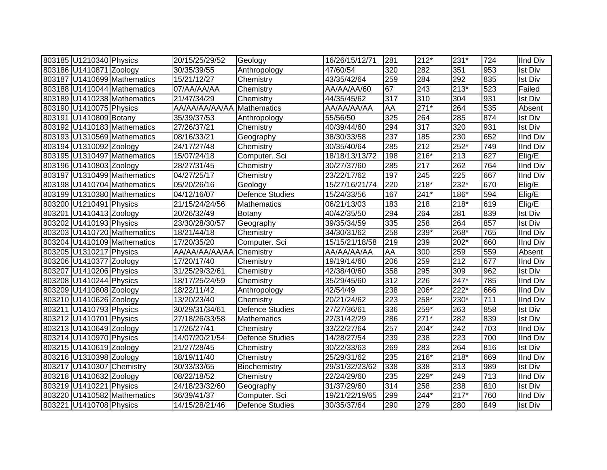| 803185 U1210340 Physics   |                             | 20/15/25/29/52           | Geology                | 16/26/15/12/71 | 281              | $212*$ | 231*   | 724 | <b>IInd Div</b> |
|---------------------------|-----------------------------|--------------------------|------------------------|----------------|------------------|--------|--------|-----|-----------------|
| 803186 U1410871 Zoology   |                             | 30/35/39/55              | Anthropology           | 47/60/54       | 320              | 282    | 351    | 953 | <b>Ist Div</b>  |
|                           | 803187 U1410699 Mathematics | 15/21/12/27              | Chemistry              | 43/35/42/64    | 259              | 284    | 292    | 835 | <b>Ist Div</b>  |
|                           | 803188 U1410044 Mathematics | 07/AA/AA/AA              | Chemistry              | AA/AA/AA/60    | 67               | 243    | $213*$ | 523 | Failed          |
|                           | 803189 U1410238 Mathematics | 21/47/34/29              | Chemistry              | 44/35/45/62    | $\overline{317}$ | 310    | 304    | 931 | <b>Ist Div</b>  |
| 803190 U1410075 Physics   |                             | AA/AA/AA/AA/AA           | Mathematics            | AA/AA/AA/AA    | <b>AA</b>        | $271*$ | 264    | 535 | Absent          |
| 803191 U1410809 Botany    |                             | 35/39/37/53              | Anthropology           | 55/56/50       | 325              | 264    | 285    | 874 | <b>Ist Div</b>  |
|                           | 803192 U1410183 Mathematics | 27/26/37/21              | Chemistry              | 40/39/44/60    | 294              | 317    | 320    | 931 | <b>Ist Div</b>  |
|                           | 803193 U1310569 Mathematics | 08/16/33/21              | Geography              | 38/30/33/58    | 237              | 185    | 230    | 652 | <b>IInd Div</b> |
| 803194 U1310092 Zoology   |                             | 24/17/27/48              | Chemistry              | 30/35/40/64    | 285              | 212    | $252*$ | 749 | <b>IInd Div</b> |
|                           | 803195 U1310497 Mathematics | 15/07/24/18              | Computer. Sci          | 18/18/13/13/72 | 198              | $216*$ | 213    | 627 | Elig/E          |
| 803196 U1410803 Zoology   |                             | 28/27/31/45              | Chemistry              | 30/27/37/60    | 285              | 217    | 262    | 764 | <b>IInd Div</b> |
|                           | 803197 U1310499 Mathematics | 04/27/25/17              | Chemistry              | 23/22/17/62    | 197              | 245    | 225    | 667 | <b>IInd Div</b> |
|                           | 803198 U1410704 Mathematics | 05/20/26/16              | Geology                | 15/27/16/21/74 | 220              | 218*   | 232*   | 670 | Elig/E          |
|                           | 803199 U1310380 Mathematics | 04/12/16/07              | <b>Defence Studies</b> | 15/24/33/56    | 167              | $241*$ | 186*   | 594 | Elig/E          |
| 803200 U1210491 Physics   |                             | 21/15/24/24/56           | Mathematics            | 06/21/13/03    | 183              | 218    | $218*$ | 619 | Elig/E          |
| 803201 U1410413 Zoology   |                             | 20/26/32/49              | Botany                 | 40/42/35/50    | 294              | 264    | 281    | 839 | <b>Ist Div</b>  |
| 803202 U1410193 Physics   |                             | 23/30/28/30/57           | Geography              | 39/35/34/59    | 335              | 258    | 264    | 857 | <b>Ist Div</b>  |
|                           | 803203 U1410720 Mathematics | 18/21/44/18              | Chemistry              | 34/30/31/62    | 258              | 239*   | 268*   | 765 | IInd Div        |
|                           | 803204 U1410109 Mathematics | 17/20/35/20              | Computer. Sci          | 15/15/21/18/58 | 219              | 239    | 202*   | 660 | IInd Div        |
| 803205 U1310217 Physics   |                             | AA/AA/AA/AA/AA Chemistry |                        | AA/AA/AA/AA    | AA               | 300    | 259    | 559 | Absent          |
| 803206 U1410377 Zoology   |                             | 17/20/17/40              | Chemistry              | 19/19/14/60    | 206              | 259    | 212    | 677 | <b>IInd Div</b> |
| 803207 U1410206 Physics   |                             | 31/25/29/32/61           | Chemistry              | 42/38/40/60    | 358              | 295    | 309    | 962 | <b>Ist Div</b>  |
| 803208 U1410244 Physics   |                             | 18/17/25/24/59           | Chemistry              | 35/29/45/60    | 312              | 226    | $247*$ | 785 | <b>IInd Div</b> |
| 803209 U1410808 Zoology   |                             | 18/22/11/42              | Anthropology           | 42/54/49       | 238              | $206*$ | 222*   | 666 | <b>IInd Div</b> |
| 803210 U1410626 Zoology   |                             | 13/20/23/40              | Chemistry              | 20/21/24/62    | 223              | 258*   | 230*   | 711 | <b>IInd Div</b> |
| 803211 U1410793 Physics   |                             | 30/29/31/34/61           | <b>Defence Studies</b> | 27/27/36/61    | 336              | 259*   | 263    | 858 | <b>Ist Div</b>  |
| 803212 U1410701 Physics   |                             | 27/18/26/33/58           | Mathematics            | 22/31/42/29    | 286              | $271*$ | 282    | 839 | <b>Ist Div</b>  |
| 803213 U1410649 Zoology   |                             | 17/26/27/41              | Chemistry              | 33/22/27/64    | 257              | $204*$ | 242    | 703 | <b>IInd Div</b> |
| 803214 U1410970 Physics   |                             | 14/07/20/21/54           | <b>Defence Studies</b> | 14/28/27/54    | 239              | 238    | 223    | 700 | <b>IInd Div</b> |
| 803215 U1410619 Zoology   |                             | 21/27/28/45              | Chemistry              | 30/22/33/63    | 269              | 283    | 264    | 816 | <b>Ist Div</b>  |
| 803216 U1310398 Zoology   |                             | 18/19/11/40              | Chemistry              | 25/29/31/62    | 235              | 216*   | 218*   | 669 | <b>IInd Div</b> |
| 803217 U1410307 Chemistry |                             | 30/33/33/65              | Biochemistry           | 29/31/32/23/62 | 338              | 338    | 313    | 989 | <b>Ist Div</b>  |
| 803218 U1410632 Zoology   |                             | 08/22/18/52              | Chemistry              | 22/24/29/60    | 235              | 229*   | 249    | 713 | <b>IInd Div</b> |
| 803219 U1410221 Physics   |                             | 24/18/23/32/60           | Geography              | 31/37/29/60    | 314              | 258    | 238    | 810 | Ist Div         |
|                           | 803220 U1410582 Mathematics | 36/39/41/37              | Computer. Sci          | 19/21/22/19/65 | 299              | 244*   | $217*$ | 760 | <b>IInd Div</b> |
| 803221 U1410708 Physics   |                             | 14/15/28/21/46           | <b>Defence Studies</b> | 30/35/37/64    | 290              | 279    | 280    | 849 | <b>Ist Div</b>  |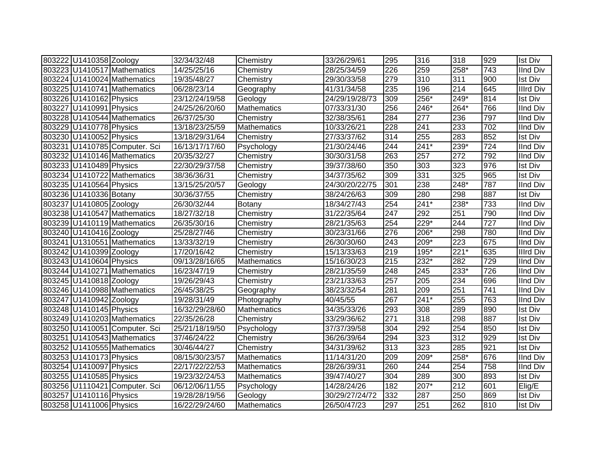| 803222 U1410358 Zoology |                               | 32/34/32/48    | Chemistry          | 33/26/29/61    | 295 | 316    | 318              | 929              | <b>Ist Div</b>   |
|-------------------------|-------------------------------|----------------|--------------------|----------------|-----|--------|------------------|------------------|------------------|
|                         | 803223 U1410517 Mathematics   | 14/25/25/16    | Chemistry          | 28/25/34/59    | 226 | 259    | $258*$           | 743              | <b>IInd Div</b>  |
|                         | 803224 U1410024 Mathematics   | 19/35/48/27    | Chemistry          | 29/30/33/58    | 279 | 310    | 311              | 900              | <b>Ist Div</b>   |
|                         | 803225 U1410741 Mathematics   | 06/28/23/14    | Geography          | 41/31/34/58    | 235 | 196    | 214              | 645              | <b>Illrd Div</b> |
| 803226 U1410162 Physics |                               | 23/12/24/19/58 | Geology            | 24/29/19/28/73 | 309 | $256*$ | $249*$           | 814              | Ist Div          |
| 803227 U1410991 Physics |                               | 24/25/26/20/60 | <b>Mathematics</b> | 07/33/31/30    | 256 | 246*   | $264*$           | 766              | <b>IInd Div</b>  |
|                         | 803228 U1410544 Mathematics   | 26/37/25/30    | Chemistry          | 32/38/35/61    | 284 | 277    | 236              | 797              | <b>IInd Div</b>  |
| 803229 U1410778 Physics |                               | 13/18/23/25/59 | <b>Mathematics</b> | 10/33/26/21    | 228 | 241    | 233              | 702              | <b>IInd Div</b>  |
| 803230 U1410052 Physics |                               | 13/18/29/31/64 | Chemistry          | 27/33/37/62    | 314 | 255    | 283              | 852              | <b>Ist Div</b>   |
|                         | 803231 U1410785 Computer. Sci | 16/13/17/17/60 | Psychology         | 21/30/24/46    | 244 | $241*$ | $239*$           | 724              | <b>IInd Div</b>  |
|                         | 803232 U1410146 Mathematics   | 20/35/32/27    | Chemistry          | 30/30/31/58    | 263 | 257    | $\overline{272}$ | 792              | IInd Div         |
| 803233 U1410489 Physics |                               | 22/30/29/37/58 | Chemistry          | 39/37/38/60    | 350 | 303    | 323              | 976              | Ist Div          |
|                         | 803234 U1410722 Mathematics   | 38/36/36/31    | Chemistry          | 34/37/35/62    | 309 | 331    | 325              | 965              | <b>Ist Div</b>   |
| 803235 U1410564 Physics |                               | 13/15/25/20/57 | Geology            | 24/30/20/22/75 | 301 | 238    | 248*             | 787              | <b>IInd Div</b>  |
| 803236 U1410336 Botany  |                               | 30/36/37/55    | Chemistry          | 38/24/26/63    | 309 | 280    | 298              | 887              | <b>Ist Div</b>   |
| 803237 U1410805 Zoology |                               | 26/30/32/44    | Botany             | 18/34/27/43    | 254 | $241*$ | 238*             | 733              | <b>IInd Div</b>  |
|                         | 803238 U1410547 Mathematics   | 18/27/32/18    | Chemistry          | 31/22/35/64    | 247 | 292    | 251              | 790              | <b>IInd Div</b>  |
|                         | 803239 U1410119 Mathematics   | 26/35/30/16    | Chemistry          | 28/21/35/63    | 254 | 229*   | 244              | $\overline{727}$ | <b>IInd Div</b>  |
| 803240 U1410416 Zoology |                               | 25/28/27/46    | Chemistry          | 30/23/31/66    | 276 | 206*   | 298              | 780              | <b>IInd Div</b>  |
|                         | 803241 U1310551 Mathematics   | 13/33/32/19    | Chemistry          | 26/30/30/60    | 243 | 209*   | 223              | 675              | <b>IInd Div</b>  |
| 803242 U1410399 Zoology |                               | 17/20/16/42    | Chemistry          | 15/13/33/63    | 219 | 195*   | $221*$           | 635              | <b>Illrd Div</b> |
| 803243 U1410604 Physics |                               | 09/13/28/16/65 | <b>Mathematics</b> | 15/16/30/23    | 215 | 232*   | 282              | 729              | <b>IInd Div</b>  |
|                         | 803244 U1410271 Mathematics   | 16/23/47/19    | Chemistry          | 28/21/35/59    | 248 | 245    | 233*             | 726              | <b>IInd Div</b>  |
| 803245 U1410818 Zoology |                               | 19/26/29/43    | Chemistry          | 23/21/33/63    | 257 | 205    | 234              | 696              | <b>IInd Div</b>  |
|                         | 803246 U1410988 Mathematics   | 26/45/38/25    | Geography          | 38/23/32/54    | 281 | 209    | 251              | 741              | <b>IInd Div</b>  |
| 803247 U1410942 Zoology |                               | 19/28/31/49    | Photography        | 40/45/55       | 267 | $241*$ | 255              | 763              | <b>IInd Div</b>  |
| 803248 U1410145 Physics |                               | 16/32/29/28/60 | Mathematics        | 34/35/33/26    | 293 | 308    | 289              | 890              | <b>Ist Div</b>   |
|                         | 803249 U1410203 Mathematics   | 22/35/26/28    | Chemistry          | 33/29/36/62    | 271 | 318    | 298              | 887              | <b>Ist Div</b>   |
|                         | 803250 U1410051 Computer. Sci | 25/21/18/19/50 | Psychology         | 37/37/39/58    | 304 | 292    | 254              | 850              | <b>Ist Div</b>   |
|                         | 803251 U1410543 Mathematics   | 37/46/24/22    | Chemistry          | 36/26/39/64    | 294 | 323    | 312              | 929              | <b>Ist Div</b>   |
|                         | 803252 U1410555 Mathematics   | 30/46/44/27    | Chemistry          | 34/31/39/62    | 313 | 323    | 285              | 921              | <b>Ist Div</b>   |
| 803253 U1410173 Physics |                               | 08/15/30/23/57 | Mathematics        | 11/14/31/20    | 209 | 209*   | 258*             | 676              | <b>IInd Div</b>  |
| 803254 U1410097 Physics |                               | 22/17/22/22/53 | Mathematics        | 28/26/39/31    | 260 | 244    | 254              | 758              | <b>IInd Div</b>  |
| 803255 U1410585 Physics |                               | 19/23/32/24/53 | <b>Mathematics</b> | 39/47/40/27    | 304 | 289    | 300              | 893              | <b>Ist Div</b>   |
|                         | 803256 U1110421 Computer. Sci | 06/12/06/11/55 | Psychology         | 14/28/24/26    | 182 | 207*   | 212              | 601              | Elig/E           |
| 803257 U1410116 Physics |                               | 19/28/28/19/56 | Geology            | 30/29/27/24/72 | 332 | 287    | 250              | 869              | <b>Ist Div</b>   |
| 803258 U1411006 Physics |                               | 16/22/29/24/60 | Mathematics        | 26/50/47/23    | 297 | 251    | $\overline{262}$ | 810              | <b>Ist Div</b>   |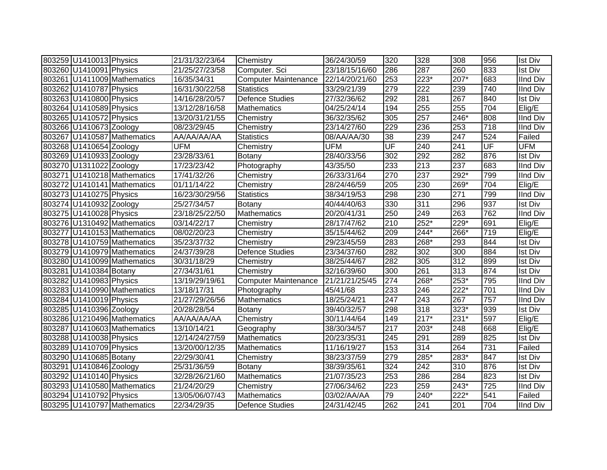| 803259 U1410013 Physics |                             | 21/31/32/23/64 | Chemistry                   | 36/24/30/59    | 320 | 328    | 308    | 956 | <b>Ist Div</b>  |
|-------------------------|-----------------------------|----------------|-----------------------------|----------------|-----|--------|--------|-----|-----------------|
| 803260 U1410091 Physics |                             | 21/25/27/23/58 | Computer. Sci               | 23/18/15/16/60 | 286 | 287    | 260    | 833 | <b>Ist Div</b>  |
|                         | 803261 U1411009 Mathematics | 16/35/34/31    | <b>Computer Maintenance</b> | 22/14/20/21/60 | 253 | 223*   | 207*   | 683 | <b>IInd Div</b> |
| 803262 U1410787 Physics |                             | 16/31/30/22/58 | <b>Statistics</b>           | 33/29/21/39    | 279 | 222    | 239    | 740 | <b>IInd Div</b> |
| 803263 U1410800 Physics |                             | 14/16/28/20/57 | <b>Defence Studies</b>      | 27/32/36/62    | 292 | 281    | 267    | 840 | <b>Ist Div</b>  |
| 803264 U1410589 Physics |                             | 13/12/28/16/58 | <b>Mathematics</b>          | 04/25/24/14    | 194 | 255    | 255    | 704 | Elig/E          |
| 803265 U1410572 Physics |                             | 13/20/31/21/55 | Chemistry                   | 36/32/35/62    | 305 | 257    | 246*   | 808 | IInd Div        |
| 803266 U1410673 Zoology |                             | 08/23/29/45    | Chemistry                   | 23/14/27/60    | 229 | 236    | 253    | 718 | IInd Div        |
|                         | 803267 U1410587 Mathematics | AA/AA/AA/AA    | <b>Statistics</b>           | 08/AA/AA/30    | 38  | 239    | 247    | 524 | Failed          |
| 803268 U1410654 Zoology |                             | <b>UFM</b>     | Chemistry                   | <b>UFM</b>     | UF  | 240    | 241    | UF  | <b>UFM</b>      |
| 803269 U1410933 Zoology |                             | 23/28/33/61    | Botany                      | 28/40/33/56    | 302 | 292    | 282    | 876 | <b>Ist Div</b>  |
| 803270 U1311022 Zoology |                             | 17/23/23/42    | Photography                 | 43/35/50       | 233 | 213    | 237    | 683 | IInd Div        |
|                         | 803271 U1410218 Mathematics | 17/41/32/26    | Chemistry                   | 26/33/31/64    | 270 | 237    | 292*   | 799 | IInd Div        |
|                         | 803272 U1410141 Mathematics | 01/11/14/22    | Chemistry                   | 28/24/46/59    | 205 | 230    | 269*   | 704 | Elig/E          |
| 803273 U1410275 Physics |                             | 16/23/30/29/56 | <b>Statistics</b>           | 38/34/19/53    | 298 | 230    | 271    | 799 | <b>IInd Div</b> |
| 803274 U1410932 Zoology |                             | 25/27/34/57    | Botany                      | 40/44/40/63    | 330 | 311    | 296    | 937 | <b>Ist Div</b>  |
| 803275 U1410028 Physics |                             | 23/18/25/22/50 | <b>Mathematics</b>          | 20/20/41/31    | 250 | 249    | 263    | 762 | <b>IInd Div</b> |
|                         | 803276 U1310492 Mathematics | 03/14/22/17    | Chemistry                   | 28/17/47/62    | 210 | 252*   | 229*   | 691 | Elig/E          |
|                         | 803277 U1410153 Mathematics | 08/02/20/23    | Chemistry                   | 35/15/44/62    | 209 | 244*   | 266*   | 719 | Elig/E          |
|                         | 803278 U1410759 Mathematics | 35/23/37/32    | Chemistry                   | 29/23/45/59    | 283 | 268*   | 293    | 844 | <b>Ist Div</b>  |
|                         | 803279 U1410979 Mathematics | 24/37/39/28    | Defence Studies             | 23/34/37/60    | 282 | 302    | 300    | 884 | <b>Ist Div</b>  |
|                         | 803280 U1410099 Mathematics | 30/31/18/29    | Chemistry                   | 38/25/44/67    | 282 | 305    | 312    | 899 | <b>Ist Div</b>  |
| 803281 U1410384 Botany  |                             | 27/34/31/61    | Chemistry                   | 32/16/39/60    | 300 | 261    | 313    | 874 | <b>Ist Div</b>  |
| 803282 U1410983 Physics |                             | 13/19/29/19/61 | <b>Computer Maintenance</b> | 21/21/21/25/45 | 274 | 268*   | $253*$ | 795 | <b>IInd Div</b> |
|                         | 803283 U1410990 Mathematics | 13/18/17/31    | Photography                 | 45/41/68       | 233 | 246    | $222*$ | 701 | <b>IInd Div</b> |
| 803284 U1410019 Physics |                             | 21/27/29/26/56 | Mathematics                 | 18/25/24/21    | 247 | 243    | 267    | 757 | <b>IInd Div</b> |
| 803285 U1410396 Zoology |                             | 20/28/28/54    | Botany                      | 39/40/32/57    | 298 | 318    | 323*   | 939 | <b>Ist Div</b>  |
|                         | 803286 U1210496 Mathematics | AA/AA/AA/AA    | Chemistry                   | 30/11/44/64    | 149 | $217*$ | 231*   | 597 | Elig/E          |
|                         | 803287 U1410603 Mathematics | 13/10/14/21    | Geography                   | 38/30/34/57    | 217 | 203*   | 248    | 668 | Elig/E          |
| 803288 U1410038 Physics |                             | 12/14/24/27/59 | Mathematics                 | 20/23/35/31    | 245 | 291    | 289    | 825 | <b>Ist Div</b>  |
| 803289 U1410709 Physics |                             | 13/20/00/12/35 | Mathematics                 | 11/16/19/27    | 153 | 314    | 264    | 731 | Failed          |
| 803290 U1410685 Botany  |                             | 22/29/30/41    | Chemistry                   | 38/23/37/59    | 279 | 285*   | 283*   | 847 | <b>Ist Div</b>  |
| 803291 U1410846 Zoology |                             | 25/31/36/59    | Botany                      | 38/39/35/61    | 324 | 242    | 310    | 876 | <b>Ist Div</b>  |
| 803292 U1410140 Physics |                             | 32/28/26/21/60 | <b>Mathematics</b>          | 21/07/35/23    | 253 | 286    | 284    | 823 | Ist Div         |
|                         | 803293 U1410580 Mathematics | 21/24/20/29    | Chemistry                   | 27/06/34/62    | 223 | 259    | 243*   | 725 | <b>IInd Div</b> |
| 803294 U1410792 Physics |                             | 13/05/06/07/43 | <b>Mathematics</b>          | 03/02/AA/AA    | 79  | 240*   | $222*$ | 541 | Failed          |
|                         | 803295 U1410797 Mathematics | 22/34/29/35    | <b>Defence Studies</b>      | 24/31/42/45    | 262 | 241    | 201    | 704 | <b>IInd Div</b> |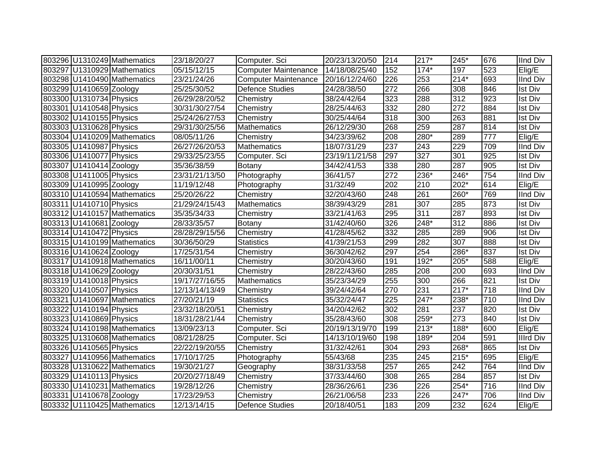|                         | 803296 U1310249 Mathematics | 23/18/20/27    | Computer. Sci               | 20/23/13/20/50 | 214              | $217*$ | 245*             | 676 | <b>IInd Div</b> |
|-------------------------|-----------------------------|----------------|-----------------------------|----------------|------------------|--------|------------------|-----|-----------------|
|                         | 803297 U1310929 Mathematics | 05/15/12/15    | <b>Computer Maintenance</b> | 14/18/08/25/40 | 152              | $174*$ | 197              | 523 | Elig/E          |
|                         | 803298 U1410490 Mathematics | 23/21/24/26    | <b>Computer Maintenance</b> | 20/16/12/24/60 | 226              | 253    | $214*$           | 693 | <b>IInd Div</b> |
| 803299 U1410659 Zoology |                             | 25/25/30/52    | <b>Defence Studies</b>      | 24/28/38/50    | 272              | 266    | 308              | 846 | <b>Ist Div</b>  |
| 803300 U1310734 Physics |                             | 26/29/28/20/52 | Chemistry                   | 38/24/42/64    | 323              | 288    | $\overline{312}$ | 923 | <b>Ist Div</b>  |
| 803301 U1410548 Physics |                             | 30/31/30/27/54 | Chemistry                   | 28/25/44/63    | 332              | 280    | $\overline{272}$ | 884 | <b>Ist Div</b>  |
| 803302 U1410155 Physics |                             | 25/24/26/27/53 | Chemistry                   | 30/25/44/64    | 318              | 300    | 263              | 881 | <b>Ist Div</b>  |
| 803303 U1310628 Physics |                             | 29/31/30/25/56 | <b>Mathematics</b>          | 26/12/29/30    | 268              | 259    | 287              | 814 | <b>Ist Div</b>  |
|                         | 803304 U1410209 Mathematics | 08/05/11/26    | Chemistry                   | 34/23/39/62    | 208              | $280*$ | 289              | 777 | Elig/E          |
| 803305 U1410987 Physics |                             | 26/27/26/20/53 | Mathematics                 | 18/07/31/29    | 237              | 243    | 229              | 709 | <b>IInd Div</b> |
| 803306 U1410077 Physics |                             | 29/33/25/23/55 | Computer. Sci               | 23/19/11/21/58 | 297              | 327    | 301              | 925 | <b>Ist Div</b>  |
| 803307 U1410414 Zoology |                             | 35/36/38/59    | Botany                      | 34/42/41/53    | 338              | 280    | 287              | 905 | <b>Ist Div</b>  |
| 803308 U1411005 Physics |                             | 23/31/21/13/50 | Photography                 | 36/41/57       | 272              | 236*   | 246*             | 754 | <b>IInd Div</b> |
| 803309 U1410995 Zoology |                             | 11/19/12/48    | Photography                 | 31/32/49       | 202              | 210    | 202*             | 614 | Elig/E          |
|                         | 803310 U1410594 Mathematics | 25/20/26/22    | Chemistry                   | 32/20/43/60    | 248              | 261    | 260*             | 769 | <b>IInd Div</b> |
| 803311 U1410710 Physics |                             | 21/29/24/15/43 | Mathematics                 | 38/39/43/29    | 281              | 307    | 285              | 873 | <b>Ist Div</b>  |
|                         | 803312 U1410157 Mathematics | 35/35/34/33    | Chemistry                   | 33/21/41/63    | 295              | 311    | 287              | 893 | <b>Ist Div</b>  |
| 803313 U1410681 Zoology |                             | 28/33/35/57    | Botany                      | 31/42/40/60    | 326              | 248*   | 312              | 886 | <b>Ist Div</b>  |
| 803314 U1410472 Physics |                             | 28/28/29/15/56 | Chemistry                   | 41/28/45/62    | 332              | 285    | 289              | 906 | <b>Ist Div</b>  |
|                         | 803315 U1410199 Mathematics | 30/36/50/29    | <b>Statistics</b>           | 41/39/21/53    | 299              | 282    | 307              | 888 | <b>Ist Div</b>  |
| 803316 U1410624 Zoology |                             | 17/25/31/54    | Chemistry                   | 36/30/42/62    | 297              | 254    | 286*             | 837 | <b>Ist Div</b>  |
|                         | 803317 U1410918 Mathematics | 16/11/00/11    | Chemistry                   | 30/20/43/60    | 191              | $192*$ | 205*             | 588 | Elig/E          |
| 803318 U1410629 Zoology |                             | 20/30/31/51    | Chemistry                   | 28/22/43/60    | 285              | 208    | 200              | 693 | <b>IInd Div</b> |
| 803319 U1410018 Physics |                             | 19/17/27/16/55 | <b>Mathematics</b>          | 35/23/34/29    | 255              | 300    | 266              | 821 | <b>Ist Div</b>  |
| 803320 U1410507 Physics |                             | 12/13/14/13/49 | Chemistry                   | 39/24/42/64    | 270              | 231    | $217*$           | 718 | <b>IInd Div</b> |
|                         | 803321 U1410697 Mathematics | 27/20/21/19    | <b>Statistics</b>           | 35/32/24/47    | $\overline{225}$ | $247*$ | 238*             | 710 | <b>IInd Div</b> |
| 803322 U1410194 Physics |                             | 23/32/18/20/51 | Chemistry                   | 34/20/42/62    | 302              | 281    | 237              | 820 | <b>Ist Div</b>  |
| 803323 U1410869 Physics |                             | 18/31/28/21/44 | Chemistry                   | 35/28/43/60    | 308              | 259*   | $\overline{273}$ | 840 | <b>Ist Div</b>  |
|                         | 803324 U1410198 Mathematics | 13/09/23/13    | Computer. Sci               | 20/19/13/19/70 | 199              | $213*$ | $188*$           | 600 | Elig/E          |
|                         | 803325 U1310608 Mathematics | 08/21/28/25    | Computer. Sci               | 14/13/10/19/60 | 198              | 189*   | 204              | 591 | Illrd Div       |
| 803326 U1410565 Physics |                             | 22/22/19/20/55 | Chemistry                   | 31/32/42/61    | 304              | 293    | $268*$           | 865 | <b>Ist Div</b>  |
|                         | 803327 U1410956 Mathematics | 17/10/17/25    | Photography                 | 55/43/68       | 235              | 245    | $215*$           | 695 | Elig/E          |
|                         | 803328 U1310622 Mathematics | 19/30/21/27    | Geography                   | 38/31/33/58    | 257              | 265    | 242              | 764 | <b>IInd Div</b> |
| 803329 U1410113 Physics |                             | 20/20/27/18/49 | Chemistry                   | 37/33/44/60    | 308              | 265    | 284              | 857 | <b>Ist Div</b>  |
|                         | 803330 U1410231 Mathematics | 19/28/12/26    | Chemistry                   | 28/36/26/61    | 236              | 226    | $254*$           | 716 | <b>IInd Div</b> |
| 803331 U1410678 Zoology |                             | 17/23/29/53    | Chemistry                   | 26/21/06/58    | 233              | 226    | $247*$           | 706 | <b>IInd Div</b> |
|                         | 803332 U1110425 Mathematics | 12/13/14/15    | Defence Studies             | 20/18/40/51    | 183              | 209    | 232              | 624 | Elig/E          |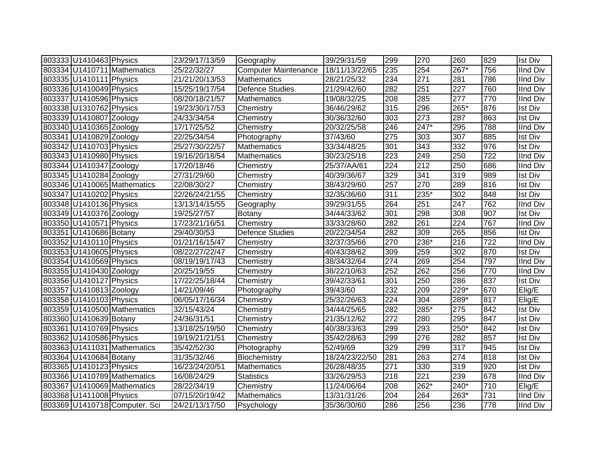| 803333 U1410463 Physics |                               | 23/29/17/13/59 | Geography                   | 39/29/31/59    | 299 | 270    | 260              | 829 | <b>Ist Div</b>  |
|-------------------------|-------------------------------|----------------|-----------------------------|----------------|-----|--------|------------------|-----|-----------------|
|                         | 803334 U1410711 Mathematics   | 25/22/32/27    | <b>Computer Maintenance</b> | 18/11/13/22/65 | 235 | 254    | 267*             | 756 | <b>IInd Div</b> |
| 803335 U1410111 Physics |                               | 21/21/20/13/53 | <b>Mathematics</b>          | 28/21/25/32    | 234 | 271    | 281              | 786 | <b>IInd Div</b> |
| 803336 U1410049 Physics |                               | 15/25/19/17/54 | <b>Defence Studies</b>      | 21/29/42/60    | 282 | 251    | $\overline{227}$ | 760 | <b>IInd Div</b> |
| 803337 U1410596 Physics |                               | 08/20/18/21/57 | Mathematics                 | 19/08/32/25    | 208 | 285    | 277              | 770 | <b>IInd Div</b> |
| 803338 U1310762 Physics |                               | 19/23/30/17/53 | Chemistry                   | 36/46/29/62    | 315 | 296    | 265*             | 876 | <b>Ist Div</b>  |
| 803339 U1410807 Zoology |                               | 24/33/34/54    | Chemistry                   | 30/36/32/60    | 303 | 273    | 287              | 863 | <b>Ist Div</b>  |
| 803340 U1410365 Zoology |                               | 17/17/25/52    | Chemistry                   | 20/32/25/58    | 246 | $247*$ | 295              | 788 | <b>IInd Div</b> |
| 803341 U1410829 Zoology |                               | 22/25/34/54    | Photography                 | 37/43/60       | 275 | 303    | 307              | 885 | <b>Ist Div</b>  |
| 803342 U1410703 Physics |                               | 25/27/30/22/57 | <b>Mathematics</b>          | 33/34/48/25    | 301 | 343    | 332              | 976 | <b>Ist Div</b>  |
| 803343 U1410980 Physics |                               | 19/16/20/18/54 | Mathematics                 | 30/23/25/18    | 223 | 249    | 250              | 722 | IInd Div        |
| 803344 U1410347 Zoology |                               | 17/20/18/46    | Chemistry                   | 25/37/AA/61    | 224 | 212    | 250              | 686 | IInd Div        |
| 803345 U1410284 Zoology |                               | 27/31/29/60    | Chemistry                   | 40/39/36/67    | 329 | 341    | 319              | 989 | <b>Ist Div</b>  |
|                         | 803346 U1410065 Mathematics   | 22/08/30/27    | Chemistry                   | 38/43/29/60    | 257 | 270    | 289              | 816 | <b>Ist Div</b>  |
| 803347 U1410202 Physics |                               | 22/26/24/21/55 | Chemistry                   | 32/35/36/60    | 311 | 235*   | 302              | 848 | <b>Ist Div</b>  |
| 803348 U1410136 Physics |                               | 13/13/14/15/55 | Geography                   | 39/29/31/55    | 264 | 251    | 247              | 762 | <b>IInd Div</b> |
| 803349 U1410376 Zoology |                               | 19/25/27/57    | Botany                      | 34/44/33/62    | 301 | 298    | 308              | 907 | <b>Ist Div</b>  |
| 803350 U1410571 Physics |                               | 17/23/21/16/51 | Chemistry                   | 33/33/28/60    | 282 | 261    | 224              | 767 | <b>IInd Div</b> |
| 803351 U1410686 Botany  |                               | 29/40/30/53    | <b>Defence Studies</b>      | 20/22/34/54    | 282 | 309    | 265              | 856 | <b>Ist Div</b>  |
| 803352 U1410110 Physics |                               | 01/21/16/15/47 | Chemistry                   | 32/37/35/66    | 270 | 236*   | 216              | 722 | <b>IInd Div</b> |
| 803353 U1410605 Physics |                               | 08/22/27/22/47 | Chemistry                   | 40/43/38/62    | 309 | 259    | 302              | 870 | <b>Ist Div</b>  |
| 803354 U1410569 Physics |                               | 08/19/19/17/43 | Chemistry                   | 38/34/32/64    | 274 | 269    | 254              | 797 | <b>IInd Div</b> |
| 803355 U1410430 Zoology |                               | 20/25/19/55    | Chemistry                   | 38/22/10/63    | 252 | 262    | 256              | 770 | <b>IInd Div</b> |
| 803356 U1410127 Physics |                               | 17/22/25/18/44 | Chemistry                   | 39/42/33/61    | 301 | 250    | 286              | 837 | <b>Ist Div</b>  |
| 803357 U1410813 Zoology |                               | 14/21/09/46    | Photography                 | 39/43/60       | 232 | 209    | 229*             | 670 | Elig/E          |
| 803358 U1410103 Physics |                               | 06/05/17/16/34 | Chemistry                   | 25/32/26/63    | 224 | 304    | 289*             | 817 | Elig/E          |
|                         | 803359 U1410500 Mathematics   | 32/15/43/24    | Chemistry                   | 34/44/25/65    | 282 | 285*   | 275              | 842 | <b>Ist Div</b>  |
| 803360 U1410639 Botany  |                               | 24/36/31/51    | Chemistry                   | 21/35/12/62    | 272 | 280    | 295              | 847 | <b>Ist Div</b>  |
| 803361 U1410769 Physics |                               | 13/18/25/19/50 | Chemistry                   | 40/38/33/63    | 299 | 293    | 250*             | 842 | <b>Ist Div</b>  |
| 803362 U1410586 Physics |                               | 19/19/21/21/51 | Chemistry                   | 35/42/28/63    | 299 | 276    | 282              | 857 | <b>Ist Div</b>  |
|                         | 803363 U1411031 Mathematics   | 35/42/52/30    | Photography                 | 52/49/69       | 329 | 299    | 317              | 945 | <b>Ist Div</b>  |
| 803364 U1410684 Botany  |                               | 31/35/32/46    | Biochemistry                | 18/24/23/22/50 | 281 | 263    | 274              | 818 | <b>Ist Div</b>  |
| 803365 U1410123 Physics |                               | 16/23/24/20/51 | <b>Mathematics</b>          | 26/28/48/35    | 271 | 330    | 319              | 920 | Ist Div         |
|                         | 803366 U1410789 Mathematics   | 16/08/24/29    | <b>Statistics</b>           | 33/26/29/53    | 218 | 221    | 239              | 678 | <b>IInd Div</b> |
|                         | 803367 U1410069 Mathematics   | 28/22/34/19    | Chemistry                   | 11/24/06/64    | 208 | 262*   | 240*             | 710 | Elig/E          |
| 803368 U1411008 Physics |                               | 07/15/20/19/42 | <b>Mathematics</b>          | 13/31/31/26    | 204 | 264    | 263*             | 731 | <b>IInd Div</b> |
|                         | 803369 U1410718 Computer. Sci | 24/21/13/17/50 | Psychology                  | 35/36/30/60    | 286 | 256    | 236              | 778 | <b>IInd Div</b> |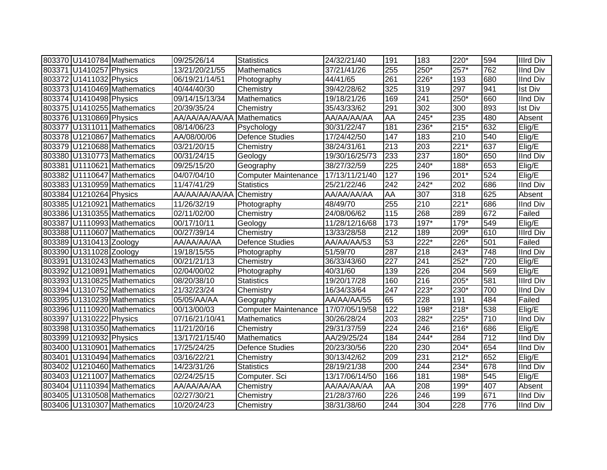|                         | 803370 U1410784 Mathematics | 09/25/26/14    | <b>Statistics</b>           | 24/32/21/40    | 191              | 183    | 220*             | 594 | <b>Illrd Div</b> |
|-------------------------|-----------------------------|----------------|-----------------------------|----------------|------------------|--------|------------------|-----|------------------|
| 803371 U1410257 Physics |                             | 13/21/20/21/55 | Mathematics                 | 37/21/41/26    | 255              | 250*   | $257*$           | 762 | <b>IInd Div</b>  |
| 803372 U1411032 Physics |                             | 06/19/21/14/51 | Photography                 | 44/41/65       | $\overline{261}$ | 226*   | 193              | 680 | <b>IInd Div</b>  |
|                         | 803373 U1410469 Mathematics | 40/44/40/30    | Chemistry                   | 39/42/28/62    | 325              | 319    | 297              | 941 | <b>Ist Div</b>   |
| 803374 U1410498 Physics |                             | 09/14/15/13/34 | Mathematics                 | 19/18/21/26    | 169              | 241    | $250*$           | 660 | <b>IInd Div</b>  |
|                         | 803375 U1410255 Mathematics | 20/39/35/24    | Chemistry                   | 35/43/33/62    | 291              | 302    | 300              | 893 | Ist Div          |
| 803376 U1310869 Physics |                             | AA/AA/AA/AA/AA | <b>Mathematics</b>          | AA/AA/AA/AA    | AA               | 245*   | 235              | 480 | Absent           |
|                         | 803377 U1311011 Mathematics | 08/14/06/23    | Psychology                  | 30/31/22/47    | 181              | $236*$ | $215*$           | 632 | Elig/E           |
|                         | 803378 U1210867 Mathematics | AA/08/00/06    | <b>Defence Studies</b>      | 17/24/42/50    | 147              | 183    | 210              | 540 | Elig/E           |
|                         | 803379 U1210688 Mathematics | 03/21/20/15    | Chemistry                   | 38/24/31/61    | 213              | 203    | $221*$           | 637 | Elig/E           |
|                         | 803380 U1310773 Mathematics | 00/31/24/15    | Geology                     | 19/30/16/25/73 | 233              | 237    | 180*             | 650 | IInd Div         |
|                         | 803381 U1110621 Mathematics | 09/25/15/20    | Geography                   | 38/27/32/59    | 225              | $240*$ | 188*             | 653 | Elig/E           |
|                         | 803382 U1110647 Mathematics | 04/07/04/10    | <b>Computer Maintenance</b> | 17/13/11/21/40 | 127              | 196    | $201*$           | 524 | Elig/E           |
|                         | 803383 U1310959 Mathematics | 11/47/41/29    | <b>Statistics</b>           | 25/21/22/46    | 242              | 242*   | 202              | 686 | <b>IInd Div</b>  |
| 803384 U1210264 Physics |                             | AA/AA/AA/AA/AA | Chemistry                   | AA/AA/AA/AA    | AA               | 307    | 318              | 625 | Absent           |
|                         | 803385 U1210921 Mathematics | 11/26/32/19    | Photography                 | 48/49/70       | 255              | 210    | $221*$           | 686 | IInd Div         |
|                         | 803386 U1310355 Mathematics | 02/11/02/00    | Chemistry                   | 24/08/06/62    | 115              | 268    | 289              | 672 | Failed           |
|                         | 803387 U1110993 Mathematics | 00/17/10/11    | Geology                     | 11/28/12/16/68 | 173              | $197*$ | $179*$           | 549 | Elig/E           |
|                         | 803388 U1110607 Mathematics | 00/27/39/14    | Chemistry                   | 13/33/28/58    | 212              | 189    | 209*             | 610 | <b>Illrd Div</b> |
| 803389 U1310413 Zoology |                             | AA/AA/AA/AA    | <b>Defence Studies</b>      | AA/AA/AA/53    | 53               | 222*   | 226*             | 501 | Failed           |
| 803390 U1311028 Zoology |                             | 19/18/15/55    | Photography                 | 51/59/70       | 287              | 218    | 243*             | 748 | <b>IInd Div</b>  |
|                         | 803391 U1310243 Mathematics | 00/21/21/13    | Chemistry                   | 36/33/43/60    | 227              | 241    | $252*$           | 720 | $E$ lig/E        |
|                         | 803392 U1210891 Mathematics | 02/04/00/02    | Photography                 | 40/31/60       | 139              | 226    | $\overline{204}$ | 569 | Elig/E           |
|                         | 803393 U1310825 Mathematics | 08/20/38/10    | <b>Statistics</b>           | 19/20/17/28    | 160              | 216    | $205*$           | 581 | <b>Illrd Div</b> |
|                         | 803394 U1310752 Mathematics | 21/32/23/24    | Chemistry                   | 16/34/33/64    | 247              | 223*   | 230*             | 700 | <b>IInd Div</b>  |
|                         | 803395 U1310239 Mathematics | 05/05/AA/AA    | Geography                   | AA/AA/AA/55    | 65               | 228    | 191              | 484 | Failed           |
|                         | 803396 U1110920 Mathematics | 00/13/00/03    | <b>Computer Maintenance</b> | 17/07/05/19/58 | 122              | 198*   | $218*$           | 538 | Elig/E           |
| 803397 U1310222 Physics |                             | 07/16/21/10/41 | <b>Mathematics</b>          | 30/26/28/24    | 203              | 282*   | $225*$           | 710 | <b>IInd Div</b>  |
|                         | 803398 U1310350 Mathematics | 11/21/20/16    | Chemistry                   | 29/31/37/59    | 224              | 246    | $216*$           | 686 | Elig/E           |
| 803399 U1210932 Physics |                             | 13/17/21/15/40 | <b>Mathematics</b>          | AA/29/25/24    | 184              | 244*   | 284              | 712 | IInd Div         |
|                         | 803400 U1310901 Mathematics | 17/25/24/25    | Defence Studies             | 20/23/30/56    | 220              | 230    | $204*$           | 654 | <b>IInd Div</b>  |
|                         | 803401 U1310494 Mathematics | 03/16/22/21    | Chemistry                   | 30/13/42/62    | 209              | 231    | $212*$           | 652 | Elig/E           |
|                         | 803402 U1210460 Mathematics | 14/23/31/26    | <b>Statistics</b>           | 28/19/21/38    | 200              | 244    | $234*$           | 678 | IInd Div         |
|                         | 803403 U1211007 Mathematics | 02/24/25/15    | Computer. Sci               | 13/17/06/14/50 | 166              | 181    | 198*             | 545 | Elig/E           |
|                         | 803404 U1110394 Mathematics | AA/AA/AA/AA    | Chemistry                   | AA/AA/AA/AA    | AA               | 208    | 199*             | 407 | Absent           |
|                         | 803405 U1310508 Mathematics | 02/27/30/21    | Chemistry                   | 21/28/37/60    | 226              | 246    | 199              | 671 | <b>IInd Div</b>  |
|                         | 803406 U1310307 Mathematics | 10/20/24/23    | Chemistry                   | 38/31/38/60    | 244              | 304    | 228              | 776 | IInd Div         |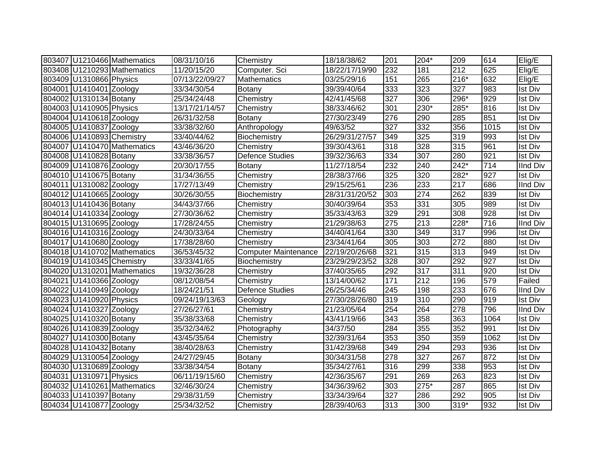|                           | 803407 U1210466 Mathematics | 08/31/10/16    | Chemistry                   | 18/18/38/62    | 201 | $204*$ | 209    | 614  | Elig/E          |
|---------------------------|-----------------------------|----------------|-----------------------------|----------------|-----|--------|--------|------|-----------------|
|                           | 803408 U1210293 Mathematics | 11/20/15/20    | Computer. Sci               | 18/22/17/19/90 | 232 | 181    | 212    | 625  | Elig/E          |
| 803409 U1310866 Physics   |                             | 07/13/22/09/27 | Mathematics                 | 03/25/29/16    | 151 | 265    | $216*$ | 632  | Elig/E          |
| 804001 U1410401 Zoology   |                             | 33/34/30/54    | Botany                      | 39/39/40/64    | 333 | 323    | 327    | 983  | <b>Ist Div</b>  |
| 804002 U1310134 Botany    |                             | 25/34/24/48    | Chemistry                   | 42/41/45/68    | 327 | 306    | $296*$ | 929  | <b>Ist Div</b>  |
| 804003 U1410905 Physics   |                             | 13/17/21/14/57 | Chemistry                   | 38/33/46/62    | 301 | 230*   | $285*$ | 816  | <b>Ist Div</b>  |
| 804004 U1410618 Zoology   |                             | 26/31/32/58    | <b>Botany</b>               | 27/30/23/49    | 276 | 290    | 285    | 851  | <b>Ist Div</b>  |
| 804005 U1410837 Zoology   |                             | 33/38/32/60    | Anthropology                | 49/63/52       | 327 | 332    | 356    | 1015 | <b>Ist Div</b>  |
| 804006 U1410893 Chemistry |                             | 33/40/44/62    | Biochemistry                | 26/29/31/27/57 | 349 | 325    | 319    | 993  | <b>Ist Div</b>  |
|                           | 804007 U1410470 Mathematics | 43/46/36/20    | Chemistry                   | 39/30/43/61    | 318 | 328    | 315    | 961  | <b>Ist Div</b>  |
| 804008 U1410828 Botany    |                             | 33/38/36/57    | <b>Defence Studies</b>      | 39/32/36/63    | 334 | 307    | 280    | 921  | <b>Ist Div</b>  |
| 804009 U1410876 Zoology   |                             | 20/30/17/55    | Botany                      | 11/27/18/54    | 232 | 240    | $242*$ | 714  | <b>IInd Div</b> |
| 804010 U1410675 Botany    |                             | 31/34/36/55    | Chemistry                   | 28/38/37/66    | 325 | 320    | 282*   | 927  | <b>Ist Div</b>  |
| 804011 U1310082 Zoology   |                             | 17/27/13/49    | Chemistry                   | 29/15/25/61    | 236 | 233    | 217    | 686  | <b>IInd Div</b> |
| 804012 U1410665 Zoology   |                             | 30/26/30/55    | Biochemistry                | 28/31/31/20/52 | 303 | 274    | 262    | 839  | <b>Ist Div</b>  |
| 804013 U1410436 Botany    |                             | 34/43/37/66    | Chemistry                   | 30/40/39/64    | 353 | 331    | 305    | 989  | <b>Ist Div</b>  |
| 804014 U1410334 Zoology   |                             | 27/30/36/62    | Chemistry                   | 35/33/43/63    | 329 | 291    | 308    | 928  | <b>Ist Div</b>  |
| 804015 U1310695 Zoology   |                             | 17/28/24/55    | Chemistry                   | 21/29/38/63    | 275 | 213    | 228*   | 716  | <b>IInd Div</b> |
| 804016 U1410316 Zoology   |                             | 24/30/33/64    | Chemistry                   | 34/40/41/64    | 330 | 349    | 317    | 996  | <b>Ist Div</b>  |
| 804017 U1410680 Zoology   |                             | 17/38/28/60    | Chemistry                   | 23/34/41/64    | 305 | 303    | 272    | 880  | <b>Ist Div</b>  |
|                           | 804018 U1410702 Mathematics | 36/53/45/32    | <b>Computer Maintenance</b> | 22/19/20/26/68 | 321 | 315    | 313    | 949  | <b>Ist Div</b>  |
| 804019 U1410345 Chemistry |                             | 33/33/41/65    | Biochemistry                | 23/29/29/23/52 | 328 | 307    | 292    | 927  | <b>Ist Div</b>  |
|                           | 804020 U1310201 Mathematics | 19/32/36/28    | Chemistry                   | 37/40/35/65    | 292 | 317    | 311    | 920  | <b>Ist Div</b>  |
| 804021 U1410366 Zoology   |                             | 08/12/08/54    | Chemistry                   | 13/14/00/62    | 171 | 212    | 196    | 579  | Failed          |
| 804022 U1410949 Zoology   |                             | 18/24/21/51    | <b>Defence Studies</b>      | 26/25/34/46    | 245 | 198    | 233    | 676  | <b>IInd Div</b> |
| 804023 U1410920 Physics   |                             | 09/24/19/13/63 | Geology                     | 27/30/28/26/80 | 319 | 310    | 290    | 919  | <b>Ist Div</b>  |
| 804024 U1410327 Zoology   |                             | 27/26/27/61    | Chemistry                   | 21/23/05/64    | 254 | 264    | 278    | 796  | <b>IInd Div</b> |
| 804025 U1410320 Botany    |                             | 35/38/33/68    | Chemistry                   | 43/41/19/66    | 343 | 358    | 363    | 1064 | <b>Ist Div</b>  |
| 804026 U1410839 Zoology   |                             | 35/32/34/62    | Photography                 | 34/37/50       | 284 | 355    | 352    | 991  | <b>Ist Div</b>  |
| 804027 U1410300 Botany    |                             | 43/45/35/64    | Chemistry                   | 32/39/31/64    | 353 | 350    | 359    | 1062 | <b>Ist Div</b>  |
| 804028 U1410432 Botany    |                             | 38/40/28/63    | Chemistry                   | 31/42/39/68    | 349 | 294    | 293    | 936  | <b>Ist Div</b>  |
| 804029 U1310054 Zoology   |                             | 24/27/29/45    | Botany                      | 30/34/31/58    | 278 | 327    | 267    | 872  | <b>Ist Div</b>  |
| 804030 U1310689 Zoology   |                             | 33/38/34/54    | Botany                      | 35/34/27/61    | 316 | 299    | 338    | 953  | <b>Ist Div</b>  |
| 804031 U1310971 Physics   |                             | 06/11/19/15/60 | Chemistry                   | 42/36/35/67    | 291 | 269    | 263    | 823  | <b>Ist Div</b>  |
|                           | 804032 U1410261 Mathematics | 32/46/30/24    | Chemistry                   | 34/36/39/62    | 303 | 275*   | 287    | 865  | <b>Ist Div</b>  |
| 804033 U1410397 Botany    |                             | 29/38/31/59    | Chemistry                   | 33/34/39/64    | 327 | 286    | 292    | 905  | <b>Ist Div</b>  |
| 804034 U1410877 Zoology   |                             | 25/34/32/52    | Chemistry                   | 28/39/40/63    | 313 | 300    | $319*$ | 932  | <b>Ist Div</b>  |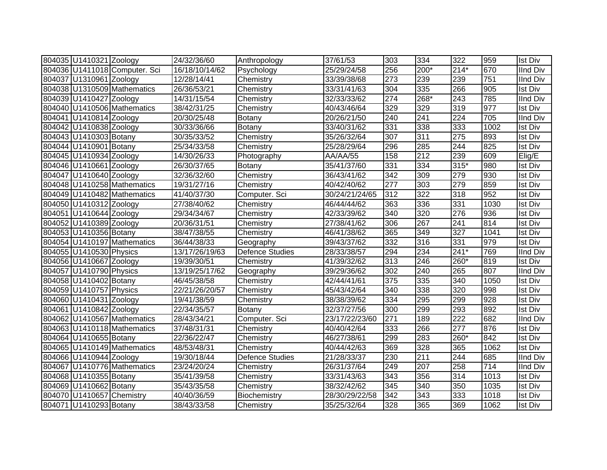| 804035 U1410321 Zoology   |                               | 24/32/36/60    | Anthropology           | 37/61/53       | 303 | 334              | 322              | 959  | <b>Ist Div</b>  |
|---------------------------|-------------------------------|----------------|------------------------|----------------|-----|------------------|------------------|------|-----------------|
|                           | 804036 U1411018 Computer. Sci | 16/18/10/14/62 | Psychology             | 25/29/24/58    | 256 | 200*             | $214*$           | 670  | <b>IInd Div</b> |
| 804037 U1310961 Zoology   |                               | 12/28/14/41    | Chemistry              | 33/39/38/68    | 273 | 239              | 239              | 751  | <b>IInd Div</b> |
|                           | 804038 U1310509 Mathematics   | 26/36/53/21    | Chemistry              | 33/31/41/63    | 304 | 335              | 266              | 905  | <b>Ist Div</b>  |
| 804039 U1410427 Zoology   |                               | 14/31/15/54    | Chemistry              | 32/33/33/62    | 274 | 268*             | 243              | 785  | <b>IInd Div</b> |
|                           | 804040 U1410506 Mathematics   | 38/42/31/25    | Chemistry              | 40/43/46/64    | 329 | 329              | 319              | 977  | <b>Ist Div</b>  |
| 804041 U1410814 Zoology   |                               | 20/30/25/48    | <b>Botany</b>          | 20/26/21/50    | 240 | 241              | 224              | 705  | <b>IInd Div</b> |
| 804042 U1410838 Zoology   |                               | 30/33/36/66    | Botany                 | 33/40/31/62    | 331 | 338              | 333              | 1002 | <b>Ist Div</b>  |
| 804043 U1410303 Botany    |                               | 30/35/33/52    | Chemistry              | 35/26/32/64    | 307 | 311              | 275              | 893  | <b>Ist Div</b>  |
| 804044 U1410901 Botany    |                               | 25/34/33/58    | Chemistry              | 25/28/29/64    | 296 | 285              | 244              | 825  | <b>Ist Div</b>  |
| 804045 U1410934 Zoology   |                               | 14/30/26/33    | Photography            | AA/AA/55       | 158 | 212              | 239              | 609  | Elig/E          |
| 804046 U1410661 Zoology   |                               | 26/30/37/65    | Botany                 | 35/41/37/60    | 331 | 334              | $315*$           | 980  | <b>Ist Div</b>  |
| 804047 U1410640 Zoology   |                               | 32/36/32/60    | Chemistry              | 36/43/41/62    | 342 | 309              | 279              | 930  | <b>Ist Div</b>  |
|                           | 804048 U1410258 Mathematics   | 19/31/27/16    | Chemistry              | 40/42/40/62    | 277 | 303              | 279              | 859  | <b>Ist Div</b>  |
|                           | 804049 U1410482 Mathematics   | 41/40/37/30    | Computer. Sci          | 30/24/21/24/65 | 312 | $\overline{322}$ | 318              | 952  | <b>Ist Div</b>  |
| 804050 U1410312 Zoology   |                               | 27/38/40/62    | Chemistry              | 46/44/44/62    | 363 | 336              | 331              | 1030 | <b>Ist Div</b>  |
| 804051 U1410644 Zoology   |                               | 29/34/34/67    | Chemistry              | 42/33/39/62    | 340 | 320              | 276              | 936  | <b>Ist Div</b>  |
| 804052 U1410389 Zoology   |                               | 20/36/31/51    | Chemistry              | 27/38/41/62    | 306 | 267              | 241              | 814  | <b>Ist Div</b>  |
| 804053 U1410356 Botany    |                               | 38/47/38/55    | Chemistry              | 46/41/38/62    | 365 | 349              | $\overline{327}$ | 1041 | <b>Ist Div</b>  |
|                           | 804054 U1410197 Mathematics   | 36/44/38/33    | Geography              | 39/43/37/62    | 332 | 316              | 331              | 979  | <b>Ist Div</b>  |
| 804055 U1410530 Physics   |                               | 13/17/26/19/63 | <b>Defence Studies</b> | 28/33/38/57    | 294 | 234              | $241*$           | 769  | <b>IInd Div</b> |
| 804056 U1410667 Zoology   |                               | 19/39/30/51    | Chemistry              | 41/39/32/62    | 313 | 246              | 260*             | 819  | <b>Ist Div</b>  |
| 804057 U1410790 Physics   |                               | 13/19/25/17/62 | Geography              | 39/29/36/62    | 302 | 240              | 265              | 807  | <b>IInd Div</b> |
| 804058 U1410402 Botany    |                               | 46/45/38/58    | Chemistry              | 42/44/41/61    | 375 | 335              | 340              | 1050 | <b>Ist Div</b>  |
| 804059 U1410757 Physics   |                               | 22/21/26/20/57 | Chemistry              | 45/43/42/64    | 340 | 338              | 320              | 998  | <b>Ist Div</b>  |
| 804060 U1410431 Zoology   |                               | 19/41/38/59    | Chemistry              | 38/38/39/62    | 334 | 295              | 299              | 928  | <b>Ist Div</b>  |
| 804061 U1410842 Zoology   |                               | 22/34/35/57    | Botany                 | 32/37/27/56    | 300 | 299              | 293              | 892  | <b>Ist Div</b>  |
|                           | 804062 U1410567 Mathematics   | 28/43/34/21    | Computer. Sci          | 23/17/22/23/60 | 271 | 189              | 222              | 682  | <b>IInd Div</b> |
|                           | 804063 U1410118 Mathematics   | 37/48/31/31    | Chemistry              | 40/40/42/64    | 333 | 266              | 277              | 876  | <b>Ist Div</b>  |
| 804064 U1410655 Botany    |                               | 22/36/22/47    | Chemistry              | 46/27/38/61    | 299 | 283              | 260*             | 842  | <b>Ist Div</b>  |
|                           | 804065 U1410149 Mathematics   | 48/53/48/31    | Chemistry              | 40/44/42/63    | 369 | 328              | 365              | 1062 | <b>Ist Div</b>  |
| 804066 U1410944 Zoology   |                               | 19/30/18/44    | Defence Studies        | 21/28/33/37    | 230 | 211              | 244              | 685  | <b>IInd Div</b> |
|                           | 804067 U1410776 Mathematics   | 23/24/20/24    | Chemistry              | 26/31/37/64    | 249 | 207              | 258              | 714  | <b>IInd Div</b> |
| 804068 U1410355 Botany    |                               | 35/41/39/58    | Chemistry              | 33/31/43/63    | 343 | 356              | 314              | 1013 | <b>Ist Div</b>  |
| 804069 U1410662 Botany    |                               | 35/43/35/58    | Chemistry              | 38/32/42/62    | 345 | 340              | 350              | 1035 | <b>Ist Div</b>  |
| 804070 U1410657 Chemistry |                               | 40/40/36/59    | Biochemistry           | 28/30/29/22/58 | 342 | 343              | 333              | 1018 | <b>Ist Div</b>  |
| 804071 U1410293 Botany    |                               | 38/43/33/58    | Chemistry              | 35/25/32/64    | 328 | 365              | 369              | 1062 | <b>Ist Div</b>  |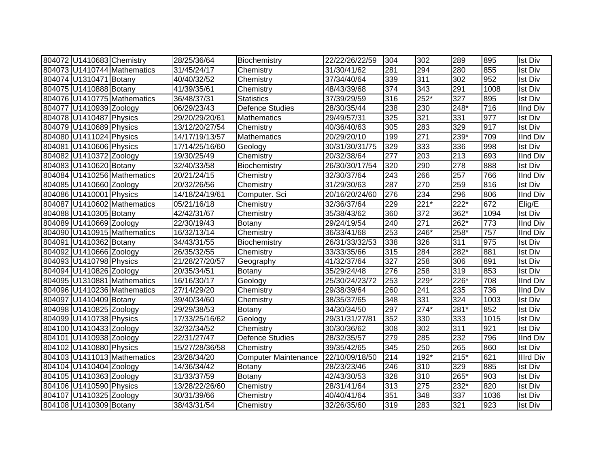| 804072 U1410683 Chemistry |                             | 28/25/36/64    | Biochemistry                | 22/22/26/22/59 | 304 | 302             | 289    | 895  | <b>Ist Div</b>   |
|---------------------------|-----------------------------|----------------|-----------------------------|----------------|-----|-----------------|--------|------|------------------|
|                           | 804073 U1410744 Mathematics | 31/45/24/17    | Chemistry                   | 31/30/41/62    | 281 | 294             | 280    | 855  | <b>Ist Div</b>   |
| 804074 U1310471 Botany    |                             | 40/40/32/52    | Chemistry                   | 37/34/40/64    | 339 | 311             | 302    | 952  | <b>Ist Div</b>   |
| 804075 U1410888 Botany    |                             | 41/39/35/61    | Chemistry                   | 48/43/39/68    | 374 | 343             | 291    | 1008 | <b>Ist Div</b>   |
|                           | 804076 U1410775 Mathematics | 36/48/37/31    | <b>Statistics</b>           | 37/39/29/59    | 316 | 252*            | 327    | 895  | <b>Ist Div</b>   |
| 804077 U1410939 Zoology   |                             | 06/29/23/43    | <b>Defence Studies</b>      | 28/30/35/44    | 238 | 230             | 248*   | 716  | <b>IInd Div</b>  |
| 804078 U1410487 Physics   |                             | 29/20/29/20/61 | <b>Mathematics</b>          | 29/49/57/31    | 325 | 321             | 331    | 977  | <b>Ist Div</b>   |
| 804079 U1410689 Physics   |                             | 13/12/20/27/54 | Chemistry                   | 40/36/40/63    | 305 | 283             | 329    | 917  | <b>Ist Div</b>   |
| 804080 U1411024 Physics   |                             | 14/17/19/13/57 | <b>Mathematics</b>          | 20/29/20/10    | 199 | 271             | 239*   | 709  | IInd Div         |
| 804081 U1410606 Physics   |                             | 17/14/25/16/60 | Geology                     | 30/31/30/31/75 | 329 | $\frac{1}{333}$ | 336    | 998  | <b>Ist Div</b>   |
| 804082 U1410372 Zoology   |                             | 19/30/25/49    | Chemistry                   | 20/32/38/64    | 277 | 203             | 213    | 693  | <b>IInd Div</b>  |
| 804083 U1410620 Botany    |                             | 32/40/33/58    | Biochemistry                | 26/30/30/17/54 | 320 | 290             | 278    | 888  | <b>Ist Div</b>   |
|                           | 804084 U1410256 Mathematics | 20/21/24/15    | Chemistry                   | 32/30/37/64    | 243 | 266             | 257    | 766  | <b>IInd Div</b>  |
| 804085 U1410660 Zoology   |                             | 20/32/26/56    | Chemistry                   | 31/29/30/63    | 287 | 270             | 259    | 816  | <b>Ist Div</b>   |
| 804086 U1410001 Physics   |                             | 14/18/24/19/61 | Computer. Sci               | 20/16/20/24/60 | 276 | 234             | 296    | 806  | <b>IInd Div</b>  |
|                           | 804087 U1410602 Mathematics | 05/21/16/18    | Chemistry                   | 32/36/37/64    | 229 | $221*$          | $222*$ | 672  | Elig/E           |
| 804088 U1410305 Botany    |                             | 42/42/31/67    | Chemistry                   | 35/38/43/62    | 360 | 372             | 362*   | 1094 | <b>Ist Div</b>   |
| 804089 U1410669 Zoology   |                             | 22/30/19/43    | Botany                      | 29/24/19/54    | 240 | 271             | 262*   | 773  | <b>IInd Div</b>  |
|                           | 804090 U1410915 Mathematics | 16/32/13/14    | Chemistry                   | 36/33/41/68    | 253 | 246*            | $258*$ | 757  | <b>IInd Div</b>  |
| 804091 U1410362 Botany    |                             | 34/43/31/55    | Biochemistry                | 26/31/33/32/53 | 338 | 326             | 311    | 975  | <b>Ist Div</b>   |
| 804092 U1410666 Zoology   |                             | 26/35/32/55    | Chemistry                   | 33/33/35/66    | 315 | 284             | 282*   | 881  | <b>Ist Div</b>   |
| 804093 U1410798 Physics   |                             | 21/28/27/20/57 | Geography                   | 41/32/37/64    | 327 | 258             | 306    | 891  | <b>Ist Div</b>   |
| 804094 U1410826 Zoology   |                             | 20/35/34/51    | Botany                      | 35/29/24/48    | 276 | 258             | 319    | 853  | <b>Ist Div</b>   |
|                           | 804095 U1310881 Mathematics | 16/16/30/17    | Geology                     | 25/30/24/23/72 | 253 | 229*            | 226*   | 708  | <b>IInd Div</b>  |
|                           | 804096 U1410236 Mathematics | 27/14/29/20    | Chemistry                   | 29/38/39/64    | 260 | 241             | 235    | 736  | <b>IInd Div</b>  |
| 804097 U1410409 Botany    |                             | 39/40/34/60    | Chemistry                   | 38/35/37/65    | 348 | 331             | 324    | 1003 | <b>Ist Div</b>   |
| 804098 U1410825 Zoology   |                             | 29/29/38/53    | Botany                      | 34/30/34/50    | 297 | $274*$          | $281*$ | 852  | <b>Ist Div</b>   |
| 804099 U1410738 Physics   |                             | 17/33/25/16/62 | Geology                     | 29/31/31/27/81 | 352 | 330             | 333    | 1015 | <b>Ist Div</b>   |
| 804100 U1410433 Zoology   |                             | 32/32/34/52    | Chemistry                   | 30/30/36/62    | 308 | 302             | 311    | 921  | <b>Ist Div</b>   |
| 804101 U1410938 Zoology   |                             | 22/31/27/47    | <b>Defence Studies</b>      | 28/32/35/57    | 279 | 285             | 232    | 796  | <b>IInd Div</b>  |
| 804102 U1410880 Physics   |                             | 15/27/28/36/58 | Chemistry                   | 39/35/42/65    | 345 | 250             | 265    | 860  | <b>Ist Div</b>   |
|                           | 804103 U1411013 Mathematics | 23/28/34/20    | <b>Computer Maintenance</b> | 22/10/09/18/50 | 214 | 192*            | $215*$ | 621  | <b>Illrd Div</b> |
| 804104 U1410404 Zoology   |                             | 14/36/34/42    | Botany                      | 28/23/23/46    | 246 | 310             | 329    | 885  | <b>Ist Div</b>   |
| 804105 U1410363 Zoology   |                             | 31/33/37/59    | Botany                      | 42/43/30/53    | 328 | 310             | 265*   | 903  | <b>Ist Div</b>   |
| 804106 U1410590 Physics   |                             | 13/28/22/26/60 | Chemistry                   | 28/31/41/64    | 313 | 275             | 232*   | 820  | <b>Ist Div</b>   |
| 804107 U1410325 Zoology   |                             | 30/31/39/66    | Chemistry                   | 40/40/41/64    | 351 | 348             | 337    | 1036 | <b>Ist Div</b>   |
| 804108 U1410309 Botany    |                             | 38/43/31/54    | Chemistry                   | 32/26/35/60    | 319 | 283             | 321    | 923  | <b>Ist Div</b>   |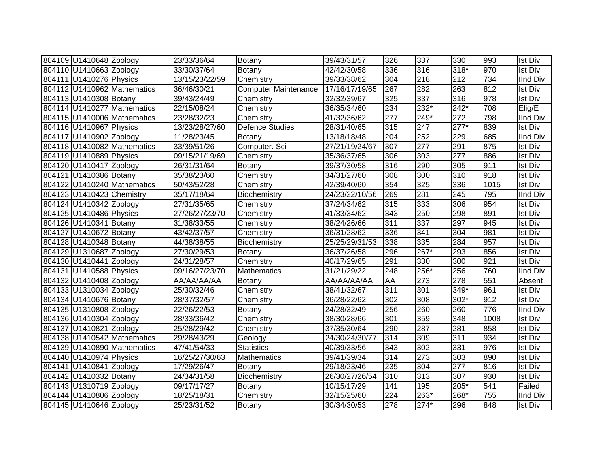| 804109 U1410648 Zoology   |                             | 23/33/36/64    | Botany                      | 39/43/31/57    | 326 | 337    | 330              | 993  | <b>Ist Div</b>  |
|---------------------------|-----------------------------|----------------|-----------------------------|----------------|-----|--------|------------------|------|-----------------|
| 804110 U1410663 Zoology   |                             | 33/30/37/64    | Botany                      | 42/42/30/58    | 336 | 316    | $318*$           | 970  | <b>Ist Div</b>  |
| 804111 U1410276 Physics   |                             | 13/15/23/22/59 | Chemistry                   | 39/33/38/62    | 304 | 218    | 212              | 734  | <b>IInd Div</b> |
|                           | 804112 U1410962 Mathematics | 36/46/30/21    | <b>Computer Maintenance</b> | 17/16/17/19/65 | 267 | 282    | 263              | 812  | <b>Ist Div</b>  |
| 804113 U1410308 Botany    |                             | 39/43/24/49    | Chemistry                   | 32/32/39/67    | 325 | 337    | 316              | 978  | <b>Ist Div</b>  |
|                           | 804114 U1410277 Mathematics | 22/15/08/24    | Chemistry                   | 36/35/34/60    | 234 | $232*$ | $242*$           | 708  | Elig/E          |
|                           | 804115 U1410006 Mathematics | 23/28/32/23    | Chemistry                   | 41/32/36/62    | 277 | 249*   | 272              | 798  | <b>IInd Div</b> |
| 804116 U1410967 Physics   |                             | 13/23/28/27/60 | <b>Defence Studies</b>      | 28/31/40/65    | 315 | 247    | $277*$           | 839  | <b>Ist Div</b>  |
| 804117 U1410902 Zoology   |                             | 11/28/23/45    | Botany                      | 13/18/18/48    | 204 | 252    | 229              | 685  | <b>IInd Div</b> |
|                           | 804118 U1410082 Mathematics | 33/39/51/26    | Computer. Sci               | 27/21/19/24/67 | 307 | 277    | 291              | 875  | <b>Ist Div</b>  |
| 804119 U1410889 Physics   |                             | 09/15/21/19/69 | Chemistry                   | 35/36/37/65    | 306 | 303    | 277              | 886  | <b>Ist Div</b>  |
| 804120 U1410417 Zoology   |                             | 26/31/31/64    | <b>Botany</b>               | 39/37/30/58    | 316 | 290    | 305              | 911  | <b>Ist Div</b>  |
| 804121 U1410386 Botany    |                             | 35/38/23/60    | Chemistry                   | 34/31/27/60    | 308 | 300    | 310              | 918  | <b>Ist Div</b>  |
|                           | 804122 U1410240 Mathematics | 50/43/52/28    | Chemistry                   | 42/39/40/60    | 354 | 325    | 336              | 1015 | <b>Ist Div</b>  |
| 804123 U1410423 Chemistry |                             | 35/17/18/64    | Biochemistry                | 24/23/22/10/56 | 269 | 281    | 245              | 795  | <b>IInd Div</b> |
| 804124 U1410342 Zoology   |                             | 27/31/35/65    | Chemistry                   | 37/24/34/62    | 315 | 333    | 306              | 954  | <b>Ist Div</b>  |
| 804125 U1410486 Physics   |                             | 27/26/27/23/70 | Chemistry                   | 41/33/34/62    | 343 | 250    | 298              | 891  | <b>Ist Div</b>  |
| 804126 U1410341 Botany    |                             | 31/38/33/55    | Chemistry                   | 38/24/26/66    | 311 | 337    | 297              | 945  | <b>Ist Div</b>  |
| 804127 U1410672 Botany    |                             | 43/42/37/57    | Chemistry                   | 36/31/28/62    | 336 | 341    | 304              | 981  | <b>Ist Div</b>  |
| 804128 U1410348 Botany    |                             | 44/38/38/55    | Biochemistry                | 25/25/29/31/53 | 338 | 335    | 284              | 957  | <b>Ist Div</b>  |
| 804129 U1310687 Zoology   |                             | 27/30/29/53    | <b>Botany</b>               | 36/37/26/58    | 296 | 267*   | 293              | 856  | <b>Ist Div</b>  |
| 804130 U1410441 Zoology   |                             | 24/31/28/57    | Chemistry                   | 40/17/29/65    | 291 | 330    | $\overline{300}$ | 921  | <b>Ist Div</b>  |
| 804131 U1410588 Physics   |                             | 09/16/27/23/70 | Mathematics                 | 31/21/29/22    | 248 | 256*   | 256              | 760  | <b>IInd Div</b> |
| 804132 U1410408 Zoology   |                             | AA/AA/AA/AA    | Botany                      | AA/AA/AA/AA    | AA  | 273    | 278              | 551  | Absent          |
| 804133 U1310034 Zoology   |                             | 25/30/32/46    | Chemistry                   | 38/41/32/67    | 311 | 301    | 349*             | 961  | <b>Ist Div</b>  |
| 804134 U1410676 Botany    |                             | 28/37/32/57    | Chemistry                   | 36/28/22/62    | 302 | 308    | $302*$           | 912  | <b>Ist Div</b>  |
| 804135 U1310808 Zoology   |                             | 22/26/22/53    | Botany                      | 24/28/32/49    | 256 | 260    | 260              | 776  | <b>IInd Div</b> |
| 804136 U1410304 Zoology   |                             | 28/33/36/42    | Chemistry                   | 38/30/28/66    | 301 | 359    | 348              | 1008 | <b>Ist Div</b>  |
| 804137 U1410821 Zoology   |                             | 25/28/29/42    | Chemistry                   | 37/35/30/64    | 290 | 287    | 281              | 858  | <b>Ist Div</b>  |
|                           | 804138 U1410542 Mathematics | 29/28/43/29    | Geology                     | 24/30/24/30/77 | 314 | 309    | 311              | 934  | <b>Ist Div</b>  |
|                           | 804139 U1410890 Mathematics | 47/41/54/33    | <b>Statistics</b>           | 40/39/33/56    | 343 | 302    | 331              | 976  | <b>Ist Div</b>  |
| 804140 U1410974 Physics   |                             | 16/25/27/30/63 | Mathematics                 | 39/41/39/34    | 314 | 273    | 303              | 890  | <b>Ist Div</b>  |
| 804141 U1410841 Zoology   |                             | 17/29/26/47    | Botany                      | 29/18/23/46    | 235 | 304    | 277              | 816  | <b>Ist Div</b>  |
| 804142 U1410332 Botany    |                             | 24/34/31/58    | <b>Biochemistry</b>         | 26/30/27/26/54 | 310 | 313    | 307              | 930  | <b>Ist Div</b>  |
| 804143 U1310719 Zoology   |                             | 09/17/17/27    | Botany                      | 10/15/17/29    | 141 | 195    | 205*             | 541  | Failed          |
| 804144 U1410806 Zoology   |                             | 18/25/18/31    | Chemistry                   | 32/15/25/60    | 224 | 263*   | 268*             | 755  | <b>IInd Div</b> |
| 804145 U1410646 Zoology   |                             | 25/23/31/52    | Botany                      | 30/34/30/53    | 278 | $274*$ | 296              | 848  | <b>Ist Div</b>  |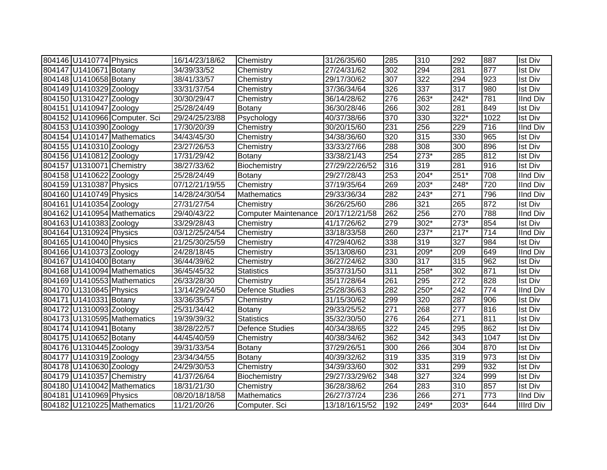| 804146 U1410774 Physics   |                               | 16/14/23/18/62 | Chemistry                   | 31/26/35/60    | 285 | 310              | 292              | 887  | <b>Ist Div</b>  |
|---------------------------|-------------------------------|----------------|-----------------------------|----------------|-----|------------------|------------------|------|-----------------|
| 804147 U1410671 Botany    |                               | 34/39/33/52    | Chemistry                   | 27/24/31/62    | 302 | 294              | 281              | 877  | <b>Ist Div</b>  |
| 804148 U1410658 Botany    |                               | 38/41/33/57    | Chemistry                   | 29/17/30/62    | 307 | 322              | 294              | 923  | <b>Ist Div</b>  |
| 804149 U1410329 Zoology   |                               | 33/31/37/54    | Chemistry                   | 37/36/34/64    | 326 | 337              | 317              | 980  | <b>Ist Div</b>  |
| 804150 U1310427 Zoology   |                               | 30/30/29/47    | Chemistry                   | 36/14/28/62    | 276 | 263*             | 242*             | 781  | <b>IInd Div</b> |
| 804151 U1410947 Zoology   |                               | 25/28/24/49    | <b>Botany</b>               | 36/30/28/46    | 266 | 302              | 281              | 849  | <b>Ist Div</b>  |
|                           | 804152 U1410966 Computer. Sci | 29/24/25/23/88 | Psychology                  | 40/37/38/66    | 370 | 330              | 322*             | 1022 | <b>Ist Div</b>  |
| 804153 U1410390 Zoology   |                               | 17/30/20/39    | Chemistry                   | 30/20/15/60    | 231 | 256              | 229              | 716  | <b>IInd Div</b> |
|                           | 804154 U1410147 Mathematics   | 34/43/45/30    | Chemistry                   | 34/38/36/60    | 320 | 315              | 330              | 965  | <b>Ist Div</b>  |
| 804155 U1410310 Zoology   |                               | 23/27/26/53    | Chemistry                   | 33/33/27/66    | 288 | $\overline{308}$ | $\overline{300}$ | 896  | <b>Ist Div</b>  |
| 804156 U1410812 Zoology   |                               | 17/31/29/42    | <b>Botany</b>               | 33/38/21/43    | 254 | $273*$           | 285              | 812  | <b>Ist Div</b>  |
| 804157 U1310071 Chemistry |                               | 38/27/33/62    | Biochemistry                | 27/29/22/26/52 | 316 | 319              | 281              | 916  | <b>Ist Div</b>  |
| 804158 U1410622 Zoology   |                               | 25/28/24/49    | Botany                      | 29/27/28/43    | 253 | $204*$           | $251*$           | 708  | <b>IInd Div</b> |
| 804159 U1310387 Physics   |                               | 07/12/21/19/55 | Chemistry                   | 37/19/35/64    | 269 | 203*             | 248*             | 720  | <b>IInd Div</b> |
| 804160 U1410749 Physics   |                               | 14/28/24/30/54 | Mathematics                 | 29/33/36/34    | 282 | 243*             | 271              | 796  | <b>IInd Div</b> |
| 804161 U1410354 Zoology   |                               | 27/31/27/54    | Chemistry                   | 36/26/25/60    | 286 | 321              | 265              | 872  | <b>Ist Div</b>  |
|                           | 804162 U1410954 Mathematics   | 29/40/43/22    | <b>Computer Maintenance</b> | 20/17/12/21/58 | 262 | 256              | 270              | 788  | <b>IInd Div</b> |
| 804163 U1410383 Zoology   |                               | 33/29/28/43    | Chemistry                   | 41/17/26/62    | 279 | $302*$           | $273*$           | 854  | <b>Ist Div</b>  |
| 804164 U1310924 Physics   |                               | 03/12/25/24/54 | Chemistry                   | 33/18/33/58    | 260 | $237*$           | $217*$           | 714  | <b>IInd Div</b> |
| 804165 U1410040 Physics   |                               | 21/25/30/25/59 | Chemistry                   | 47/29/40/62    | 338 | 319              | 327              | 984  | <b>Ist Div</b>  |
| 804166 U1410373 Zoology   |                               | 24/28/18/45    | Chemistry                   | 35/13/08/60    | 231 | 209*             | 209              | 649  | <b>IInd Div</b> |
| 804167 U1410400 Botany    |                               | 36/44/39/62    | Chemistry                   | 36/27/24/62    | 330 | 317              | 315              | 962  | <b>Ist Div</b>  |
|                           | 804168 U1410094 Mathematics   | 36/45/45/32    | <b>Statistics</b>           | 35/37/31/50    | 311 | 258*             | 302              | 871  | <b>Ist Div</b>  |
|                           | 804169 U1410553 Mathematics   | 26/33/28/30    | Chemistry                   | 35/17/28/64    | 261 | 295              | 272              | 828  | <b>Ist Div</b>  |
| 804170 U1310845 Physics   |                               | 13/14/29/24/50 | <b>Defence Studies</b>      | 25/28/36/63    | 282 | 250*             | 242              | 774  | <b>IInd Div</b> |
| 804171 U1410331 Botany    |                               | 33/36/35/57    | Chemistry                   | 31/15/30/62    | 299 | 320              | 287              | 906  | <b>Ist Div</b>  |
| 804172 U1310093 Zoology   |                               | 25/31/34/42    | Botany                      | 29/33/25/52    | 271 | 268              | 277              | 816  | <b>Ist Div</b>  |
|                           | 804173 U1310595 Mathematics   | 19/39/39/32    | <b>Statistics</b>           | 35/32/30/50    | 276 | 264              | 271              | 811  | <b>Ist Div</b>  |
| 804174 U1410941 Botany    |                               | 38/28/22/57    | <b>Defence Studies</b>      | 40/34/38/65    | 322 | 245              | 295              | 862  | <b>Ist Div</b>  |
| 804175 U1410652 Botany    |                               | 44/45/40/59    | Chemistry                   | 40/38/34/62    | 362 | 342              | 343              | 1047 | <b>Ist Div</b>  |
| 804176 U1310445 Zoology   |                               | 39/31/33/54    | Botany                      | 37/29/26/51    | 300 | 266              | 304              | 870  | <b>Ist Div</b>  |
| 804177 U1410319 Zoology   |                               | 23/34/34/55    | Botany                      | 40/39/32/62    | 319 | 335              | 319              | 973  | <b>Ist Div</b>  |
| 804178 U1410630 Zoology   |                               | 24/29/30/53    | Chemistry                   | 34/39/33/60    | 302 | 331              | 299              | 932  | <b>Ist Div</b>  |
| 804179 U1410357 Chemistry |                               | 41/37/26/64    | Biochemistry                | 29/27/33/29/62 | 348 | 327              | 324              | 999  | <b>Ist Div</b>  |
|                           | 804180 U1410042 Mathematics   | 18/31/21/30    | Chemistry                   | 36/28/38/62    | 264 | 283              | 310              | 857  | <b>Ist Div</b>  |
| 804181 U1410969 Physics   |                               | 08/20/18/18/58 | Mathematics                 | 26/27/37/24    | 236 | 266              | 271              | 773  | <b>IInd Div</b> |
|                           | 804182 U1210225 Mathematics   | 11/21/20/26    | Computer. Sci               | 13/18/16/15/52 | 192 | 249*             | $203*$           | 644  | Illrd Div       |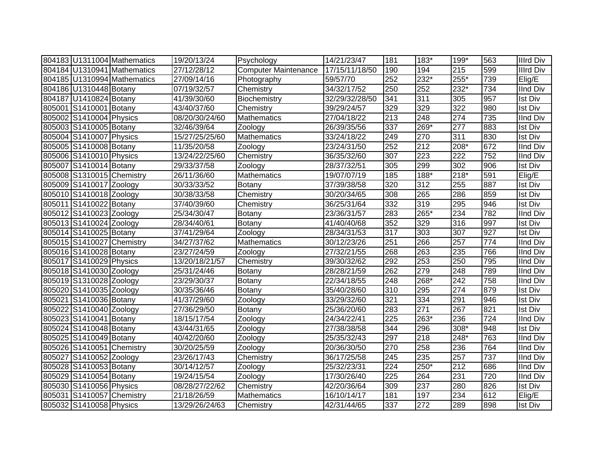|                           | 804183 U1311004 Mathematics | 19/20/13/24    | Psychology                  | 14/21/23/47    | 181 | 183*   | 199*             | 563 | Illrd Div       |
|---------------------------|-----------------------------|----------------|-----------------------------|----------------|-----|--------|------------------|-----|-----------------|
|                           | 804184 U1310941 Mathematics | 27/12/28/12    | <b>Computer Maintenance</b> | 17/15/11/18/50 | 190 | 194    | 215              | 599 | Illrd Div       |
|                           | 804185 U1310994 Mathematics | 27/09/14/16    | Photography                 | 59/57/70       | 252 | 232*   | 255*             | 739 | Elig/E          |
| 804186 U1310448 Botany    |                             | 07/19/32/57    | Chemistry                   | 34/32/17/52    | 250 | 252    | 232*             | 734 | <b>IInd Div</b> |
| 804187 U1410824 Botany    |                             | 41/39/30/60    | Biochemistry                | 32/29/32/28/50 | 341 | 311    | 305              | 957 | <b>Ist Div</b>  |
| 805001 S1410001 Botany    |                             | 43/40/37/60    | Chemistry                   | 39/29/24/57    | 329 | 329    | $\overline{322}$ | 980 | <b>Ist Div</b>  |
| 805002 S1410004 Physics   |                             | 08/20/30/24/60 | Mathematics                 | 27/04/18/22    | 213 | 248    | $\overline{274}$ | 735 | <b>IInd Div</b> |
| 805003 S1410005 Botany    |                             | 32/46/39/64    | Zoology                     | 26/39/35/56    | 337 | $269*$ | $\overline{277}$ | 883 | <b>Ist Div</b>  |
| 805004 S1410007 Physics   |                             | 15/27/25/25/60 | Mathematics                 | 33/24/18/22    | 249 | 270    | $\overline{311}$ | 830 | <b>Ist Div</b>  |
| 805005 S1410008 Botany    |                             | 11/35/20/58    | Zoology                     | 23/24/31/50    | 252 | 212    | 208*             | 672 | <b>IInd Div</b> |
| 805006 S1410010 Physics   |                             | 13/24/22/25/60 | Chemistry                   | 36/35/32/60    | 307 | 223    | 222              | 752 | <b>IInd Div</b> |
| 805007 S1410014 Botany    |                             | 29/33/37/58    | Zoology                     | 28/37/32/51    | 305 | 299    | 302              | 906 | <b>Ist Div</b>  |
| 805008 S1310015 Chemistry |                             | 26/11/36/60    | Mathematics                 | 19/07/07/19    | 185 | $188*$ | $218*$           | 591 | Elig/E          |
| 805009 S1410017 Zoology   |                             | 30/33/33/52    | <b>Botany</b>               | 37/39/38/58    | 320 | 312    | 255              | 887 | <b>Ist Div</b>  |
| 805010 S1410018 Zoology   |                             | 30/38/33/58    | Chemistry                   | 30/20/34/65    | 308 | 265    | 286              | 859 | <b>Ist Div</b>  |
| 805011 S1410022 Botany    |                             | 37/40/39/60    | Chemistry                   | 36/25/31/64    | 332 | 319    | 295              | 946 | <b>Ist Div</b>  |
| 805012 S1410023 Zoology   |                             | 25/34/30/47    | Botany                      | 23/36/31/57    | 283 | 265*   | 234              | 782 | <b>IInd Div</b> |
| 805013 S1410024 Zoology   |                             | 28/34/40/61    | Botany                      | 41/40/40/68    | 352 | 329    | 316              | 997 | <b>Ist Div</b>  |
| 805014 S1410025 Botany    |                             | 37/41/29/64    | Zoology                     | 28/34/31/53    | 317 | 303    | 307              | 927 | <b>Ist Div</b>  |
| 805015 S1410027 Chemistry |                             | 34/27/37/62    | Mathematics                 | 30/12/23/26    | 251 | 266    | 257              | 774 | <b>IInd Div</b> |
| 805016 S1410028 Botany    |                             | 23/27/24/59    | Zoology                     | 27/32/21/55    | 268 | 263    | 235              | 766 | <b>IInd Div</b> |
| 805017 S1410029 Physics   |                             | 13/20/18/21/57 | Chemistry                   | 39/30/32/62    | 292 | 253    | $\overline{250}$ | 795 | <b>IInd Div</b> |
| 805018 S1410030 Zoology   |                             | 25/31/24/46    | Botany                      | 28/28/21/59    | 262 | 279    | 248              | 789 | <b>IInd Div</b> |
| 805019 S1310028 Zoology   |                             | 23/29/30/37    | Botany                      | 22/34/18/55    | 248 | 268*   | 242              | 758 | <b>IInd Div</b> |
| 805020 S1410035 Zoology   |                             | 30/35/36/46    | Botany                      | 35/40/28/60    | 310 | 295    | 274              | 879 | <b>Ist Div</b>  |
| 805021 S1410036 Botany    |                             | 41/37/29/60    | Zoology                     | 33/29/32/60    | 321 | 334    | 291              | 946 | <b>Ist Div</b>  |
| 805022 S1410040 Zoology   |                             | 27/36/29/50    | Botany                      | 25/36/20/60    | 283 | 271    | 267              | 821 | <b>Ist Div</b>  |
| 805023 S1410041 Botany    |                             | 18/15/17/54    | Zoology                     | 24/34/22/41    | 225 | 263*   | 236              | 724 | <b>IInd Div</b> |
| 805024 S1410048 Botany    |                             | 43/44/31/65    | Zoology                     | 27/38/38/58    | 344 | 296    | 308*             | 948 | <b>Ist Div</b>  |
| 805025 S1410049 Botany    |                             | 40/42/20/60    | Zoology                     | 25/35/32/43    | 297 | 218    | 248*             | 763 | <b>IInd Div</b> |
| 805026 S1410051 Chemistry |                             | 30/20/25/59    | Zoology                     | 20/36/30/50    | 270 | 258    | 236              | 764 | <b>IInd Div</b> |
| 805027 S1410052 Zoology   |                             | 23/26/17/43    | Chemistry                   | 36/17/25/58    | 245 | 235    | 257              | 737 | <b>IInd Div</b> |
| 805028 S1410053 Botany    |                             | 30/14/12/57    | Zoology                     | 25/32/23/31    | 224 | 250*   | 212              | 686 | <b>IInd Div</b> |
| 805029 S1410054 Botany    |                             | 19/24/15/54    | Zoology                     | 17/30/26/40    | 225 | 264    | 231              | 720 | <b>IInd Div</b> |
| 805030 S1410056 Physics   |                             | 08/28/27/22/62 | Chemistry                   | 42/20/36/64    | 309 | 237    | 280              | 826 | Ist Div         |
| 805031 S1410057 Chemistry |                             | 21/18/26/59    | Mathematics                 | 16/10/14/17    | 181 | 197    | 234              | 612 | Elig/E          |
| 805032 S1410058 Physics   |                             | 13/29/26/24/63 | Chemistry                   | 42/31/44/65    | 337 | 272    | 289              | 898 | <b>Ist Div</b>  |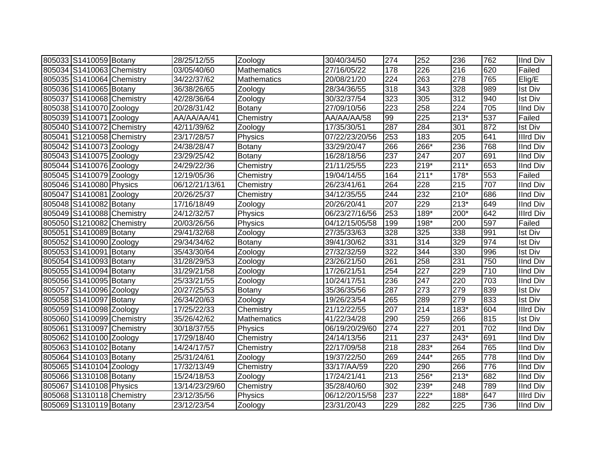| 805033 S1410059 Botany    | 28/25/12/55    | Zoology            | 30/40/34/50    | 274 | 252    | 236    | 762 | <b>IInd Div</b>  |
|---------------------------|----------------|--------------------|----------------|-----|--------|--------|-----|------------------|
| 805034 S1410063 Chemistry | 03/05/40/60    | <b>Mathematics</b> | 27/16/05/22    | 178 | 226    | 216    | 620 | Failed           |
| 805035 S1410064 Chemistry | 34/22/37/62    | Mathematics        | 20/08/21/20    | 224 | 263    | 278    | 765 | Elig/E           |
| 805036 S1410065 Botany    | 36/38/26/65    | Zoology            | 28/34/36/55    | 318 | 343    | 328    | 989 | <b>Ist Div</b>   |
| 805037 S1410068 Chemistry | 42/28/36/64    | Zoology            | 30/32/37/54    | 323 | 305    | 312    | 940 | <b>Ist Div</b>   |
| 805038 S1410070 Zoology   | 20/28/31/42    | Botany             | 27/09/10/56    | 223 | 258    | 224    | 705 | <b>IInd Div</b>  |
| 805039 S1410071 Zoology   | AA/AA/AA/41    | Chemistry          | AA/AA/AA/58    | 99  | 225    | $213*$ | 537 | Failed           |
| 805040 S1410072 Chemistry | 42/11/39/62    | Zoology            | 17/35/30/51    | 287 | 284    | 301    | 872 | <b>Ist Div</b>   |
| 805041 S1210058 Chemistry | 23/17/28/57    | Physics            | 07/22/23/20/56 | 253 | 183    | 205    | 641 | <b>Illrd Div</b> |
| 805042 S1410073 Zoology   | 24/38/28/47    | <b>Botany</b>      | 33/29/20/47    | 266 | 266*   | 236    | 768 | <b>IInd Div</b>  |
| 805043 S1410075 Zoology   | 23/29/25/42    | Botany             | 16/28/18/56    | 237 | 247    | 207    | 691 | <b>IInd Div</b>  |
| 805044 S1410076 Zoology   | 24/29/22/36    | Chemistry          | 21/11/25/55    | 223 | $219*$ | $211*$ | 653 | <b>IInd Div</b>  |
| 805045 S1410079 Zoology   | 12/19/05/36    | Chemistry          | 19/04/14/55    | 164 | $211*$ | 178*   | 553 | Failed           |
| 805046 S1410080 Physics   | 06/12/21/13/61 | Chemistry          | 26/23/41/61    | 264 | 228    | 215    | 707 | <b>IInd Div</b>  |
| 805047 S1410081 Zoology   | 20/26/25/37    | Chemistry          | 34/12/35/55    | 244 | 232    | $210*$ | 686 | <b>IInd Div</b>  |
| 805048 S1410082 Botany    | 17/16/18/49    | Zoology            | 20/26/20/41    | 207 | 229    | $213*$ | 649 | <b>IInd Div</b>  |
| 805049 S1410088 Chemistry | 24/12/32/57    | Physics            | 06/23/27/16/56 | 253 | 189*   | 200*   | 642 | <b>Illrd Div</b> |
| 805050 S1210082 Chemistry | 20/03/26/56    | Physics            | 04/12/15/05/58 | 199 | 198*   | 200    | 597 | Failed           |
| 805051 S1410089 Botany    | 29/41/32/68    | Zoology            | 27/35/33/63    | 328 | 325    | 338    | 991 | <b>Ist Div</b>   |
| 805052 S1410090 Zoology   | 29/34/34/62    | Botany             | 39/41/30/62    | 331 | 314    | 329    | 974 | <b>Ist Div</b>   |
| 805053 S1410091 Botany    | 35/43/30/64    | Zoology            | 27/32/32/59    | 322 | 344    | 330    | 996 | <b>Ist Div</b>   |
| 805054 S1410093 Botany    | 31/28/29/53    | Zoology            | 23/26/21/50    | 261 | 258    | 231    | 750 | <b>IInd Div</b>  |
| 805055 S1410094 Botany    | 31/29/21/58    | Zoology            | 17/26/21/51    | 254 | 227    | 229    | 710 | <b>IInd Div</b>  |
| 805056 S1410095 Botany    | 25/33/21/55    | Zoology            | 10/24/17/51    | 236 | 247    | 220    | 703 | <b>IInd Div</b>  |
| 805057 S1410096 Zoology   | 20/27/25/53    | Botany             | 35/36/35/56    | 287 | 273    | 279    | 839 | <b>Ist Div</b>   |
| 805058 S1410097 Botany    | 26/34/20/63    | Zoology            | 19/26/23/54    | 265 | 289    | 279    | 833 | <b>Ist Div</b>   |
| 805059 S1410098 Zoology   | 17/25/22/33    | Chemistry          | 21/12/22/55    | 207 | 214    | 183*   | 604 | <b>Illrd Div</b> |
| 805060 S1410099 Chemistry | 35/26/42/62    | Mathematics        | 41/22/34/28    | 290 | 259    | 266    | 815 | <b>Ist Div</b>   |
| 805061 S1310097 Chemistry | 30/18/37/55    | Physics            | 06/19/20/29/60 | 274 | 227    | 201    | 702 | <b>IInd Div</b>  |
| 805062 S1410100 Zoology   | 17/29/18/40    | Chemistry          | 24/14/13/56    | 211 | 237    | 243*   | 691 | <b>IInd Div</b>  |
| 805063 S1410102 Botany    | 14/24/17/57    | Chemistry          | 22/17/09/58    | 218 | 283*   | 264    | 765 | <b>IInd Div</b>  |
| 805064 S1410103 Botany    | 25/31/24/61    | Zoology            | 19/37/22/50    | 269 | 244*   | 265    | 778 | <b>IInd Div</b>  |
| 805065 S1410104 Zoology   | 17/32/13/49    | Chemistry          | 33/17/AA/59    | 220 | 290    | 266    | 776 | <b>IInd Div</b>  |
| 805066 S1310108 Botany    | 15/24/18/53    | Zoology            | 17/24/21/41    | 213 | 256*   | $213*$ | 682 | <b>IInd Div</b>  |
| 805067 S1410108 Physics   | 13/14/23/29/60 | Chemistry          | 35/28/40/60    | 302 | 239*   | 248    | 789 | <b>IInd Div</b>  |
| 805068 S1310118 Chemistry | 23/12/35/56    | Physics            | 06/12/20/15/58 | 237 | 222*   | 188*   | 647 | <b>Illrd Div</b> |
| 805069 S1310119 Botany    | 23/12/23/54    | Zoology            | 23/31/20/43    | 229 | 282    | 225    | 736 | <b>IInd Div</b>  |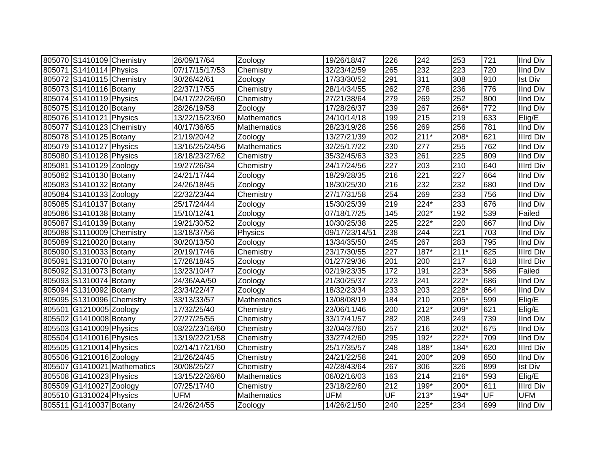| 805070 S1410109 Chemistry |                             | 26/09/17/64    | Zoology            | 19/26/18/47    | 226 | 242    | 253              | 721              | <b>IInd Div</b>  |
|---------------------------|-----------------------------|----------------|--------------------|----------------|-----|--------|------------------|------------------|------------------|
| 805071 S1410114 Physics   |                             | 07/17/15/17/53 | Chemistry          | 32/23/42/59    | 265 | 232    | $\overline{223}$ | $\overline{720}$ | <b>IInd Div</b>  |
| 805072 S1410115 Chemistry |                             | 30/26/42/61    | Zoology            | 17/33/30/52    | 291 | 311    | 308              | 910              | <b>Ist Div</b>   |
| 805073 S1410116 Botany    |                             | 22/37/17/55    | Chemistry          | 28/14/34/55    | 262 | 278    | 236              | 776              | <b>IInd Div</b>  |
| 805074 S1410119 Physics   |                             | 04/17/22/26/60 | Chemistry          | 27/21/38/64    | 279 | 269    | 252              | 800              | <b>IInd Div</b>  |
| 805075 S1410120 Botany    |                             | 28/26/19/58    | Zoology            | 17/28/26/37    | 239 | 267    | 266*             | 772              | <b>IInd Div</b>  |
| 805076 S1410121 Physics   |                             | 13/22/15/23/60 | <b>Mathematics</b> | 24/10/14/18    | 199 | 215    | 219              | 633              | Elig/E           |
| 805077 S1410123 Chemistry |                             | 40/17/36/65    | Mathematics        | 28/23/19/28    | 256 | 269    | 256              | 781              | <b>IInd Div</b>  |
| 805078 S1410125 Botany    |                             | 21/19/20/42    | Zoology            | 13/27/21/39    | 202 | $211*$ | $208*$           | 621              | <b>Illrd Div</b> |
| 805079 S1410127 Physics   |                             | 13/16/25/24/56 | <b>Mathematics</b> | 32/25/17/22    | 230 | 277    | 255              | 762              | <b>IInd Div</b>  |
| 805080 S1410128 Physics   |                             | 18/18/23/27/62 | Chemistry          | 35/32/45/63    | 323 | 261    | $\overline{225}$ | 809              | <b>IInd Div</b>  |
| 805081 S1410129 Zoology   |                             | 19/27/26/34    | Chemistry          | 24/17/24/56    | 227 | 203    | $\overline{210}$ | 640              | <b>Illrd Div</b> |
| 805082 S1410130 Botany    |                             | 24/21/17/44    | Zoology            | 18/29/28/35    | 216 | 221    | $\overline{227}$ | 664              | <b>IInd Div</b>  |
| 805083 S1410132 Botany    |                             | 24/26/18/45    | Zoology            | 18/30/25/30    | 216 | 232    | 232              | 680              | <b>IInd Div</b>  |
| 805084 S1410133 Zoology   |                             | 22/32/23/44    | Chemistry          | 27/17/31/58    | 254 | 269    | 233              | 756              | <b>IInd Div</b>  |
| 805085 S1410137 Botany    |                             | 25/17/24/44    | Zoology            | 15/30/25/39    | 219 | 224*   | 233              | 676              | <b>IInd Div</b>  |
| 805086 S1410138 Botany    |                             | 15/10/12/41    | Zoology            | 07/18/17/25    | 145 | 202*   | 192              | 539              | Failed           |
| 805087 S1410139 Botany    |                             | 19/21/30/52    | Zoology            | 10/30/25/38    | 225 | 222*   | 220              | 667              | <b>IInd Div</b>  |
| 805088 S1110009 Chemistry |                             | 13/18/37/56    | Physics            | 09/17/23/14/51 | 238 | 244    | 221              | 703              | <b>IInd Div</b>  |
| 805089 S1210020 Botany    |                             | 30/20/13/50    | Zoology            | 13/34/35/50    | 245 | 267    | 283              | 795              | <b>IInd Div</b>  |
| 805090 S1310033 Botany    |                             | 20/19/17/46    | Chemistry          | 23/17/30/55    | 227 | 187*   | $211*$           | 625              | <b>Illrd Div</b> |
| 805091 S1310070 Botany    |                             | 17/28/18/45    | Zoology            | 01/27/29/36    | 201 | 200    | $\overline{217}$ | 618              | <b>Illrd Div</b> |
| 805092 S1310073 Botany    |                             | 13/23/10/47    | Zoology            | 02/19/23/35    | 172 | 191    | $223*$           | 586              | Failed           |
| 805093 S1310074 Botany    |                             | 24/36/AA/50    | Zoology            | 21/30/25/37    | 223 | 241    | $222*$           | 686              | <b>IInd Div</b>  |
| 805094 S1310092 Botany    |                             | 23/34/22/47    | Zoology            | 18/32/23/34    | 233 | 203    | 228*             | 664              | <b>IInd Div</b>  |
| 805095 S1310096 Chemistry |                             | 33/13/33/57    | Mathematics        | 13/08/08/19    | 184 | 210    | 205*             | 599              | Elig/E           |
| 805501 G1210005 Zoology   |                             | 17/32/25/40    | Chemistry          | 23/06/11/46    | 200 | $212*$ | 209*             | 621              | Elig/E           |
| 805502 G1410008 Botany    |                             | 27/27/25/55    | Chemistry          | 33/17/41/57    | 282 | 208    | 249              | 739              | <b>IInd Div</b>  |
| 805503 G1410009 Physics   |                             | 03/22/23/16/60 | Chemistry          | 32/04/37/60    | 257 | 216    | $202*$           | 675              | <b>IInd Div</b>  |
| 805504 G1410016 Physics   |                             | 13/19/22/21/58 | Chemistry          | 33/27/42/60    | 295 | 192*   | 222*             | 709              | <b>IInd Div</b>  |
| 805505 G1210014 Physics   |                             | 02/14/17/21/60 | Chemistry          | 25/17/35/57    | 248 | 188*   | 184*             | 620              | <b>Illrd Div</b> |
| 805506 G1210016 Zoology   |                             | 21/26/24/45    | Chemistry          | 24/21/22/58    | 241 | 200*   | 209              | 650              | <b>IInd Div</b>  |
|                           | 805507 G1410021 Mathematics | 30/08/25/27    | Chemistry          | 42/28/43/64    | 267 | 306    | 326              | 899              | <b>Ist Div</b>   |
| 805508 G1410023 Physics   |                             | 13/15/22/26/60 | <b>Mathematics</b> | 06/02/16/03    | 163 | 214    | $216*$           | 593              | Elig/E           |
| 805509 G1410027 Zoology   |                             | 07/25/17/40    | Chemistry          | 23/18/22/60    | 212 | 199*   | 200*             | 611              | <b>Illrd Div</b> |
| 805510 G1310024 Physics   |                             | <b>UFM</b>     | Mathematics        | <b>UFM</b>     | UF  | $213*$ | 194*             | UF               | <b>UFM</b>       |
| 805511 G1410037 Botany    |                             | 24/26/24/55    | Zoology            | 14/26/21/50    | 240 | 225*   | 234              | 699              | <b>IInd Div</b>  |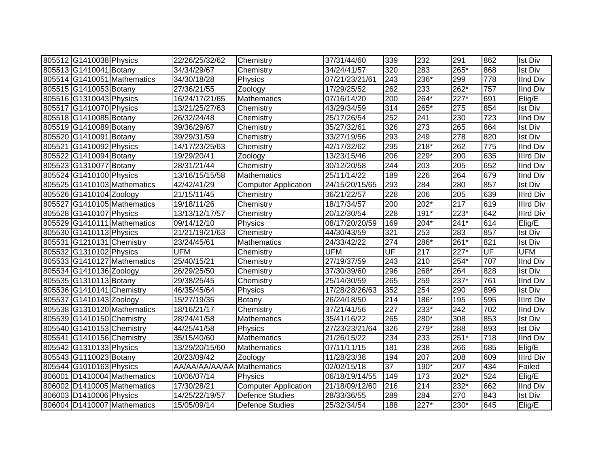| 805512 G1410038 Physics   |                             | 22/26/25/32/62             | Chemistry                   | 37/31/44/60    | 339              | 232    | 291                | 862 | <b>Ist Div</b>   |
|---------------------------|-----------------------------|----------------------------|-----------------------------|----------------|------------------|--------|--------------------|-----|------------------|
| 805513 G1410041 Botany    |                             | 34/34/29/67                | Chemistry                   | 34/24/41/57    | 320              | 283    | 265*               | 868 | <b>Ist Div</b>   |
|                           | 805514 G1410051 Mathematics | 34/30/18/28                | Physics                     | 07/21/23/21/61 | 243              | 236*   | 299                | 778 | <b>IInd Div</b>  |
| 805515 G1410053 Botany    |                             | 27/36/21/55                | Zoology                     | 17/29/25/52    | 262              | 233    | 262*               | 757 | <b>IInd Div</b>  |
| 805516 G1310043 Physics   |                             | 16/24/17/21/65             | <b>Mathematics</b>          | 07/16/14/20    | 200              | 264*   | $\overline{227^*}$ | 691 | Elig/E           |
| 805517 G1410070 Physics   |                             | 13/21/25/27/63             | Chemistry                   | 43/29/34/59    | $\overline{314}$ | $265*$ | $\overline{275}$   | 854 | <b>Ist Div</b>   |
| 805518 G1410085 Botany    |                             | 26/32/24/48                | Chemistry                   | 25/17/26/54    | 252              | 241    | 230                | 723 | <b>IInd Div</b>  |
| 805519 G1410089 Botany    |                             | 39/36/29/67                | Chemistry                   | 35/27/32/61    | 326              | 273    | 265                | 864 | <b>Ist Div</b>   |
| 805520 G1410091 Botany    |                             | 39/29/31/59                | Chemistry                   | 33/27/19/56    | 293              | 249    | $\overline{278}$   | 820 | <b>Ist Div</b>   |
| 805521 G1410092 Physics   |                             | 14/17/23/25/63             | Chemistry                   | 42/17/32/62    | 295              | $218*$ | 262                | 775 | <b>IInd Div</b>  |
| 805522 G1410094 Botany    |                             | 19/29/20/41                | Zoology                     | 13/23/15/46    | 206              | 229*   | 200                | 635 | Illrd Div        |
| 805523 G1310077 Botany    |                             | 28/31/21/44                | Chemistry                   | 30/12/20/58    | 244              | 203    | 205                | 652 | IInd Div         |
| 805524 G1410100 Physics   |                             | 13/16/15/15/58             | <b>Mathematics</b>          | 25/11/14/22    | 189              | 226    | 264                | 679 | <b>IInd Div</b>  |
|                           | 805525 G1410103 Mathematics | 42/42/41/29                | <b>Computer Application</b> | 24/15/20/15/65 | 293              | 284    | 280                | 857 | <b>Ist Div</b>   |
| 805526 G1410104 Zoology   |                             | 21/15/11/45                | Chemistry                   | 36/21/22/57    | 228              | 206    | 205                | 639 | <b>Illrd Div</b> |
|                           | 805527 G1410105 Mathematics | 19/18/11/26                | Chemistry                   | 18/17/34/57    | 200              | 202*   | 217                | 619 | <b>Illrd Div</b> |
| 805528 G1410107 Physics   |                             | 13/13/12/17/57             | Chemistry                   | 20/12/30/54    | 228              | $191*$ | 223*               | 642 | Illrd Div        |
|                           | 805529 G1410111 Mathematics | 09/14/12/10                | Physics                     | 08/17/20/20/59 | 169              | 204*   | $241*$             | 614 | Elig/E           |
| 805530 G1410113 Physics   |                             | 21/21/19/21/63             | Chemistry                   | 44/30/43/59    | 321              | 253    | 283                | 857 | <b>Ist Div</b>   |
| 805531 G1210131 Chemistry |                             | 23/24/45/61                | <b>Mathematics</b>          | 24/33/42/22    | 274              | 286*   | $261*$             | 821 | <b>Ist Div</b>   |
| 805532 G1310102 Physics   |                             | UFM                        | Chemistry                   | <b>UFM</b>     | UF               | 217    | 227*               | UF  | <b>UFM</b>       |
|                           | 805533 G1410127 Mathematics | 25/40/15/21                | Chemistry                   | 27/19/37/59    | 243              | 210    | $254*$             | 707 | <b>IInd Div</b>  |
| 805534 G1410136 Zoology   |                             | 26/29/25/50                | Chemistry                   | 37/30/39/60    | 296              | 268*   | 264                | 828 | <b>Ist Div</b>   |
| 805535 G1310113 Botany    |                             | 29/38/25/45                | Chemistry                   | 25/14/30/59    | 265              | 259    | $237*$             | 761 | <b>IInd Div</b>  |
| 805536 G1410141 Chemistry |                             | 46/35/45/64                | Physics                     | 17/28/28/26/63 | 352              | 254    | 290                | 896 | <b>Ist Div</b>   |
| 805537 G1410143 Zoology   |                             | 15/27/19/35                | Botany                      | 26/24/18/50    | 214              | 186*   | 195                | 595 | <b>Illrd Div</b> |
|                           | 805538 G1310120 Mathematics | 18/16/21/17                | Chemistry                   | 37/21/41/56    | 227              | 233*   | 242                | 702 | <b>IInd Div</b>  |
| 805539 G1410150 Chemistry |                             | 28/24/41/58                | <b>Mathematics</b>          | 35/41/16/22    | 265              | 280*   | 308                | 853 | <b>Ist Div</b>   |
| 805540 G1410153 Chemistry |                             | 44/25/41/58                | Physics                     | 27/23/23/21/64 | 326              | 279*   | 288                | 893 | <b>Ist Div</b>   |
| 805541 G1410156 Chemistry |                             | 35/15/40/60                | Mathematics                 | 21/26/15/22    | 234              | 233    | $251*$             | 718 | <b>IInd Div</b>  |
| 805542 G1310133 Physics   |                             | 13/29/20/15/60             | Mathematics                 | 07/11/11/15    | 181              | 238    | 266                | 685 | Elig/E           |
| 805543 G1110023 Botany    |                             | 20/23/09/42                | Zoology                     | 11/28/23/38    | 194              | 207    | 208                | 609 | <b>Illrd Div</b> |
| 805544 G1010163 Physics   |                             | AA/AA/AA/AA/AA Mathematics |                             | 02/02/15/18    | 37               | 190*   | 207                | 434 | Failed           |
|                           | 806001 D1410004 Mathematics | 10/06/07/14                | Physics                     | 06/18/19/14/55 | 149              | 173    | $202*$             | 524 | Elig/E           |
|                           | 806002 D1410005 Mathematics | 17/30/28/21                | <b>Computer Application</b> | 21/18/09/12/60 | 216              | 214    | 232*               | 662 | IInd Div         |
| 806003 D1410006 Physics   |                             | 14/25/22/19/57             | <b>Defence Studies</b>      | 28/33/36/55    | 289              | 284    | 270                | 843 | <b>Ist Div</b>   |
|                           | 806004 D1410007 Mathematics | 15/05/09/14                | Defence Studies             | 25/32/34/54    | 188              | $227*$ | $230*$             | 645 | Elig/E           |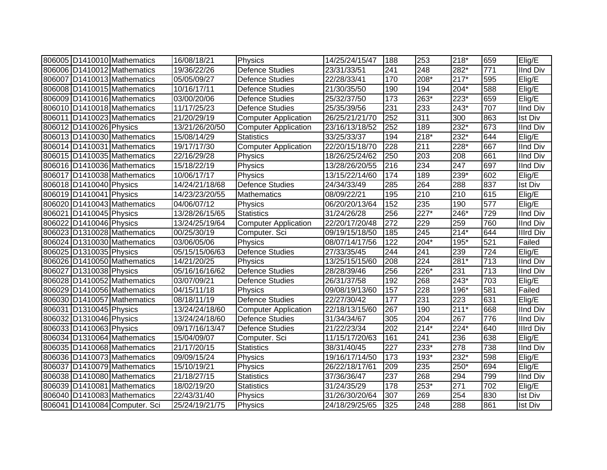|                         | 806005   D1410010   Mathematics | 16/08/18/21    | Physics                     | 14/25/24/15/47 | 188              | 253              | 218*             | 659              | Elig/E           |
|-------------------------|---------------------------------|----------------|-----------------------------|----------------|------------------|------------------|------------------|------------------|------------------|
|                         | 806006 D1410012 Mathematics     | 19/36/22/26    | <b>Defence Studies</b>      | 23/31/33/51    | 241              | 248              | 282*             | 771              | <b>IInd Div</b>  |
|                         | 806007 D1410013 Mathematics     | 05/05/09/27    | <b>Defence Studies</b>      | 22/28/33/41    | 170              | 208*             | $217*$           | 595              | Elig/E           |
|                         | 806008 D1410015 Mathematics     | 10/16/17/11    | Defence Studies             | 21/30/35/50    | 190              | 194              | 204*             | 588              | Elig/E           |
|                         | 806009 D1410016 Mathematics     | 03/00/20/06    | Defence Studies             | 25/32/37/50    | 173              | 263*             | 223*             | 659              | Elig/E           |
|                         | 806010   D1410018   Mathematics | 11/17/25/23    | <b>Defence Studies</b>      | 25/35/39/56    | 231              | 233              | 243*             | 707              | <b>IInd Div</b>  |
|                         | 806011   D1410023   Mathematics | 21/20/29/19    | <b>Computer Application</b> | 26/25/21/21/70 | 252              | 311              | 300              | 863              | <b>Ist Div</b>   |
| 806012 D1410026 Physics |                                 | 13/21/26/20/50 | <b>Computer Application</b> | 23/16/13/18/52 | 252              | 189              | $232*$           | 673              | <b>IInd Div</b>  |
|                         | 806013   D1410030   Mathematics | 15/08/14/29    | <b>Statistics</b>           | 33/25/33/37    | 194              | $218*$           | $232*$           | 644              | Elig/E           |
|                         | 806014 D1410031 Mathematics     | 19/17/17/30    | <b>Computer Application</b> | 22/20/15/18/70 | 228              | 211              | $228*$           | 667              | <b>IInd Div</b>  |
|                         | 806015 D1410035 Mathematics     | 22/16/29/28    | Physics                     | 18/26/25/24/62 | 250              | $\overline{203}$ | 208              | 661              | <b>IInd Div</b>  |
|                         | 806016 D1410036 Mathematics     | 15/18/22/19    | Physics                     | 13/28/26/20/55 | 216              | 234              | $\overline{247}$ | 697              | <b>IInd Div</b>  |
|                         | 806017   D1410038   Mathematics | 10/06/17/17    | Physics                     | 13/15/22/14/60 | 174              | 189              | 239*             | 602              | Elig/E           |
| 806018 D1410040 Physics |                                 | 14/24/21/18/68 | <b>Defence Studies</b>      | 24/34/33/49    | 285              | 264              | 288              | 837              | <b>Ist Div</b>   |
| 806019 D1410041 Physics |                                 | 14/23/23/20/55 | Mathematics                 | 08/09/22/21    | 195              | 210              | 210              | 615              | Elig/E           |
|                         | 806020 D1410043 Mathematics     | 04/06/07/12    | Physics                     | 06/20/20/13/64 | 152              | $\overline{235}$ | 190              | 577              | Elig/E           |
| 806021 D1410045 Physics |                                 | 13/28/26/15/65 | <b>Statistics</b>           | 31/24/26/28    | 256              | $227*$           | $246*$           | 729              | <b>IInd Div</b>  |
| 806022 D1410046 Physics |                                 | 13/24/25/19/64 | <b>Computer Application</b> | 22/20/17/20/48 | 272              | 229              | 259              | 760              | <b>IInd Div</b>  |
|                         | 806023 D1310028 Mathematics     | 00/25/30/19    | Computer. Sci               | 09/19/15/18/50 | 185              | 245              | $214*$           | 644              | <b>Illrd Div</b> |
|                         | 806024   D1310030   Mathematics | 03/06/05/06    | Physics                     | 08/07/14/17/56 | 122              | $204*$           | 195*             | 521              | Failed           |
| 806025 D1310035 Physics |                                 | 05/15/15/06/63 | <b>Defence Studies</b>      | 27/33/35/45    | 244              | 241              | 239              | 724              | Elig/E           |
|                         | 806026 D1410050 Mathematics     | 14/21/20/25    | Physics                     | 13/25/15/15/60 | 208              | 224              | $281*$           | 713              | <b>IInd Div</b>  |
| 806027 D1310038 Physics |                                 | 05/16/16/16/62 | <b>Defence Studies</b>      | 28/28/39/46    | 256              | 226*             | 231              | $\overline{713}$ | <b>IInd Div</b>  |
|                         | 806028 D1410052 Mathematics     | 03/07/09/21    | <b>Defence Studies</b>      | 26/31/37/58    | 192              | 268              | $243*$           | 703              | Elig/E           |
|                         | 806029 D1410056 Mathematics     | 04/15/11/18    | Physics                     | 09/08/19/13/60 | 157              | 228              | 196*             | 581              | Failed           |
|                         | 806030 D1410057 Mathematics     | 08/18/11/19    | <b>Defence Studies</b>      | 22/27/30/42    | 177              | 231              | $\overline{223}$ | 631              | Elig/E           |
| 806031 D1310045 Physics |                                 | 13/24/24/18/60 | <b>Computer Application</b> | 22/18/13/15/60 | 267              | 190              | $211*$           | 668              | <b>IInd Div</b>  |
| 806032 D1310046 Physics |                                 | 13/24/24/18/60 | <b>Defence Studies</b>      | 31/34/34/67    | 305              | 204              | 267              | 776              | <b>IInd Div</b>  |
| 806033 D1410063 Physics |                                 | 09/17/16/13/47 | <b>Defence Studies</b>      | 21/22/23/34    | $\overline{202}$ | $214*$           | $224*$           | 640              | <b>Illrd Div</b> |
|                         | 806034 D1310064 Mathematics     | 15/04/09/07    | Computer. Sci               | 11/15/17/20/63 | 161              | 241              | 236              | 638              | Elig/E           |
|                         | 806035   D1410068   Mathematics | 21/17/20/15    | <b>Statistics</b>           | 38/31/40/45    | 227              | 233*             | $\overline{278}$ | 738              | <b>IInd Div</b>  |
|                         | 806036 D1410073 Mathematics     | 09/09/15/24    | Physics                     | 19/16/17/14/50 | 173              | 193*             | 232*             | 598              | Elig/E           |
|                         | 806037 D1410079 Mathematics     | 15/10/19/21    | Physics                     | 26/22/18/17/61 | 209              | 235              | 250*             | 694              | Elig/E           |
|                         | 806038 D1410080 Mathematics     | 21/18/27/15    | <b>Statistics</b>           | 37/36/36/47    | 237              | 268              | 294              | 799              | IInd Div         |
|                         | 806039 D1410081 Mathematics     | 18/02/19/20    | <b>Statistics</b>           | 31/24/35/29    | 178              | 253*             | 271              | 702              | Elig/E           |
|                         | 806040 D1410083 Mathematics     | 22/43/31/40    | Physics                     | 31/26/30/20/64 | 307              | 269              | 254              | 830              | <b>Ist Div</b>   |
|                         | 806041 D1410084 Computer. Sci   | 25/24/19/21/75 | Physics                     | 24/18/29/25/65 | 325              | 248              | 288              | 861              | <b>Ist Div</b>   |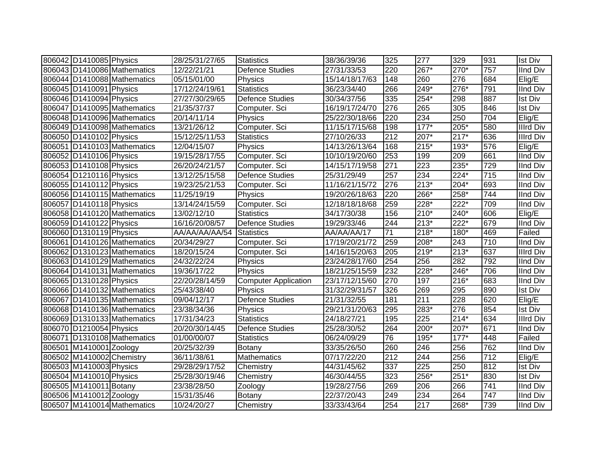| 806042 D1410085 Physics   |                             | 28/25/31/27/65 | <b>Statistics</b>           | 38/36/39/36    | 325              | 277    | 329                | 931              | <b>Ist Div</b>   |
|---------------------------|-----------------------------|----------------|-----------------------------|----------------|------------------|--------|--------------------|------------------|------------------|
|                           | 806043 D1410086 Mathematics | 12/22/21/21    | Defence Studies             | 27/31/33/53    | 220              | $267*$ | $270*$             | 757              | <b>IInd Div</b>  |
|                           | 806044 D1410088 Mathematics | 05/15/01/00    | Physics                     | 15/14/18/17/63 | 148              | 260    | 276                | 684              | Elig/E           |
| 806045 D1410091 Physics   |                             | 17/12/24/19/61 | <b>Statistics</b>           | 36/23/34/40    | 266              | 249*   | 276*               | 791              | <b>IInd Div</b>  |
| 806046 D1410094 Physics   |                             | 27/27/30/29/65 | <b>Defence Studies</b>      | 30/34/37/56    | 335              | $254*$ | 298                | 887              | <b>Ist Div</b>   |
|                           | 806047 D1410095 Mathematics | 21/35/37/37    | Computer. Sci               | 16/19/17/24/70 | 276              | 265    | $\overline{305}$   | 846              | <b>Ist Div</b>   |
|                           | 806048 D1410096 Mathematics | 20/14/11/14    | Physics                     | 25/22/30/18/66 | 220              | 234    | 250                | 704              | Elig/E           |
|                           | 806049 D1410098 Mathematics | 13/21/26/12    | Computer. Sci               | 11/15/17/15/68 | 198              | $177*$ | $205*$             | 580              | <b>Illrd Div</b> |
| 806050 D1410102 Physics   |                             | 15/12/25/11/53 | <b>Statistics</b>           | 27/10/26/33    | $\overline{212}$ | 207*   | $\overline{217^*}$ | 636              | <b>Illrd Div</b> |
|                           | 806051 D1410103 Mathematics | 12/04/15/07    | Physics                     | 14/13/26/13/64 | 168              | $215*$ | 193*               | 576              | Elig/E           |
| 806052 D1410106 Physics   |                             | 19/15/28/17/55 | Computer. Sci               | 10/10/19/20/60 | 253              | 199    | 209                | 661              | <b>IInd Div</b>  |
| 806053 D1410108 Physics   |                             | 26/20/24/21/57 | Computer. Sci               | 14/15/17/19/58 | 271              | 223    | 235*               | 729              | <b>IInd Div</b>  |
| 806054 D1210116 Physics   |                             | 13/12/25/15/58 | <b>Defence Studies</b>      | 25/31/29/49    | 257              | 234    | 224*               | 715              | <b>IInd Div</b>  |
| 806055 D1410112 Physics   |                             | 19/23/25/21/53 | Computer. Sci               | 11/16/21/15/72 | 276              | $213*$ | 204*               | 693              | <b>IInd Div</b>  |
|                           | 806056 D1410115 Mathematics | 11/25/19/19    | Physics                     | 19/20/26/18/63 | 220              | 266*   | 258*               | 744              | <b>IInd Div</b>  |
| 806057 D1410118 Physics   |                             | 13/14/24/15/59 | Computer. Sci               | 12/18/18/18/68 | 259              | 228*   | 222*               | 709              | IInd Div         |
|                           | 806058 D1410120 Mathematics | 13/02/12/10    | <b>Statistics</b>           | 34/17/30/38    | 156              | $210*$ | 240*               | 606              | Elig/E           |
| 806059 D1410122 Physics   |                             | 16/16/20/08/57 | <b>Defence Studies</b>      | 19/29/33/46    | 244              | $213*$ | 222*               | 679              | <b>IInd Div</b>  |
| 806060 D1310119 Physics   |                             | AA/AA/AA/AA/54 | <b>Statistics</b>           | AA/AA/AA/17    | 71               | $218*$ | 180*               | 469              | Failed           |
|                           | 806061 D1410126 Mathematics | 20/34/29/27    | Computer. Sci               | 17/19/20/21/72 | 259              | 208*   | 243                | 710              | <b>IInd Div</b>  |
|                           | 806062 D1310123 Mathematics | 18/20/15/24    | Computer. Sci               | 14/16/15/20/63 | 205              | 219*   | $213*$             | 637              | <b>Illrd Div</b> |
|                           | 806063 D1410129 Mathematics | 24/32/22/24    | Physics                     | 23/24/28/17/60 | 254              | 256    | 282                | 792              | <b>IInd Div</b>  |
|                           | 806064 D1410131 Mathematics | 19/36/17/22    | Physics                     | 18/21/25/15/59 | 232              | 228*   | 246*               | 706              | <b>IInd Div</b>  |
| 806065 D1310128 Physics   |                             | 22/20/28/14/59 | <b>Computer Application</b> | 23/17/12/15/60 | 270              | 197    | $216*$             | 683              | <b>IInd Div</b>  |
|                           | 806066 D1410132 Mathematics | 25/43/38/40    | Physics                     | 31/32/29/31/57 | 326              | 269    | 295                | 890              | <b>Ist Div</b>   |
|                           | 806067 D1410135 Mathematics | 09/04/12/17    | <b>Defence Studies</b>      | 21/31/32/55    | 181              | 211    | $\overline{228}$   | 620              | Elig/E           |
|                           | 806068 D1410136 Mathematics | 23/38/34/36    | Physics                     | 29/21/31/20/63 | 295              | 283*   | 276                | 854              | <b>Ist Div</b>   |
|                           | 806069 D1310133 Mathematics | 17/31/34/23    | <b>Statistics</b>           | 24/18/27/21    | 195              | 225    | $214*$             | 634              | <b>Illrd Div</b> |
| 806070 D1210054 Physics   |                             | 20/20/30/14/45 | <b>Defence Studies</b>      | 25/28/30/52    | 264              | 200*   | $207*$             | 671              | <b>IInd Div</b>  |
|                           | 806071 D1310108 Mathematics | 01/00/00/07    | <b>Statistics</b>           | 06/24/09/29    | $\overline{76}$  | 195*   | $177*$             | 448              | Failed           |
| 806501 M1410001 Zoology   |                             | 20/25/32/39    | Botany                      | 33/35/26/50    | 260              | 246    | 256                | 762              | <b>IInd Div</b>  |
| 806502 M1410002 Chemistry |                             | 36/11/38/61    | <b>Mathematics</b>          | 07/17/22/20    | 212              | 244    | 256                | 712              | Elig/E           |
| 806503 M1410003 Physics   |                             | 29/28/29/17/52 | Chemistry                   | 44/31/45/62    | 337              | 225    | 250                | $\overline{8}12$ | <b>Ist Div</b>   |
| 806504 M1410010 Physics   |                             | 25/28/30/19/46 | Chemistry                   | 46/30/44/55    | 323              | 256*   | $251*$             | 830              | <b>Ist Div</b>   |
| 806505 M1410011 Botany    |                             | 23/38/28/50    | Zoology                     | 19/28/27/56    | 269              | 206    | 266                | 741              | <b>IInd Div</b>  |
| 806506 M1410012 Zoology   |                             | 15/31/35/46    | Botany                      | 22/37/20/43    | 249              | 234    | 264                | 747              | <b>IInd Div</b>  |
|                           | 806507 M1410014 Mathematics | 10/24/20/27    | Chemistry                   | 33/33/43/64    | 254              | 217    | 268*               | 739              | IInd Div         |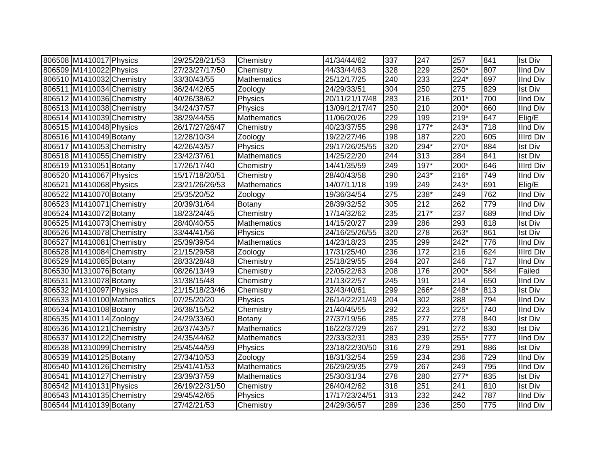| 806508 M1410017 Physics   |                             | 29/25/28/21/53 | Chemistry          | 41/34/44/62    | 337 | 247    | 257              | 841 | <b>Ist Div</b>   |
|---------------------------|-----------------------------|----------------|--------------------|----------------|-----|--------|------------------|-----|------------------|
| 806509 M1410022 Physics   |                             | 27/23/27/17/50 | Chemistry          | 44/33/44/63    | 328 | 229    | $250*$           | 807 | <b>IInd Div</b>  |
| 806510 M1410032 Chemistry |                             | 33/30/43/55    | <b>Mathematics</b> | 25/12/17/25    | 240 | 233    | 224*             | 697 | <b>IInd Div</b>  |
| 806511 M1410034 Chemistry |                             | 36/24/42/65    | Zoology            | 24/29/33/51    | 304 | 250    | 275              | 829 | <b>Ist Div</b>   |
| 806512 M1410036 Chemistry |                             | 40/26/38/62    | Physics            | 20/11/21/17/48 | 283 | 216    | $201*$           | 700 | <b>IInd Div</b>  |
| 806513 M1410038 Chemistry |                             | 34/24/37/57    | Physics            | 13/09/12/17/47 | 250 | 210    | $200*$           | 660 | <b>IInd Div</b>  |
| 806514 M1410039 Chemistry |                             | 38/29/44/55    | <b>Mathematics</b> | 11/06/20/26    | 229 | 199    | $219*$           | 647 | Elig/E           |
| 806515 M1410048 Physics   |                             | 26/17/27/26/47 | Chemistry          | 40/23/37/55    | 298 | $177*$ | $243*$           | 718 | <b>IInd Div</b>  |
| 806516 M1410049 Botany    |                             | 12/28/10/34    | Zoology            | 19/22/27/46    | 198 | 187    | 220              | 605 | <b>Illrd Div</b> |
| 806517 M1410053 Chemistry |                             | 42/26/43/57    | Physics            | 29/17/26/25/55 | 320 | 294*   | $270*$           | 884 | <b>Ist Div</b>   |
| 806518 M1410055 Chemistry |                             | 23/42/37/61    | <b>Mathematics</b> | 14/25/22/20    | 244 | 313    | 284              | 841 | <b>Ist Div</b>   |
| 806519 M1310051 Botany    |                             | 17/26/17/40    | Chemistry          | 14/41/35/59    | 249 | $197*$ | 200*             | 646 | Illrd Div        |
| 806520 M1410067 Physics   |                             | 15/17/18/20/51 | Chemistry          | 28/40/43/58    | 290 | $243*$ | 216*             | 749 | <b>IInd Div</b>  |
| 806521 M1410068 Physics   |                             | 23/21/26/26/53 | Mathematics        | 14/07/11/18    | 199 | 249    | 243*             | 691 | Elig/E           |
| 806522 M1410070 Botany    |                             | 25/35/20/52    | Zoology            | 19/36/34/54    | 275 | 238*   | 249              | 762 | <b>IInd Div</b>  |
| 806523 M1410071 Chemistry |                             | 20/39/31/64    | Botany             | 28/39/32/52    | 305 | 212    | 262              | 779 | IInd Div         |
| 806524 M1410072 Botany    |                             | 18/23/24/45    | Chemistry          | 17/14/32/62    | 235 | $217*$ | 237              | 689 | IInd Div         |
| 806525 M1410073 Chemistry |                             | 28/40/40/55    | Mathematics        | 14/15/20/27    | 239 | 286    | 293              | 818 | <b>Ist Div</b>   |
| 806526 M1410078 Chemistry |                             | 33/44/41/56    | Physics            | 24/16/25/26/55 | 320 | 278    | 263*             | 861 | <b>Ist Div</b>   |
| 806527 M1410081 Chemistry |                             | 25/39/39/54    | <b>Mathematics</b> | 14/23/18/23    | 235 | 299    | 242*             | 776 | <b>IInd Div</b>  |
| 806528 M1410084 Chemistry |                             | 21/15/29/58    | Zoology            | 17/31/25/40    | 236 | 172    | 216              | 624 | <b>Illrd Div</b> |
| 806529 M1410085 Botany    |                             | 28/33/28/48    | Chemistry          | 25/18/29/55    | 264 | 207    | $\overline{246}$ | 717 | <b>IInd Div</b>  |
| 806530 M1310076 Botany    |                             | 08/26/13/49    | Chemistry          | 22/05/22/63    | 208 | 176    | $200*$           | 584 | Failed           |
| 806531 M1310078 Botany    |                             | 31/38/15/48    | Chemistry          | 21/13/22/57    | 245 | 191    | 214              | 650 | <b>IInd Div</b>  |
| 806532 M1410097 Physics   |                             | 21/15/18/23/46 | Chemistry          | 32/43/40/61    | 299 | 266*   | 248*             | 813 | <b>Ist Div</b>   |
|                           | 806533 M1410100 Mathematics | 07/25/20/20    | Physics            | 26/14/22/21/49 | 204 | 302    | 288              | 794 | <b>IInd Div</b>  |
| 806534 M1410108 Botany    |                             | 26/38/15/52    | Chemistry          | 21/40/45/55    | 292 | 223    | $225*$           | 740 | <b>IInd Div</b>  |
| 806535 M1410114 Zoology   |                             | 24/29/33/60    | Botany             | 27/37/19/56    | 285 | 277    | 278              | 840 | <b>Ist Div</b>   |
| 806536 M1410121 Chemistry |                             | 26/37/43/57    | <b>Mathematics</b> | 16/22/37/29    | 267 | 291    | $\overline{272}$ | 830 | <b>Ist Div</b>   |
| 806537 M1410122 Chemistry |                             | 24/35/44/62    | Mathematics        | 22/33/32/31    | 283 | 239    | $255*$           | 777 | <b>IInd Div</b>  |
| 806538 M1310099 Chemistry |                             | 25/45/44/59    | Physics            | 23/18/22/30/50 | 316 | 279    | 291              | 886 | <b>Ist Div</b>   |
| 806539 M1410125 Botany    |                             | 27/34/10/53    | Zoology            | 18/31/32/54    | 259 | 234    | 236              | 729 | <b>IInd Div</b>  |
| 806540 M1410126 Chemistry |                             | 25/41/41/53    | <b>Mathematics</b> | 26/29/29/35    | 279 | 267    | 249              | 795 | <b>IInd Div</b>  |
| 806541 M1410127 Chemistry |                             | 23/39/37/59    | Mathematics        | 25/30/31/34    | 278 | 280    | $277*$           | 835 | Ist Div          |
| 806542 M1410131 Physics   |                             | 26/19/22/31/50 | Chemistry          | 26/40/42/62    | 318 | 251    | 241              | 810 | Ist Div          |
| 806543 M1410135 Chemistry |                             | 29/45/42/65    | Physics            | 17/17/23/24/51 | 313 | 232    | 242              | 787 | <b>IInd Div</b>  |
| 806544 M1410139 Botany    |                             | 27/42/21/53    | Chemistry          | 24/29/36/57    | 289 | 236    | $\overline{250}$ | 775 | IInd Div         |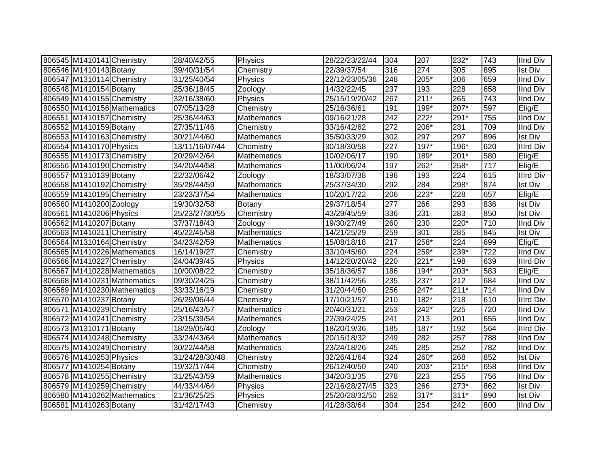| 806545 M1410141 Chemistry |                             | 28/40/42/55    | Physics            | 28/22/23/22/44 | 304              | 207    | 232*   | 743 | <b>IInd Div</b>  |
|---------------------------|-----------------------------|----------------|--------------------|----------------|------------------|--------|--------|-----|------------------|
| 806546 M1410143 Botany    |                             | 39/40/31/54    | Chemistry          | 22/39/37/54    | 316              | 274    | 305    | 895 | <b>Ist Div</b>   |
| 806547 M1310114 Chemistry |                             | 31/25/40/54    | Physics            | 22/12/23/05/36 | 248              | 205*   | 206    | 659 | <b>IInd Div</b>  |
| 806548 M1410154 Botany    |                             | 25/36/18/45    | Zoology            | 14/32/22/45    | 237              | 193    | 228    | 658 | <b>IInd Div</b>  |
| 806549 M1410155 Chemistry |                             | 32/16/38/60    | Physics            | 25/15/19/20/42 | 267              | $211*$ | 265    | 743 | <b>IInd Div</b>  |
|                           | 806550 M1410156 Mathematics | 07/05/13/28    | Chemistry          | 25/16/36/61    | 191              | $199*$ | $207*$ | 597 | Elig/E           |
| 806551 M1410157 Chemistry |                             | 25/36/44/63    | Mathematics        | 09/16/21/28    | 242              | $222*$ | 291*   | 755 | <b>IInd Div</b>  |
| 806552 M1410159 Botany    |                             | 27/35/11/46    | Chemistry          | 33/16/42/62    | $\overline{272}$ | $206*$ | 231    | 709 | <b>IInd Div</b>  |
| 806553 M1410163 Chemistry |                             | 30/21/44/60    | Mathematics        | 35/50/33/29    | 302              | 297    | 297    | 896 | <b>Ist Div</b>   |
| 806554 M1410170 Physics   |                             | 13/11/16/07/44 | Chemistry          | 30/18/30/58    | 227              | $197*$ | 196*   | 620 | Illrd Div        |
| 806555 M1410173 Chemistry |                             | 20/29/42/64    | Mathematics        | 10/02/06/17    | 190              | 189*   | $201*$ | 580 | Elig/E           |
| 806556 M1410190 Chemistry |                             | 34/20/44/58    | Mathematics        | 11/00/06/24    | 197              | 262*   | 258*   | 717 | Elig/E           |
| 806557 M1310139 Botany    |                             | 22/32/06/42    | Zoology            | 18/33/07/38    | 198              | 193    | 224    | 615 | Illrd Div        |
| 806558 M1410192 Chemistry |                             | 35/28/44/59    | <b>Mathematics</b> | 25/37/34/30    | 292              | 284    | 298*   | 874 | <b>Ist Div</b>   |
| 806559 M1410195 Chemistry |                             | 23/23/37/54    | Mathematics        | 10/20/17/22    | 206              | $223*$ | 228    | 657 | Elig/E           |
| 806560 M1410200 Zoology   |                             | 19/30/32/58    | Botany             | 29/37/18/54    | 277              | 266    | 293    | 836 | <b>Ist Div</b>   |
| 806561 M1410206 Physics   |                             | 25/23/27/30/55 | Chemistry          | 43/29/45/59    | 336              | 231    | 283    | 850 | <b>Ist Div</b>   |
| 806562 M1410207 Botany    |                             | 37/37/18/43    | Zoology            | 19/30/27/49    | 260              | 230    | 220*   | 710 | <b>IInd Div</b>  |
| 806563 M1410211 Chemistry |                             | 45/22/45/58    | Mathematics        | 14/21/25/29    | 259              | 301    | 285    | 845 | <b>Ist Div</b>   |
| 806564 M1310164 Chemistry |                             | 34/23/42/59    | <b>Mathematics</b> | 15/08/18/18    | 217              | 258*   | 224    | 699 | Elig/E           |
|                           | 806565 M1410226 Mathematics | 16/14/19/27    | Chemistry          | 33/10/45/60    | 224              | 259*   | 239*   | 722 | <b>IInd Div</b>  |
| 806566 M1410227 Chemistry |                             | 24/04/39/45    | Physics            | 14/12/20/20/42 | 220              | $221*$ | 198    | 639 | <b>Illrd Div</b> |
|                           | 806567 M1410228 Mathematics | 10/00/08/22    | Chemistry          | 35/18/36/57    | 186              | $194*$ | $203*$ | 583 | Elig/E           |
|                           | 806568 M1410231 Mathematics | 09/30/24/25    | Chemistry          | 38/11/42/56    | 235              | $237*$ | 212    | 684 | <b>IInd Div</b>  |
|                           | 806569 M1410230 Mathematics | 33/33/16/19    | Chemistry          | 31/20/44/60    | 256              | 247*   | $211*$ | 714 | <b>IInd Div</b>  |
| 806570 M1410237 Botany    |                             | 26/29/06/44    | Chemistry          | 17/10/21/57    | 210              | $182*$ | 218    | 610 | <b>Illrd Div</b> |
| 806571 M1410239 Chemistry |                             | 25/16/43/57    | Mathematics        | 20/40/31/21    | 253              | 242*   | 225    | 720 | <b>IInd Div</b>  |
| 806572 M1410241 Chemistry |                             | 23/15/39/54    | Mathematics        | 22/39/24/25    | 241              | 213    | 201    | 655 | <b>IInd Div</b>  |
| 806573 M1310171 Botany    |                             | 18/29/05/40    | Zoology            | 18/20/19/36    | 185              | $187*$ | 192    | 564 | <b>Illrd Div</b> |
| 806574 M1410248 Chemistry |                             | 33/24/43/64    | <b>Mathematics</b> | 20/15/18/32    | 249              | 282    | 257    | 788 | <b>IInd Div</b>  |
| 806575 M1410249 Chemistry |                             | 30/22/44/58    | Mathematics        | 23/24/18/26    | 245              | 285    | 252    | 782 | <b>IInd Div</b>  |
| 806576 M1410253 Physics   |                             | 31/24/28/30/48 | Chemistry          | 32/26/41/64    | 324              | 260*   | 268    | 852 | <b>Ist Div</b>   |
| 806577 M1410254 Botany    |                             | 19/32/17/44    | Chemistry          | 26/12/40/50    | 240              | 203*   | $215*$ | 658 | <b>IInd Div</b>  |
| 806578 M1410255 Chemistry |                             | 31/25/43/59    | Mathematics        | 34/20/31/35    | 278              | 223    | 255    | 756 | <b>IInd Div</b>  |
| 806579 M1410259 Chemistry |                             | 44/33/44/64    | Physics            | 22/16/28/27/45 | 323              | 266    | $273*$ | 862 | <b>Ist Div</b>   |
|                           | 806580 M1410262 Mathematics | 21/36/25/25    | Physics            | 25/20/28/32/50 | 262              | 317*   | $311*$ | 890 | <b>Ist Div</b>   |
| 806581 M1410263 Botany    |                             | 31/42/17/43    | Chemistry          | 41/28/38/64    | 304              | 254    | 242    | 800 | <b>IInd Div</b>  |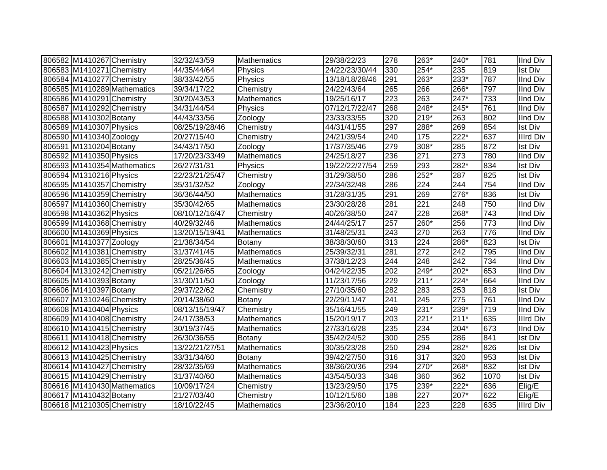| 806582 M1410267 Chemistry |                             | 32/32/43/59    | Mathematics        | 29/38/22/23    | 278 | 263*   | 240*               | 781  | <b>IInd Div</b>  |
|---------------------------|-----------------------------|----------------|--------------------|----------------|-----|--------|--------------------|------|------------------|
| 806583 M1410271 Chemistry |                             | 44/35/44/64    | Physics            | 24/22/23/30/44 | 330 | 254*   | 235                | 819  | Ist Div          |
| 806584 M1410277 Chemistry |                             | 38/33/42/55    | Physics            | 13/18/18/28/46 | 291 | 263*   | $233*$             | 787  | <b>IInd Div</b>  |
|                           | 806585 M1410289 Mathematics | 39/34/17/22    | Chemistry          | 24/22/43/64    | 265 | 266    | $266*$             | 797  | <b>IInd Div</b>  |
| 806586 M1410291 Chemistry |                             | 30/20/43/53    | <b>Mathematics</b> | 19/25/16/17    | 223 | 263    | $247*$             | 733  | <b>IInd Div</b>  |
| 806587 M1410292 Chemistry |                             | 34/31/44/54    | Physics            | 07/12/17/22/47 | 268 | $248*$ | $245*$             | 761  | <b>IInd Div</b>  |
| 806588 M1410302 Botany    |                             | 44/43/33/56    | Zoology            | 23/33/33/55    | 320 | 219*   | 263                | 802  | <b>IInd Div</b>  |
| 806589 M1410307 Physics   |                             | 08/25/19/28/46 | Chemistry          | 44/31/41/55    | 297 | 288*   | 269                | 854  | <b>Ist Div</b>   |
| 806590 M1410340 Zoology   |                             | 20/27/15/40    | Chemistry          | 24/21/39/54    | 240 | 175    | $\overline{222^*}$ | 637  | <b>Illrd Div</b> |
| 806591 M1310204 Botany    |                             | 34/43/17/50    | Zoology            | 17/37/35/46    | 279 | 308*   | 285                | 872  | <b>Ist Div</b>   |
| 806592 M1410350 Physics   |                             | 17/20/23/33/49 | <b>Mathematics</b> | 24/25/18/27    | 236 | 271    | 273                | 780  | IInd Div         |
|                           | 806593 M1410354 Mathematics | 26/27/31/31    | Physics            | 19/22/22/27/54 | 259 | 293    | 282*               | 834  | Ist Div          |
| 806594 M1310216 Physics   |                             | 22/23/21/25/47 | Chemistry          | 31/29/38/50    | 286 | 252*   | 287                | 825  | <b>Ist Div</b>   |
| 806595 M1410357 Chemistry |                             | 35/31/32/52    | Zoology            | 22/34/32/48    | 286 | 224    | 244                | 754  | IInd Div         |
| 806596 M1410359 Chemistry |                             | 36/36/44/50    | <b>Mathematics</b> | 31/28/31/35    | 291 | 269    | 276*               | 836  | <b>Ist Div</b>   |
| 806597 M1410360 Chemistry |                             | 35/30/42/65    | <b>Mathematics</b> | 23/30/28/28    | 281 | 221    | 248                | 750  | <b>IInd Div</b>  |
| 806598 M1410362 Physics   |                             | 08/10/12/16/47 | Chemistry          | 40/26/38/50    | 247 | 228    | 268*               | 743  | <b>IInd Div</b>  |
| 806599 M1410368 Chemistry |                             | 40/29/32/46    | Mathematics        | 24/44/25/17    | 257 | 260*   | 256                | 773  | <b>IInd Div</b>  |
| 806600 M1410369 Physics   |                             | 13/20/15/19/41 | Mathematics        | 31/48/25/31    | 243 | 270    | 263                | 776  | <b>IInd Div</b>  |
| 806601 M1410377 Zoology   |                             | 21/38/34/54    | Botany             | 38/38/30/60    | 313 | 224    | 286*               | 823  | <b>Ist Div</b>   |
| 806602 M1410381 Chemistry |                             | 31/37/41/45    | Mathematics        | 25/39/32/31    | 281 | 272    | 242                | 795  | <b>IInd Div</b>  |
| 806603 M1410385 Chemistry |                             | 28/25/36/45    | <b>Mathematics</b> | 37/38/12/23    | 244 | 248    | $\overline{242}$   | 734  | <b>IInd Div</b>  |
| 806604 M1310242 Chemistry |                             | 05/21/26/65    | Zoology            | 04/24/22/35    | 202 | $249*$ | $202*$             | 653  | IInd Div         |
| 806605 M1410393 Botany    |                             | 31/30/11/50    | Zoology            | 11/23/17/56    | 229 | $211*$ | $224*$             | 664  | <b>IInd Div</b>  |
| 806606 M1410397 Botany    |                             | 29/37/22/62    | Chemistry          | 27/10/35/60    | 282 | 283    | 253                | 818  | <b>Ist Div</b>   |
| 806607 M1310246 Chemistry |                             | 20/14/38/60    | Botany             | 22/29/11/47    | 241 | 245    | $\overline{275}$   | 761  | <b>IInd Div</b>  |
| 806608 M1410404 Physics   |                             | 08/13/15/19/47 | Chemistry          | 35/16/41/55    | 249 | $231*$ | 239*               | 719  | <b>IInd Div</b>  |
| 806609 M1410408 Chemistry |                             | 24/17/38/53    | <b>Mathematics</b> | 15/20/19/17    | 203 | $221*$ | $211*$             | 635  | <b>Illrd Div</b> |
| 806610 M1410415 Chemistry |                             | 30/19/37/45    | <b>Mathematics</b> | 27/33/16/28    | 235 | 234    | $204*$             | 673  | <b>IInd Div</b>  |
| 806611 M1410418 Chemistry |                             | 26/30/36/55    | Botany             | 35/42/24/52    | 300 | 255    | 286                | 841  | <b>Ist Div</b>   |
| 806612 M1410423 Physics   |                             | 13/22/21/27/51 | <b>Mathematics</b> | 30/35/23/28    | 250 | 294    | $282*$             | 826  | <b>Ist Div</b>   |
| 806613 M1410425 Chemistry |                             | 33/31/34/60    | Botany             | 39/42/27/50    | 316 | 317    | 320                | 953  | <b>Ist Div</b>   |
| 806614 M1410427 Chemistry |                             | 28/32/35/69    | <b>Mathematics</b> | 38/36/20/36    | 294 | $270*$ | $268*$             | 832  | <b>Ist Div</b>   |
| 806615 M1410429 Chemistry |                             | 31/37/40/60    | Mathematics        | 43/54/50/33    | 348 | 360    | 362                | 1070 | <b>Ist Div</b>   |
|                           | 806616 M1410430 Mathematics | 10/09/17/24    | Chemistry          | 13/23/29/50    | 175 | 239*   | $222*$             | 636  | Elig/E           |
| 806617 M1410432 Botany    |                             | 21/27/03/40    | Chemistry          | 10/12/15/60    | 188 | 227    | $207*$             | 622  | Elig/E           |
| 806618 M1210305 Chemistry |                             | 18/10/22/45    | Mathematics        | 23/36/20/10    | 184 | 223    | $\overline{228}$   | 635  | <b>Illrd Div</b> |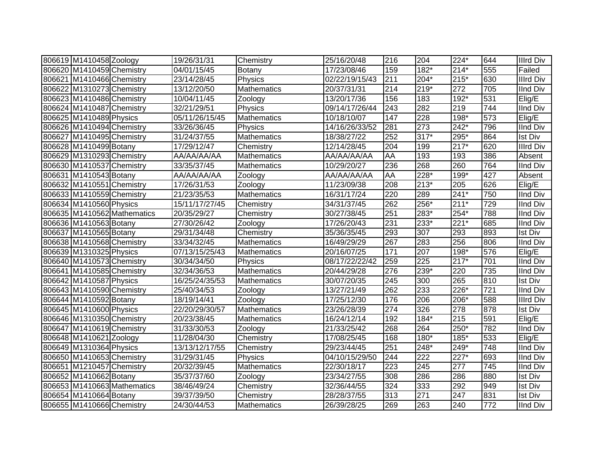| 806619 M1410458 Zoology   |                             | 19/26/31/31    | Chemistry          | 25/16/20/48    | 216 | 204              | 224*   | 644              | <b>Illrd Div</b> |
|---------------------------|-----------------------------|----------------|--------------------|----------------|-----|------------------|--------|------------------|------------------|
| 806620 M1410459 Chemistry |                             | 04/01/15/45    | Botany             | 17/23/08/46    | 159 | $182*$           | $214*$ | 555              | Failed           |
| 806621 M1410466 Chemistry |                             | 23/14/28/45    | Physics            | 02/22/19/15/43 | 211 | 204*             | $215*$ | 630              | <b>Illrd Div</b> |
| 806622 M1310273 Chemistry |                             | 13/12/20/50    | Mathematics        | 20/37/31/31    | 214 | $219*$           | 272    | 705              | <b>IInd Div</b>  |
| 806623 M1410486 Chemistry |                             | 10/04/11/45    | Zoology            | 13/20/17/36    | 156 | 183              | $192*$ | 531              | Elig/E           |
| 806624 M1410487 Chemistry |                             | 32/21/29/51    | Physics            | 09/14/17/26/44 | 243 | 282              | 219    | 744              | <b>IInd Div</b>  |
| 806625 M1410489 Physics   |                             | 05/11/26/15/45 | Mathematics        | 10/18/10/07    | 147 | 228              | 198*   | $\overline{573}$ | Elig/E           |
| 806626 M1410494 Chemistry |                             | 33/26/36/45    | Physics            | 14/16/26/33/52 | 281 | 273              | $242*$ | 796              | <b>IInd Div</b>  |
| 806627 M1410495 Chemistry |                             | 31/24/37/55    | <b>Mathematics</b> | 18/38/27/22    | 252 | $317*$           | 295*   | 864              | <b>Ist Div</b>   |
| 806628 M1410499 Botany    |                             | 17/29/12/47    | Chemistry          | 12/14/28/45    | 204 | 199              | $217*$ | 620              | <b>Illrd Div</b> |
| 806629 M1310293 Chemistry |                             | AA/AA/AA/AA    | <b>Mathematics</b> | AA/AA/AA/AA    | AA  | 193              | 193    | 386              | Absent           |
| 806630 M1410537 Chemistry |                             | 33/35/37/45    | <b>Mathematics</b> | 10/29/20/27    | 236 | 268              | 260    | 764              | <b>IInd Div</b>  |
| 806631 M1410543 Botany    |                             | AA/AA/AA/AA    | Zoology            | AA/AA/AA/AA    | AA  | 228*             | 199*   | 427              | Absent           |
| 806632 M1410551 Chemistry |                             | 17/26/31/53    | Zoology            | 11/23/09/38    | 208 | $213*$           | 205    | 626              | Elig/E           |
| 806633 M1410559 Chemistry |                             | 21/23/35/53    | Mathematics        | 16/31/17/24    | 220 | 289              | $241*$ | 750              | <b>IInd Div</b>  |
| 806634 M1410560 Physics   |                             | 15/11/17/27/45 | Chemistry          | 34/31/37/45    | 262 | 256*             | $211*$ | 729              | <b>IInd Div</b>  |
|                           | 806635 M1410562 Mathematics | 20/35/29/27    | Chemistry          | 30/27/38/45    | 251 | 283*             | 254*   | 788              | <b>IInd Div</b>  |
| 806636 M1410563 Botany    |                             | 27/30/26/42    | Zoology            | 17/26/20/43    | 231 | 233*             | $221*$ | 685              | <b>IInd Div</b>  |
| 806637 M1410565 Botany    |                             | 29/31/34/48    | Chemistry          | 35/36/35/45    | 293 | 307              | 293    | 893              | <b>Ist Div</b>   |
| 806638 M1410568 Chemistry |                             | 33/34/32/45    | <b>Mathematics</b> | 16/49/29/29    | 267 | 283              | 256    | 806              | IInd Div         |
| 806639 M1310325 Physics   |                             | 07/13/15/25/43 | <b>Mathematics</b> | 20/16/07/25    | 171 | 207              | 198*   | 576              | Elig/E           |
| 806640 M1410573 Chemistry |                             | 30/34/34/50    | Physics            | 08/17/22/22/42 | 259 | $\overline{225}$ | $217*$ | 701              | IInd Div         |
| 806641 M1410585 Chemistry |                             | 32/34/36/53    | <b>Mathematics</b> | 20/44/29/28    | 276 | 239*             | 220    | $\overline{735}$ | <b>IInd Div</b>  |
| 806642 M1410587 Physics   |                             | 16/25/24/35/53 | <b>Mathematics</b> | 30/07/20/35    | 245 | 300              | 265    | 810              | <b>Ist Div</b>   |
| 806643 M1410590 Chemistry |                             | 25/40/34/53    | Zoology            | 13/27/21/49    | 262 | 233              | 226*   | 721              | <b>IInd Div</b>  |
| 806644 M1410592 Botany    |                             | 18/19/14/41    | Zoology            | 17/25/12/30    | 176 | 206              | 206*   | 588              | <b>Illrd Div</b> |
| 806645 M1410600 Physics   |                             | 22/20/29/30/57 | <b>Mathematics</b> | 23/26/28/39    | 274 | 326              | 278    | 878              | <b>Ist Div</b>   |
| 806646 M1310350 Chemistry |                             | 20/23/38/45    | Mathematics        | 16/24/12/14    | 192 | $184*$           | 215    | 591              | Elig/E           |
| 806647 M1410619 Chemistry |                             | 31/33/30/53    | Zoology            | 21/33/25/42    | 268 | 264              | $250*$ | 782              | <b>IInd Div</b>  |
| 806648 M1410621 Zoology   |                             | 11/28/04/30    | Chemistry          | 17/08/25/45    | 168 | 180*             | 185*   | 533              | Elig/E           |
| 806649 M1310364 Physics   |                             | 13/13/12/17/55 | Chemistry          | 29/23/44/45    | 251 | 248*             | 249*   | 748              | <b>IInd Div</b>  |
| 806650 M1410653 Chemistry |                             | 31/29/31/45    | Physics            | 04/10/15/29/50 | 244 | 222              | $227*$ | 693              | <b>IInd Div</b>  |
| 806651 M1210457 Chemistry |                             | 20/32/39/45    | Mathematics        | 22/30/18/17    | 223 | 245              | 277    | 745              | <b>IInd Div</b>  |
| 806652 M1410662 Botany    |                             | 35/37/37/60    | Zoology            | 23/34/27/55    | 308 | 286              | 286    | 880              | <b>Ist Div</b>   |
|                           | 806653 M1410663 Mathematics | 38/46/49/24    | Chemistry          | 32/36/44/55    | 324 | 333              | 292    | 949              | <b>Ist Div</b>   |
| 806654 M1410664 Botany    |                             | 39/37/39/50    | Chemistry          | 28/28/37/55    | 313 | 271              | 247    | 831              | <b>Ist Div</b>   |
| 806655 M1410666 Chemistry |                             | 24/30/44/53    | Mathematics        | 26/39/28/25    | 269 | 263              | 240    | 772              | <b>IInd Div</b>  |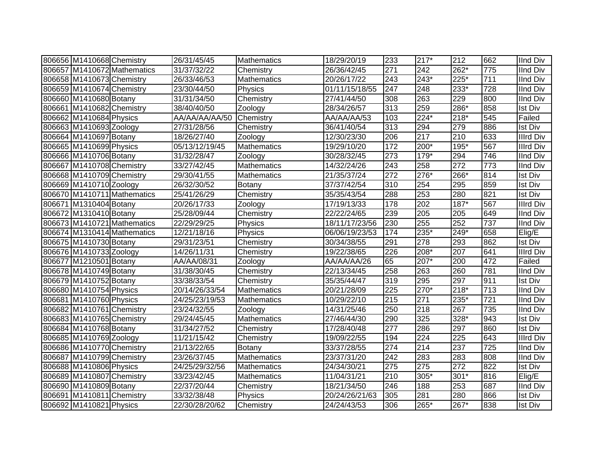| 806656 M1410668 Chemistry |                             | 26/31/45/45    | <b>Mathematics</b> | 18/29/20/19    | 233              | $217*$ | 212    | 662 | <b>IInd Div</b>  |
|---------------------------|-----------------------------|----------------|--------------------|----------------|------------------|--------|--------|-----|------------------|
|                           | 806657 M1410672 Mathematics | 31/37/32/22    | Chemistry          | 26/36/42/45    | $\overline{271}$ | 242    | $262*$ | 775 | <b>IInd Div</b>  |
| 806658 M1410673 Chemistry |                             | 26/33/46/53    | <b>Mathematics</b> | 20/26/17/22    | 243              | 243*   | $225*$ | 711 | <b>IInd Div</b>  |
| 806659 M1410674 Chemistry |                             | 23/30/44/50    | Physics            | 01/11/15/18/55 | 247              | 248    | 233*   | 728 | <b>IInd Div</b>  |
| 806660 M1410680 Botany    |                             | 31/31/34/50    | Chemistry          | 27/41/44/50    | 308              | 263    | 229    | 800 | <b>IInd Div</b>  |
| 806661 M1410682 Chemistry |                             | 38/40/40/50    | Zoology            | 28/34/26/57    | 313              | 259    | 286*   | 858 | <b>Ist Div</b>   |
| 806662 M1410684 Physics   |                             | AA/AA/AA/AA/50 | Chemistry          | AA/AA/AA/53    | 103              | 224*   | $218*$ | 545 | Failed           |
| 806663 M1410693 Zoology   |                             | 27/31/28/56    | Chemistry          | 36/41/40/54    | 313              | 294    | 279    | 886 | <b>Ist Div</b>   |
| 806664 M1410697 Botany    |                             | 18/26/27/40    | Zoology            | 12/30/23/30    | 206              | 217    | 210    | 633 | <b>Illrd Div</b> |
| 806665 M1410699 Physics   |                             | 05/13/12/19/45 | <b>Mathematics</b> | 19/29/10/20    | 172              | 200*   | 195*   | 567 | <b>Illrd Div</b> |
| 806666 M1410706 Botany    |                             | 31/32/28/47    | Zoology            | 30/28/32/45    | 273              | 179*   | 294    | 746 | IInd Div         |
| 806667 M1410708 Chemistry |                             | 33/27/42/45    | <b>Mathematics</b> | 14/32/24/26    | 243              | 258    | 272    | 773 | IInd Div         |
| 806668 M1410709 Chemistry |                             | 29/30/41/55    | <b>Mathematics</b> | 21/35/37/24    | 272              | 276*   | 266*   | 814 | Ist Div          |
| 806669 M1410710 Zoology   |                             | 26/32/30/52    | Botany             | 37/37/42/54    | 310              | 254    | 295    | 859 | <b>Ist Div</b>   |
|                           | 806670 M1410711 Mathematics | 25/41/26/29    | Chemistry          | 35/35/43/54    | 288              | 253    | 280    | 821 | <b>Ist Div</b>   |
| 806671 M1310404 Botany    |                             | 20/26/17/33    | Zoology            | 17/19/13/33    | 178              | 202    | $187*$ | 567 | <b>Illrd Div</b> |
| 806672 M1310410 Botany    |                             | 25/28/09/44    | Chemistry          | 22/22/24/65    | 239              | 205    | 205    | 649 | IInd Div         |
|                           | 806673 M1410721 Mathematics | 22/29/29/25    | Physics            | 18/11/17/23/56 | 230              | 255    | 252    | 737 | <b>IInd Div</b>  |
|                           | 806674 M1310414 Mathematics | 12/21/18/16    | Physics            | 06/06/19/23/53 | 174              | 235*   | 249*   | 658 | Elig/E           |
| 806675 M1410730 Botany    |                             | 29/31/23/51    | Chemistry          | 30/34/38/55    | 291              | 278    | 293    | 862 | <b>Ist Div</b>   |
| 806676 M1410733 Zoology   |                             | 14/26/11/31    | Chemistry          | 19/22/38/65    | 226              | 208*   | 207    | 641 | <b>Illrd Div</b> |
| 806677 M1210501 Botany    |                             | AA/AA/08/31    | Zoology            | AA/AA/AA/26    | 65               | 207*   | 200    | 472 | Failed           |
| 806678 M1410749 Botany    |                             | 31/38/30/45    | Chemistry          | 22/13/34/45    | 258              | 263    | 260    | 781 | <b>IInd Div</b>  |
| 806679 M1410752 Botany    |                             | 33/38/33/54    | Chemistry          | 35/35/44/47    | 319              | 295    | 297    | 911 | <b>Ist Div</b>   |
| 806680 M1410754 Physics   |                             | 20/14/26/33/54 | <b>Mathematics</b> | 20/21/28/09    | 225              | 270*   | 218*   | 713 | <b>IInd Div</b>  |
| 806681 M1410760 Physics   |                             | 24/25/23/19/53 | Mathematics        | 10/29/22/10    | 215              | 271    | 235*   | 721 | <b>IInd Div</b>  |
| 806682 M1410761 Chemistry |                             | 23/24/32/55    | Zoology            | 14/31/25/46    | 250              | 218    | 267    | 735 | <b>IInd Div</b>  |
| 806683 M1410765 Chemistry |                             | 29/24/45/45    | Mathematics        | 27/46/44/30    | 290              | 325    | 328*   | 943 | <b>Ist Div</b>   |
| 806684 M1410768 Botany    |                             | 31/34/27/52    | Chemistry          | 17/28/40/48    | 277              | 286    | 297    | 860 | <b>Ist Div</b>   |
| 806685 M1410769 Zoology   |                             | 11/21/15/42    | Chemistry          | 19/09/22/55    | 194              | 224    | 225    | 643 | <b>Illrd Div</b> |
| 806686 M1410770 Chemistry |                             | 21/13/22/65    | Botany             | 33/37/28/55    | 274              | 214    | 237    | 725 | <b>IInd Div</b>  |
| 806687 M1410799 Chemistry |                             | 23/26/37/45    | <b>Mathematics</b> | 23/37/31/20    | 242              | 283    | 283    | 808 | <b>IInd Div</b>  |
| 806688 M1410806 Physics   |                             | 24/25/29/32/56 | Mathematics        | 24/34/30/21    | 275              | 275    | 272    | 822 | <b>Ist Div</b>   |
| 806689 M1410807 Chemistry |                             | 33/23/42/45    | Mathematics        | 11/04/31/21    | 210              | 305*   | $301*$ | 816 | Elig/E           |
| 806690 M1410809 Botany    |                             | 22/37/20/44    | Chemistry          | 18/21/34/50    | 246              | 188    | 253    | 687 | <b>IInd Div</b>  |
| 806691 M1410811 Chemistry |                             | 33/32/38/48    | Physics            | 20/24/26/21/63 | 305              | 281    | 280    | 866 | <b>Ist Div</b>   |
| 806692 M1410821 Physics   |                             | 22/30/28/20/62 | Chemistry          | 24/24/43/53    | 306              | 265*   | 267*   | 838 | <b>Ist Div</b>   |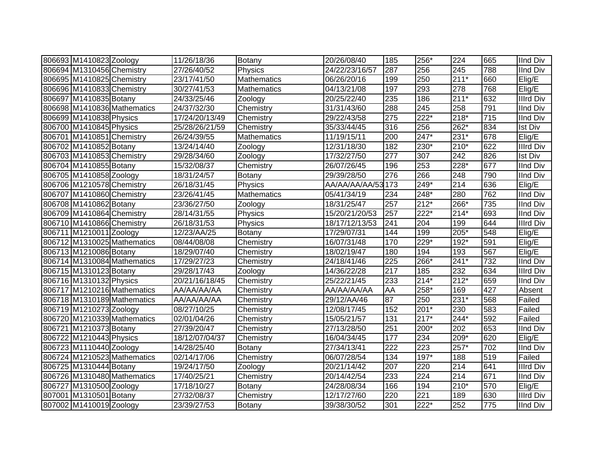| 806693 M1410823 Zoology   |                             | 11/26/18/36    | Botany             | 20/26/08/40    | 185 | 256*               | 224    | 665              | <b>IInd Div</b>  |
|---------------------------|-----------------------------|----------------|--------------------|----------------|-----|--------------------|--------|------------------|------------------|
| 806694 M1310456 Chemistry |                             | 27/26/40/52    | Physics            | 24/22/23/16/57 | 287 | 256                | 245    | 788              | <b>IInd Div</b>  |
| 806695 M1410825 Chemistry |                             | 23/17/41/50    | <b>Mathematics</b> | 06/26/20/16    | 199 | 250                | $211*$ | 660              | Elig/E           |
| 806696 M1410833 Chemistry |                             | 30/27/41/53    | <b>Mathematics</b> | 04/13/21/08    | 197 | 293                | 278    | 768              | Elig/E           |
| 806697 M1410835 Botany    |                             | 24/33/25/46    | Zoology            | 20/25/22/40    | 235 | 186                | $211*$ | 632              | <b>Illrd Div</b> |
|                           | 806698 M1410836 Mathematics | 24/37/32/30    | Chemistry          | 31/31/43/60    | 288 | 245                | 258    | 791              | <b>IInd Div</b>  |
| 806699 M1410838 Physics   |                             | 17/24/20/13/49 | Chemistry          | 29/22/43/58    | 275 | $\overline{222^*}$ | $218*$ | $\overline{715}$ | <b>IInd Div</b>  |
| 806700 M1410845 Physics   |                             | 25/28/26/21/59 | Chemistry          | 35/33/44/45    | 316 | 256                | $262*$ | 834              | <b>Ist Div</b>   |
| 806701 M1410851 Chemistry |                             | 26/24/39/55    | Mathematics        | 11/19/15/11    | 200 | $247*$             | $231*$ | 678              | Elig/E           |
| 806702 M1410852 Botany    |                             | 13/24/14/40    | Zoology            | 12/31/18/30    | 182 | 230*               | $210*$ | 622              | Illrd Div        |
| 806703 M1410853 Chemistry |                             | 29/28/34/60    | Zoology            | 17/32/27/50    | 277 | 307                | 242    | 826              | <b>Ist Div</b>   |
| 806704 M1410855 Botany    |                             | 15/32/08/37    | Chemistry          | 26/07/26/45    | 196 | 253                | $228*$ | 677              | <b>IInd Div</b>  |
| 806705 M1410858 Zoology   |                             | 18/31/24/57    | <b>Botany</b>      | 29/39/28/50    | 276 | 266                | 248    | 790              | <b>IInd Div</b>  |
| 806706 M1210578 Chemistry |                             | 26/18/31/45    | Physics            | AA/AA/AA/AA/53 | 173 | 249*               | 214    | 636              | Elig/E           |
| 806707 M1410860 Chemistry |                             | 23/26/41/45    | Mathematics        | 05/41/34/19    | 234 | 248*               | 280    | 762              | <b>IInd Div</b>  |
| 806708 M1410862 Botany    |                             | 23/36/27/50    | Zoology            | 18/31/25/47    | 257 | $212*$             | 266*   | 735              | <b>IInd Div</b>  |
| 806709 M1410864 Chemistry |                             | 28/14/31/55    | Physics            | 15/20/21/20/53 | 257 | $222*$             | $214*$ | 693              | <b>IInd Div</b>  |
| 806710 M1410866 Chemistry |                             | 26/18/31/53    | Physics            | 18/17/12/13/53 | 241 | 204                | 199    | 644              | <b>Illrd Div</b> |
| 806711 M1210011 Zoology   |                             | 12/23/AA/25    | Botany             | 17/29/07/31    | 144 | 199                | 205*   | 548              | Elig/E           |
|                           | 806712 M1310025 Mathematics | 08/44/08/08    | Chemistry          | 16/07/31/48    | 170 | $229*$             | 192*   | 591              | Elig/E           |
| 806713 M1210086 Botany    |                             | 18/29/07/40    | Chemistry          | 18/02/19/47    | 180 | 194                | 193    | 567              | Elig/E           |
|                           | 806714 M1310084 Mathematics | 17/29/27/23    | Chemistry          | 24/18/41/46    | 225 | 266*               | $241*$ | $\overline{732}$ | <b>IInd Div</b>  |
| 806715 M1310123 Botany    |                             | 29/28/17/43    | Zoology            | 14/36/22/28    | 217 | 185                | 232    | 634              | <b>Illrd Div</b> |
| 806716 M1310132 Physics   |                             | 20/21/16/18/45 | Chemistry          | 25/22/21/45    | 233 | $214*$             | $212*$ | 659              | <b>IInd Div</b>  |
|                           | 806717 M1210216 Mathematics | AA/AA/AA/AA    | Chemistry          | AA/AA/AA/AA    | AA  | 258*               | 169    | 427              | Absent           |
|                           | 806718 M1310189 Mathematics | AA/AA/AA/AA    | Chemistry          | 29/12/AA/46    | 87  | 250                | $231*$ | 568              | Failed           |
| 806719 M1210273 Zoology   |                             | 08/27/10/25    | Chemistry          | 12/08/17/45    | 152 | $201*$             | 230    | 583              | Failed           |
|                           | 806720 M1210339 Mathematics | 02/01/04/26    | Chemistry          | 15/05/21/57    | 131 | $217*$             | $244*$ | 592              | Failed           |
| 806721 M1210373 Botany    |                             | 27/39/20/47    | Chemistry          | 27/13/28/50    | 251 | 200*               | 202    | 653              | <b>IInd Div</b>  |
| 806722 M1210443 Physics   |                             | 18/12/07/04/37 | Chemistry          | 16/04/34/45    | 177 | 234                | $209*$ | 620              | Elig/E           |
| 806723 M1110440 Zoology   |                             | 14/28/25/40    | Botany             | 27/34/13/41    | 222 | 223                | $257*$ | 702              | <b>IInd Div</b>  |
|                           | 806724 M1210523 Mathematics | 02/14/17/06    | Chemistry          | 06/07/28/54    | 134 | $197*$             | 188    | 519              | Failed           |
| 806725 M1310444 Botany    |                             | 19/24/17/50    | Zoology            | 20/21/14/42    | 207 | 220                | 214    | 641              | <b>Illrd Div</b> |
|                           | 806726 M1310480 Mathematics | 17/40/25/21    | Chemistry          | 20/14/42/54    | 233 | 224                | 214    | 671              | <b>IInd Div</b>  |
| 806727 M1310500 Zoology   |                             | 17/18/10/27    | <b>Botany</b>      | 24/28/08/34    | 166 | 194                | $210*$ | 570              | Elig/E           |
| 807001 M1310501 Botany    |                             | 27/32/08/37    | Chemistry          | 12/17/27/60    | 220 | 221                | 189    | 630              | Illrd Div        |
| 807002 M1410019 Zoology   |                             | 23/39/27/53    | Botany             | 39/38/30/52    | 301 | 222*               | 252    | 775              | IInd Div         |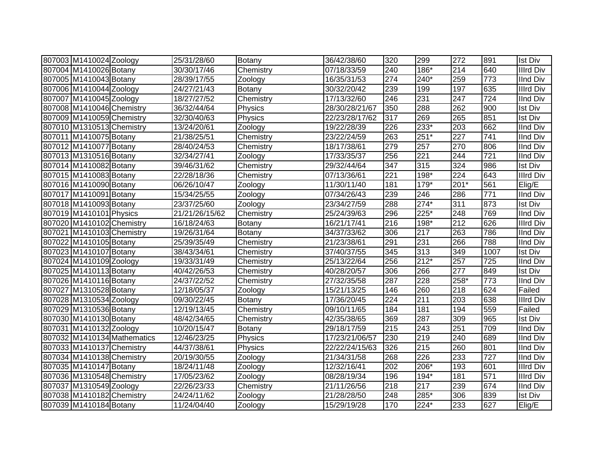| 807003 M1410024 Zoology   |                             | 25/31/28/60    | Botany        | 36/42/38/60    | 320              | 299    | 272              | 891              | <b>Ist Div</b>   |
|---------------------------|-----------------------------|----------------|---------------|----------------|------------------|--------|------------------|------------------|------------------|
| 807004 M1410026 Botany    |                             | 30/30/17/46    | Chemistry     | 07/18/33/59    | 240              | 186*   | 214              | 640              | <b>Illrd Div</b> |
| 807005 M1410043 Botany    |                             | 28/39/17/55    | Zoology       | 16/35/31/53    | 274              | 240*   | 259              | 773              | <b>IInd Div</b>  |
| 807006 M1410044 Zoology   |                             | 24/27/21/43    | <b>Botany</b> | 30/32/20/42    | 239              | 199    | 197              | 635              | <b>Illrd Div</b> |
| 807007 M1410045 Zoology   |                             | 18/27/27/52    | Chemistry     | 17/13/32/60    | 246              | 231    | $\overline{247}$ | $\overline{724}$ | <b>IInd Div</b>  |
| 807008 M1410046 Chemistry |                             | 36/32/44/64    | Physics       | 28/30/28/21/67 | 350              | 288    | 262              | 900              | <b>Ist Div</b>   |
| 807009 M1410059 Chemistry |                             | 32/30/40/63    | Physics       | 22/23/28/17/62 | 317              | 269    | 265              | 851              | <b>Ist Div</b>   |
| 807010 M1310513 Chemistry |                             | 13/24/20/61    | Zoology       | 19/22/28/39    | 226              | $233*$ | $\overline{203}$ | 662              | <b>IInd Div</b>  |
| 807011 M1410075 Botany    |                             | 21/38/25/51    | Chemistry     | 23/22/24/59    | 263              | $251*$ | $\overline{227}$ | 741              | <b>IInd Div</b>  |
| 807012 M1410077 Botany    |                             | 28/40/24/53    | Chemistry     | 18/17/38/61    | 279              | 257    | 270              | 806              | <b>IInd Div</b>  |
| 807013 M1310516 Botany    |                             | 32/34/27/41    | Zoology       | 17/33/35/37    | 256              | 221    | 244              | 721              | <b>IInd Div</b>  |
| 807014 M1410082 Botany    |                             | 39/46/31/62    | Chemistry     | 29/32/44/64    | 347              | 315    | 324              | 986              | <b>Ist Div</b>   |
| 807015 M1410083 Botany    |                             | 22/28/18/36    | Chemistry     | 07/13/36/61    | 221              | 198*   | 224              | 643              | Illrd Div        |
| 807016 M1410090 Botany    |                             | 06/26/10/47    | Zoology       | 11/30/11/40    | 181              | 179*   | 201*             | 561              | Elig/E           |
| 807017 M1410091 Botany    |                             | 15/34/25/55    | Zoology       | 07/34/26/43    | 239              | 246    | 286              | 771              | <b>IInd Div</b>  |
| 807018 M1410093 Botany    |                             | 23/37/25/60    | Zoology       | 23/34/27/59    | 288              | $274*$ | 311              | 873              | <b>Ist Div</b>   |
| 807019 M1410101 Physics   |                             | 21/21/26/15/62 | Chemistry     | 25/24/39/63    | 296              | 225*   | 248              | 769              | <b>IInd Div</b>  |
| 807020 M1410102 Chemistry |                             | 16/18/24/63    | Botany        | 16/21/17/41    | 216              | 198*   | 212              | 626              | <b>Illrd Div</b> |
| 807021 M1410103 Chemistry |                             | 19/26/31/64    | Botany        | 34/37/33/62    | 306              | 217    | 263              | 786              | <b>IInd Div</b>  |
| 807022 M1410105 Botany    |                             | 25/39/35/49    | Chemistry     | 21/23/38/61    | 291              | 231    | 266              | 788              | <b>IInd Div</b>  |
| 807023 M1410107 Botany    |                             | 38/43/34/61    | Chemistry     | 37/40/37/55    | 345              | 313    | 349              | 1007             | <b>Ist Div</b>   |
| 807024 M1410109 Zoology   |                             | 19/33/31/49    | Chemistry     | 25/13/22/64    | $\overline{256}$ | $212*$ | 257              | 725              | <b>IInd Div</b>  |
| 807025 M1410113 Botany    |                             | 40/42/26/53    | Chemistry     | 40/28/20/57    | 306              | 266    | 277              | 849              | <b>Ist Div</b>   |
| 807026 M1410116 Botany    |                             | 24/37/22/52    | Chemistry     | 27/32/35/58    | 287              | 228    | 258*             | 773              | <b>IInd Div</b>  |
| 807027 M1310528 Botany    |                             | 12/18/05/37    | Zoology       | 15/21/13/25    | 146              | 260    | 218              | 624              | Failed           |
| 807028 M1310534 Zoology   |                             | 09/30/22/45    | Botany        | 17/36/20/45    | $\overline{224}$ | 211    | 203              | 638              | <b>Illrd Div</b> |
| 807029 M1310536 Botany    |                             | 12/19/13/45    | Chemistry     | 09/10/11/65    | 184              | 181    | 194              | 559              | Failed           |
| 807030 M1410130 Botany    |                             | 48/42/34/65    | Chemistry     | 42/35/38/65    | 369              | 287    | 309              | 965              | <b>Ist Div</b>   |
| 807031 M1410132 Zoology   |                             | 10/20/15/47    | Botany        | 29/18/17/59    | $\overline{215}$ | 243    | 251              | 709              | <b>IInd Div</b>  |
|                           | 807032 M1410134 Mathematics | 12/46/23/25    | Physics       | 17/23/21/06/57 | 230              | 219    | 240              | 689              | <b>IInd Div</b>  |
| 807033 M1410137 Chemistry |                             | 44/37/38/61    | Physics       | 22/22/24/15/63 | 326              | 215    | 260              | 801              | <b>IInd Div</b>  |
| 807034 M1410138 Chemistry |                             | 20/19/30/55    | Zoology       | 21/34/31/58    | 268              | 226    | 233              | 727              | <b>IInd Div</b>  |
| 807035 M1410147 Botany    |                             | 18/24/11/48    | Zoology       | 12/32/16/41    | $\overline{202}$ | 206*   | 193              | 601              | <b>Illrd Div</b> |
| 807036 M1310548 Chemistry |                             | 17/05/23/62    | Zoology       | 08/28/19/34    | 196              | $194*$ | 181              | 571              | <b>Illrd Div</b> |
| 807037 M1310549 Zoology   |                             | 22/26/23/33    | Chemistry     | 21/11/26/56    | 218              | 217    | 239              | 674              | <b>IInd Div</b>  |
| 807038 M1410182 Chemistry |                             | 24/24/11/62    | Zoology       | 21/28/28/50    | 248              | 285*   | 306              | 839              | <b>Ist Div</b>   |
| 807039 M1410184 Botany    |                             | 11/24/04/40    | Zoology       | 15/29/19/28    | 170              | 224*   | 233              | 627              | Elig/E           |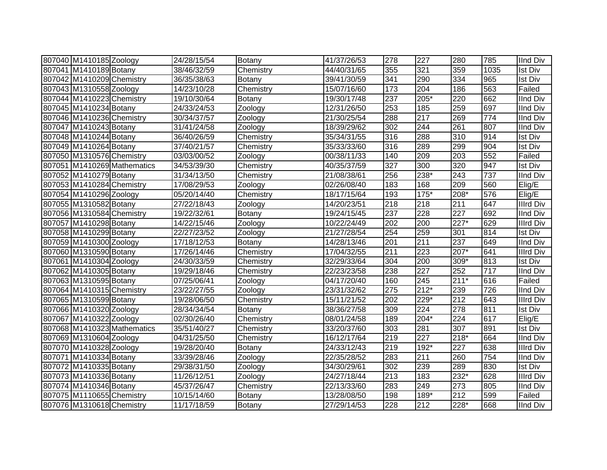| 807040 M1410185 Zoology   |                             | 24/28/15/54 | Botany        | 41/37/26/53          | 278 | 227              | 280              | 785  | <b>IInd Div</b>  |
|---------------------------|-----------------------------|-------------|---------------|----------------------|-----|------------------|------------------|------|------------------|
| 807041 M1410189 Botany    |                             | 38/46/32/59 | Chemistry     | 44/40/31/65          | 355 | 321              | 359              | 1035 | <b>Ist Div</b>   |
| 807042 M1410209 Chemistry |                             | 36/35/38/63 | Botany        | 39/41/30/59          | 341 | 290              | 334              | 965  | <b>Ist Div</b>   |
| 807043 M1310558 Zoology   |                             | 14/23/10/28 | Chemistry     | 15/07/16/60          | 173 | 204              | 186              | 563  | Failed           |
| 807044 M1410223 Chemistry |                             | 19/10/30/64 | <b>Botany</b> | 19/30/17/48          | 237 | $205*$           | 220              | 662  | <b>IInd Div</b>  |
| 807045 M1410234 Botany    |                             | 24/33/24/53 | Zoology       | 12/31/26/50          | 253 | 185              | 259              | 697  | <b>IInd Div</b>  |
| 807046 M1410236 Chemistry |                             | 30/34/37/57 | Zoology       | 21/30/25/54          | 288 | 217              | 269              | 774  | <b>IInd Div</b>  |
| 807047 M1410243 Botany    |                             | 31/41/24/58 | Zoology       | 18/39/29/62          | 302 | 244              | 261              | 807  | <b>IInd Div</b>  |
| 807048 M1410244 Botany    |                             | 36/40/26/59 | Chemistry     | 35/34/31/55          | 316 | 288              | 310              | 914  | <b>Ist Div</b>   |
| 807049 M1410264 Botany    |                             | 37/40/21/57 | Chemistry     | 35/33/33/60          | 316 | 289              | 299              | 904  | <b>Ist Div</b>   |
| 807050 M1310576 Chemistry |                             | 03/03/00/52 | Zoology       | 00/38/11/33          | 140 | 209              | 203              | 552  | Failed           |
|                           | 807051 M1410269 Mathematics | 34/53/39/30 | Chemistry     | 40/35/37/59          | 327 | 300              | 320              | 947  | <b>Ist Div</b>   |
| 807052 M1410279 Botany    |                             | 31/34/13/50 | Chemistry     | 21/08/38/61          | 256 | 238*             | 243              | 737  | <b>IInd Div</b>  |
| 807053 M1410284 Chemistry |                             | 17/08/29/53 | Zoology       | 02/26/08/40          | 183 | 168              | 209              | 560  | Elig/E           |
| 807054 M1410296 Zoology   |                             | 05/20/14/40 | Chemistry     | 18/17/15/64          | 193 | $175*$           | 208*             | 576  | Elig/E           |
| 807055 M1310582 Botany    |                             | 27/22/18/43 | Zoology       | 14/20/23/51          | 218 | 218              | 211              | 647  | <b>Illrd Div</b> |
| 807056 M1310584 Chemistry |                             | 19/22/32/61 | Botany        | 19/24/15/45          | 237 | 228              | 227              | 692  | <b>IInd Div</b>  |
| 807057 M1410298 Botany    |                             | 14/22/15/46 | Zoology       | 10/22/24/49          | 202 | 200              | 227*             | 629  | <b>Illrd Div</b> |
| 807058 M1410299 Botany    |                             | 22/27/23/52 | Zoology       | 21/27/28/54          | 254 | 259              | 301              | 814  | <b>Ist Div</b>   |
| 807059 M1410300 Zoology   |                             | 17/18/12/53 | <b>Botany</b> | 14/28/13/46          | 201 | 211              | 237              | 649  | <b>IInd Div</b>  |
| 807060 M1310590 Botany    |                             | 17/26/14/46 | Chemistry     | 17/04/32/55          | 211 | 223              | 207*             | 641  | <b>Illrd Div</b> |
| 807061 M1410304 Zoology   |                             | 24/30/33/59 | Chemistry     | 32/29/33/64          | 304 | $\overline{200}$ | $309*$           | 813  | <b>Ist Div</b>   |
| 807062 M1410305 Botany    |                             | 19/29/18/46 | Chemistry     | 22/23/23/58          | 238 | 227              | 252              | 717  | <b>IInd Div</b>  |
| 807063 M1310595 Botany    |                             | 07/25/06/41 | Zoology       | $\sqrt{04/17}/20/40$ | 160 | 245              | $211*$           | 616  | Failed           |
| 807064 M1410315 Chemistry |                             | 23/22/27/55 | Zoology       | 23/31/32/62          | 275 | $212*$           | 239              | 726  | <b>IInd Div</b>  |
| 807065 M1310599 Botany    |                             | 19/28/06/50 | Chemistry     | 15/11/21/52          | 202 | 229*             | $\overline{212}$ | 643  | <b>Illrd Div</b> |
| 807066 M1410320 Zoology   |                             | 28/34/34/54 | Botany        | 38/36/27/58          | 309 | 224              | 278              | 811  | <b>Ist Div</b>   |
| 807067 M1410322 Zoology   |                             | 02/30/26/40 | Chemistry     | 08/01/24/58          | 189 | 204*             | 224              | 617  | Elig/E           |
|                           | 807068 M1410323 Mathematics | 35/51/40/27 | Chemistry     | 33/20/37/60          | 303 | 281              | 307              | 891  | <b>Ist Div</b>   |
| 807069 M1310604 Zoology   |                             | 04/31/25/50 | Chemistry     | 16/12/17/64          | 219 | 227              | $218*$           | 664  | <b>IInd Div</b>  |
| 807070 M1410328 Zoology   |                             | 19/28/20/40 | <b>Botany</b> | 24/33/12/43          | 219 | 192*             | 227              | 638  | <b>Illrd Div</b> |
| 807071 M1410334 Botany    |                             | 33/39/28/46 | Zoology       | 22/35/28/52          | 283 | 211              | 260              | 754  | <b>IInd Div</b>  |
| 807072 M1410335 Botany    |                             | 29/38/31/50 | Zoology       | 34/30/29/61          | 302 | 239              | 289              | 830  | Ist Div          |
| 807073 M1410336 Botany    |                             | 11/26/12/51 | Zoology       | 24/27/18/44          | 213 | 183              | $232*$           | 628  | <b>Illrd Div</b> |
| 807074 M1410346 Botany    |                             | 45/37/26/47 | Chemistry     | 22/13/33/60          | 283 | 249              | 273              | 805  | <b>IInd Div</b>  |
| 807075 M1110655 Chemistry |                             | 10/15/14/60 | Botany        | 13/28/08/50          | 198 | 189*             | $\overline{212}$ | 599  | Failed           |
| 807076 M1310618 Chemistry |                             | 11/17/18/59 | Botany        | 27/29/14/53          | 228 | 212              | $228*$           | 668  | IInd Div         |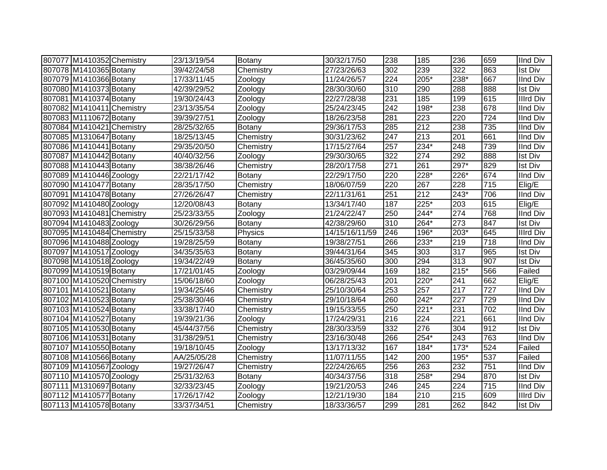| 807077 M1410352 Chemistry | 23/13/19/54 | Botany        | 30/32/17/50    | 238              | 185    | 236              | 659 | <b>IInd Div</b>  |
|---------------------------|-------------|---------------|----------------|------------------|--------|------------------|-----|------------------|
| 807078 M1410365 Botany    | 39/42/24/58 | Chemistry     | 27/23/26/63    | 302              | 239    | 322              | 863 | <b>Ist Div</b>   |
| 807079 M1410366 Botany    | 17/33/11/45 | Zoology       | 11/24/26/57    | $\overline{224}$ | 205*   | 238*             | 667 | <b>IInd Div</b>  |
| 807080 M1410373 Botany    | 42/39/29/52 | Zoology       | 28/30/30/60    | 310              | 290    | 288              | 888 | <b>Ist Div</b>   |
| 807081 M1410374 Botany    | 19/30/24/43 | Zoology       | 22/27/28/38    | 231              | 185    | 199              | 615 | <b>Illrd Div</b> |
| 807082 M1410411 Chemistry | 23/13/35/54 | Zoology       | 25/24/23/45    | 242              | $198*$ | 238              | 678 | <b>IInd Div</b>  |
| 807083 M1110672 Botany    | 39/39/27/51 | Zoology       | 18/26/23/58    | 281              | 223    | 220              | 724 | <b>IInd Div</b>  |
| 807084 M1410421 Chemistry | 28/25/32/65 | Botany        | 29/36/17/53    | 285              | 212    | 238              | 735 | <b>IInd Div</b>  |
| 807085 M1310647 Botany    | 18/25/13/45 | Chemistry     | 30/31/23/62    | 247              | 213    | $\overline{201}$ | 661 | <b>IInd Div</b>  |
| 807086 M1410441 Botany    | 29/35/20/50 | Chemistry     | 17/15/27/64    | 257              | 234*   | $\overline{248}$ | 739 | <b>IInd Div</b>  |
| 807087 M1410442 Botany    | 40/40/32/56 | Zoology       | 29/30/30/65    | 322              | 274    | 292              | 888 | <b>Ist Div</b>   |
| 807088 M1410443 Botany    | 38/38/26/46 | Chemistry     | 28/20/17/58    | 271              | 261    | 297*             | 829 | <b>Ist Div</b>   |
| 807089 M1410446 Zoology   | 22/21/17/42 | <b>Botany</b> | 22/29/17/50    | 220              | 228*   | 226*             | 674 | <b>IInd Div</b>  |
| 807090 M1410477 Botany    | 28/35/17/50 | Chemistry     | 18/06/07/59    | 220              | 267    | 228              | 715 | Elig/E           |
| 807091 M1410478 Botany    | 27/26/26/47 | Chemistry     | 22/11/31/61    | 251              | 212    | 243*             | 706 | <b>IInd Div</b>  |
| 807092 M1410480 Zoology   | 12/20/08/43 | Botany        | 13/34/17/40    | 187              | 225*   | 203              | 615 | Elig/E           |
| 807093 M1410481 Chemistry | 25/23/33/55 | Zoology       | 21/24/22/47    | 250              | 244*   | 274              | 768 | <b>IInd Div</b>  |
| 807094 M1410483 Zoology   | 30/26/29/56 | Botany        | 42/38/29/60    | 310              | 264*   | 273              | 847 | <b>Ist Div</b>   |
| 807095 M1410484 Chemistry | 25/15/33/58 | Physics       | 14/15/16/11/59 | 246              | 196*   | 203*             | 645 | <b>Illrd Div</b> |
| 807096 M1410488 Zoology   | 19/28/25/59 | Botany        | 19/38/27/51    | 266              | 233*   | 219              | 718 | <b>IInd Div</b>  |
| 807097 M1410517 Zoology   | 34/35/35/63 | Botany        | 39/44/31/64    | 345              | 303    | 317              | 965 | <b>Ist Div</b>   |
| 807098 M1410518 Zoology   | 19/34/22/49 | Botany        | 36/45/35/60    | $\overline{300}$ | 294    | 313              | 907 | <b>Ist Div</b>   |
| 807099 M1410519 Botany    | 17/21/01/45 | Zoology       | 03/29/09/44    | 169              | 182    | $215*$           | 566 | Failed           |
| 807100 M1410520 Chemistry | 15/06/18/60 | Zoology       | 06/28/25/43    | 201              | $220*$ | 241              | 662 | Elig/E           |
| 807101 M1410521 Botany    | 19/34/25/46 | Chemistry     | 25/10/30/64    | 253              | 257    | 217              | 727 | <b>IInd Div</b>  |
| 807102 M1410523 Botany    | 25/38/30/46 | Chemistry     | 29/10/18/64    | 260              | $242*$ | $\overline{227}$ | 729 | <b>IInd Div</b>  |
| 807103 M1410524 Botany    | 33/38/17/40 | Chemistry     | 19/15/33/55    | 250              | $221*$ | 231              | 702 | <b>IInd Div</b>  |
| 807104 M1410527 Botany    | 19/39/21/36 | Zoology       | 17/24/29/31    | 216              | 224    | $\overline{221}$ | 661 | <b>IInd Div</b>  |
| 807105 M1410530 Botany    | 45/44/37/56 | Chemistry     | 28/30/33/59    | 332              | 276    | 304              | 912 | <b>Ist Div</b>   |
| 807106 M1410531 Botany    | 31/38/29/51 | Chemistry     | 23/16/30/48    | 266              | 254*   | 243              | 763 | <b>IInd Div</b>  |
| 807107 M1410550 Botany    | 19/18/10/45 | Zoology       | 13/17/13/32    | 167              | 184*   | $173*$           | 524 | Failed           |
| 807108 M1410566 Botany    | AA/25/05/28 | Chemistry     | 11/07/11/55    | 142              | 200    | 195*             | 537 | Failed           |
| 807109 M1410567 Zoology   | 19/27/26/47 | Chemistry     | 22/24/26/65    | 256              | 263    | 232              | 751 | <b>IInd Div</b>  |
| 807110 M1410570 Zoology   | 25/31/32/63 | <b>Botany</b> | 40/34/37/56    | 318              | 258*   | 294              | 870 | <b>Ist Div</b>   |
| 807111 M1310697 Botany    | 32/33/23/45 | Zoology       | 19/21/20/53    | 246              | 245    | 224              | 715 | <b>IInd Div</b>  |
| 807112 M1410577 Botany    | 17/26/17/42 | Zoology       | 12/21/19/30    | 184              | 210    | 215              | 609 | <b>Illrd Div</b> |
| 807113 M1410578 Botany    | 33/37/34/51 | Chemistry     | 18/33/36/57    | 299              | 281    | $\overline{262}$ | 842 | <b>Ist Div</b>   |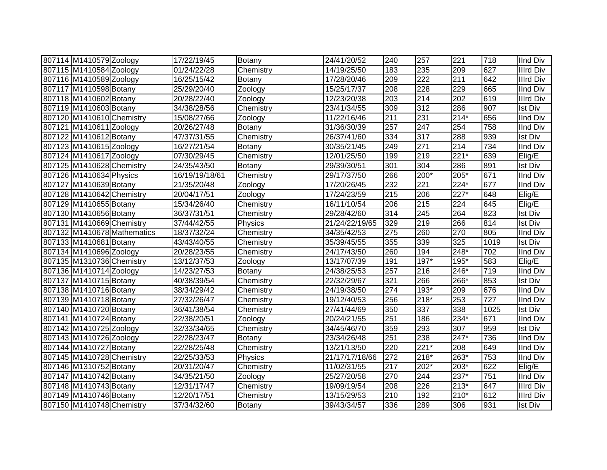| 807114 M1410579 Zoology   |                             | 17/22/19/45    | Botany        | 24/41/20/52    | 240 | 257    | 221              | 718  | <b>IInd Div</b>  |
|---------------------------|-----------------------------|----------------|---------------|----------------|-----|--------|------------------|------|------------------|
| 807115 M1410584 Zoology   |                             | 01/24/22/28    | Chemistry     | 14/19/25/50    | 183 | 235    | 209              | 627  | <b>Illrd Div</b> |
| 807116 M1410589 Zoology   |                             | 16/25/15/42    | <b>Botany</b> | 17/28/20/46    | 209 | 222    | $\overline{211}$ | 642  | <b>Illrd Div</b> |
| 807117 M1410598 Botany    |                             | 25/29/20/40    | Zoology       | 15/25/17/37    | 208 | 228    | 229              | 665  | <b>IInd Div</b>  |
| 807118 M1410602 Botany    |                             | 20/28/22/40    | Zoology       | 12/23/20/38    | 203 | 214    | 202              | 619  | <b>Illrd Div</b> |
| 807119 M1410603 Botany    |                             | 34/38/28/56    | Chemistry     | 23/41/34/55    | 309 | 312    | 286              | 907  | <b>Ist Div</b>   |
| 807120 M1410610 Chemistry |                             | 15/08/27/66    | Zoology       | 11/22/16/46    | 211 | 231    | $214*$           | 656  | <b>IInd Div</b>  |
| 807121 M1410611 Zoology   |                             | 20/26/27/48    | <b>Botany</b> | 31/36/30/39    | 257 | 247    | 254              | 758  | <b>IInd Div</b>  |
| 807122 M1410612 Botany    |                             | 47/37/31/55    | Chemistry     | 26/37/41/60    | 334 | 317    | 288              | 939  | <b>Ist Div</b>   |
| 807123 M1410615 Zoology   |                             | 16/27/21/54    | <b>Botany</b> | 30/35/21/45    | 249 | 271    | 214              | 734  | IInd Div         |
| 807124 M1410617 Zoology   |                             | 07/30/29/45    | Chemistry     | 12/01/25/50    | 199 | 219    | $221*$           | 639  | Elig/E           |
| 807125 M1410628 Chemistry |                             | 24/35/43/50    | <b>Botany</b> | 29/39/30/51    | 301 | 304    | 286              | 891  | <b>Ist Div</b>   |
| 807126 M1410634 Physics   |                             | 16/19/19/18/61 | Chemistry     | 29/17/37/50    | 266 | $200*$ | 205*             | 671  | IInd Div         |
| 807127 M1410639 Botany    |                             | 21/35/20/48    | Zoology       | 17/20/26/45    | 232 | 221    | 224*             | 677  | <b>IInd Div</b>  |
| 807128 M1410642 Chemistry |                             | 20/04/17/51    | Zoology       | 17/24/23/59    | 215 | 206    | 227*             | 648  | Elig/E           |
| 807129 M1410655 Botany    |                             | 15/34/26/40    | Chemistry     | 16/11/10/54    | 206 | 215    | 224              | 645  | Elig/E           |
| 807130 M1410656 Botany    |                             | 36/37/31/51    | Chemistry     | 29/28/42/60    | 314 | 245    | 264              | 823  | <b>Ist Div</b>   |
| 807131 M1410669 Chemistry |                             | 37/44/42/55    | Physics       | 21/24/22/19/65 | 329 | 219    | 266              | 814  | <b>Ist Div</b>   |
|                           | 807132 M1410678 Mathematics | 18/37/32/24    | Chemistry     | 34/35/42/53    | 275 | 260    | 270              | 805  | <b>IInd Div</b>  |
| 807133 M1410681 Botany    |                             | 43/43/40/55    | Chemistry     | 35/39/45/55    | 355 | 339    | 325              | 1019 | <b>Ist Div</b>   |
| 807134 M1410696 Zoology   |                             | 20/28/23/55    | Chemistry     | 24/17/43/50    | 260 | 194    | 248*             | 702  | <b>IInd Div</b>  |
| 807135 M1310736 Chemistry |                             | 13/12/37/53    | Zoology       | 13/17/07/39    | 191 | $197*$ | 195*             | 583  | Elig/E           |
| 807136 M1410714 Zoology   |                             | 14/23/27/53    | Botany        | 24/38/25/53    | 257 | 216    | 246*             | 719  | <b>IInd Div</b>  |
| 807137 M1410715 Botany    |                             | 40/38/39/54    | Chemistry     | 22/32/29/67    | 321 | 266    | 266*             | 853  | <b>Ist Div</b>   |
| 807138 M1410716 Botany    |                             | 38/34/29/42    | Chemistry     | 24/19/38/50    | 274 | $193*$ | 209              | 676  | <b>IInd Div</b>  |
| 807139 M1410718 Botany    |                             | 27/32/26/47    | Chemistry     | 19/12/40/53    | 256 | 218*   | 253              | 727  | <b>IInd Div</b>  |
| 807140 M1410720 Botany    |                             | 36/41/38/54    | Chemistry     | 27/41/44/69    | 350 | 337    | 338              | 1025 | <b>Ist Div</b>   |
| 807141 M1410724 Botany    |                             | 22/38/20/51    | Zoology       | 20/24/21/55    | 251 | 186    | 234*             | 671  | <b>IInd Div</b>  |
| 807142 M1410725 Zoology   |                             | 32/33/34/65    | Chemistry     | 34/45/46/70    | 359 | 293    | 307              | 959  | <b>Ist Div</b>   |
| 807143 M1410726 Zoology   |                             | 22/28/23/47    | Botany        | 23/34/26/48    | 251 | 238    | 247*             | 736  | <b>IInd Div</b>  |
| 807144 M1410727 Botany    |                             | 22/28/25/48    | Chemistry     | 13/21/13/50    | 220 | $221*$ | 208              | 649  | <b>IInd Div</b>  |
| 807145 M1410728 Chemistry |                             | 22/25/33/53    | Physics       | 21/17/17/18/66 | 272 | 218*   | 263*             | 753  | <b>IInd Div</b>  |
| 807146 M1310752 Botany    |                             | 20/31/20/47    | Chemistry     | 11/02/31/55    | 217 | 202*   | 203*             | 622  | Elig/E           |
| 807147 M1410742 Botany    |                             | 34/35/21/50    | Zoology       | 25/27/20/58    | 270 | 244    | 237*             | 751  | <b>IInd Div</b>  |
| 807148 M1410743 Botany    |                             | 12/31/17/47    | Chemistry     | 19/09/19/54    | 208 | 226    | $213*$           | 647  | <b>Illrd Div</b> |
| 807149 M1410746 Botany    |                             | 12/20/17/51    | Chemistry     | 13/15/29/53    | 210 | 192    | 210*             | 612  | <b>Illrd Div</b> |
| 807150 M1410748 Chemistry |                             | 37/34/32/60    | Botany        | 39/43/34/57    | 336 | 289    | 306              | 931  | <b>Ist Div</b>   |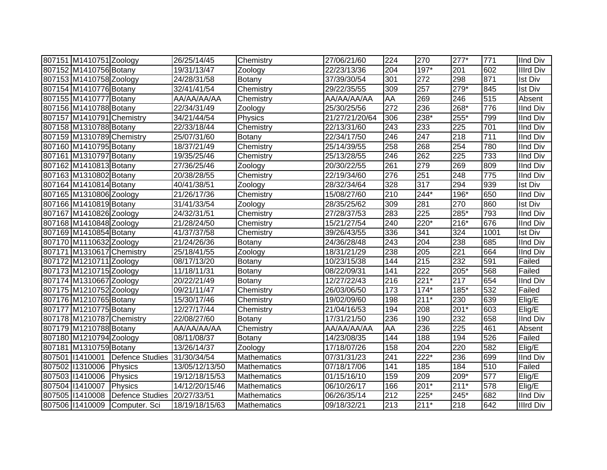| 807151 M1410751 Zoology   |                             | 26/25/14/45    | Chemistry          | 27/06/21/60    | 224              | 270    | $277*$           | 771  | <b>IInd Div</b>  |
|---------------------------|-----------------------------|----------------|--------------------|----------------|------------------|--------|------------------|------|------------------|
| 807152 M1410756 Botany    |                             | 19/31/13/47    | Zoology            | 22/23/13/36    | 204              | 197*   | 201              | 602  | <b>Illrd Div</b> |
| 807153 M1410758 Zoology   |                             | 24/28/31/58    | Botany             | 37/39/30/54    | 301              | 272    | 298              | 871  | <b>Ist Div</b>   |
| 807154 M1410776 Botany    |                             | 32/41/41/54    | Chemistry          | 29/22/35/55    | 309              | 257    | 279*             | 845  | <b>Ist Div</b>   |
| 807155 M1410777 Botany    |                             | AA/AA/AA/AA    | Chemistry          | AA/AA/AA/AA    | <b>AA</b>        | 269    | $\overline{246}$ | 515  | Absent           |
| 807156 M1410788 Botany    |                             | 22/34/31/49    | Zoology            | 25/30/25/56    | $\overline{272}$ | 236    | $268*$           | 776  | <b>IInd Div</b>  |
| 807157 M1410791 Chemistry |                             | 34/21/44/54    | Physics            | 21/27/21/20/64 | 306              | 238*   | 255*             | 799  | <b>IInd Div</b>  |
| 807158 M1310788 Botany    |                             | 22/33/18/44    | Chemistry          | 22/13/31/60    | 243              | 233    | 225              | 701  | <b>IInd Div</b>  |
| 807159 M1310789 Chemistry |                             | 25/07/31/60    | Botany             | 22/34/17/50    | 246              | 247    | $\overline{218}$ | 711  | <b>IInd Div</b>  |
| 807160 M1410795 Botany    |                             | 18/37/21/49    | Chemistry          | 25/14/39/55    | 258              | 268    | 254              | 780  | <b>IInd Div</b>  |
| 807161 M1310797 Botany    |                             | 19/35/25/46    | Chemistry          | 25/13/28/55    | 246              | 262    | $\overline{225}$ | 733  | <b>IInd Div</b>  |
| 807162 M1410813 Botany    |                             | 27/36/25/46    | Zoology            | 20/30/22/55    | 261              | 279    | 269              | 809  | IInd Div         |
| 807163 M1310802 Botany    |                             | 20/38/28/55    | Chemistry          | 22/19/34/60    | 276              | 251    | 248              | 775  | <b>IInd Div</b>  |
| 807164 M1410814 Botany    |                             | 40/41/38/51    | Zoology            | 28/32/34/64    | 328              | 317    | 294              | 939  | <b>Ist Div</b>   |
| 807165 M1310806 Zoology   |                             | 21/26/17/36    | Chemistry          | 15/08/27/60    | 210              | 244*   | 196*             | 650  | <b>IInd Div</b>  |
| 807166 M1410819 Botany    |                             | 31/41/33/54    | Zoology            | 28/35/25/62    | 309              | 281    | 270              | 860  | <b>Ist Div</b>   |
| 807167 M1410826 Zoology   |                             | 24/32/31/51    | Chemistry          | 27/28/37/53    | 283              | 225    | 285*             | 793  | <b>IInd Div</b>  |
| 807168 M1410848 Zoology   |                             | 21/28/24/50    | Chemistry          | 15/21/27/54    | 240              | 220*   | $216*$           | 676  | <b>IInd Div</b>  |
| 807169 M1410854 Botany    |                             | 41/37/37/58    | Chemistry          | 39/26/43/55    | 336              | 341    | 324              | 1001 | <b>Ist Div</b>   |
| 807170 M1110632 Zoology   |                             | 21/24/26/36    | Botany             | 24/36/28/48    | 243              | 204    | 238              | 685  | <b>IInd Div</b>  |
| 807171 M1310617 Chemistry |                             | 25/18/41/55    | Zoology            | 18/31/21/29    | 238              | 205    | 221              | 664  | <b>IInd Div</b>  |
| 807172 M1210711 Zoology   |                             | 08/17/13/20    | Botany             | 10/23/15/38    | 144              | 215    | 232              | 591  | Failed           |
| 807173 M1210715 Zoology   |                             | 11/18/11/31    | Botany             | 08/22/09/31    | 141              | 222    | $205*$           | 568  | Failed           |
| 807174 M1310667 Zoology   |                             | 20/22/21/49    | Botany             | 12/27/22/43    | 216              | $221*$ | 217              | 654  | <b>IInd Div</b>  |
| 807175 M1210752 Zoology   |                             | 09/21/11/47    | Chemistry          | 26/03/06/50    | 173              | $174*$ | 185*             | 532  | Failed           |
| 807176 M1210765 Botany    |                             | 15/30/17/46    | Chemistry          | 19/02/09/60    | 198              | $211*$ | 230              | 639  | Elig/E           |
| 807177 M1210775 Botany    |                             | 12/27/17/44    | Chemistry          | 21/04/16/53    | 194              | 208    | $201*$           | 603  | Elig/E           |
| 807178 M1210787 Chemistry |                             | 22/08/27/60    | Botany             | 17/31/21/50    | 236              | 190    | 232              | 658  | <b>IInd Div</b>  |
| 807179 M1210788 Botany    |                             | AA/AA/AA/AA    | Chemistry          | AA/AA/AA/AA    | AA               | 236    | 225              | 461  | Absent           |
| 807180 M1210794 Zoology   |                             | 08/11/08/37    | Botany             | 14/23/08/35    | 144              | 188    | 194              | 526  | Failed           |
| 807181 M1310759 Botany    |                             | 13/26/14/37    | Zoology            | 17/18/07/26    | 158              | 204    | 220              | 582  | Elig/E           |
| 807501 1410001            | Defence Studies             | 31/30/34/54    | Mathematics        | 07/31/31/23    | 241              | 222*   | 236              | 699  | <b>IInd Div</b>  |
| 807502 11310006           | Physics                     | 13/05/12/13/50 | Mathematics        | 07/18/17/06    | 141              | 185    | 184              | 510  | Failed           |
| 807503 11410006           | Physics                     | 19/12/18/15/53 | <b>Mathematics</b> | 01/15/16/10    | 159              | 209    | $209*$           | 577  | Elig/E           |
| 807504 11410007           | Physics                     | 14/12/20/15/46 | Mathematics        | 06/10/26/17    | 166              | 201*   | $211*$           | 578  | Elig/E           |
| 807505 11410008           | Defence Studies 20/27/33/51 |                | Mathematics        | 06/26/35/14    | 212              | 225*   | 245*             | 682  | <b>IInd Div</b>  |
| 807506 11410009           | Computer. Sci               | 18/19/18/15/63 | Mathematics        | 09/18/32/21    | 213              | $211*$ | 218              | 642  | <b>Illrd Div</b> |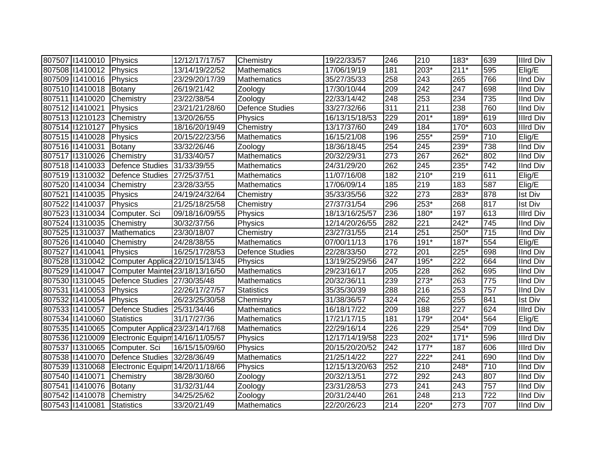| 807507   1410010   Physics |                                             | 12/12/17/17/57 | Chemistry              | 19/22/33/57    | 246              | 210    | 183*             | 639              | Illrd Div        |
|----------------------------|---------------------------------------------|----------------|------------------------|----------------|------------------|--------|------------------|------------------|------------------|
| 807508 11410012            | Physics                                     | 13/14/19/22/52 | <b>Mathematics</b>     | 17/06/19/19    | 181              | 203*   | $211*$           | 595              | Elig/E           |
| 807509 11410016            | Physics                                     | 23/29/20/17/39 | <b>Mathematics</b>     | 35/27/35/33    | 258              | 243    | 265              | 766              | <b>IInd Div</b>  |
| 807510 1410018             | Botany                                      | 26/19/21/42    | Zoology                | 17/30/10/44    | 209              | 242    | 247              | 698              | <b>IInd Div</b>  |
| 807511 1410020             | Chemistry                                   | 23/22/38/54    | Zoology                | 22/33/14/42    | $\overline{248}$ | 253    | 234              | 735              | <b>IInd Div</b>  |
| 807512 11410021            | Physics                                     | 23/21/21/28/60 | <b>Defence Studies</b> | 33/27/32/66    | $\overline{311}$ | 211    | 238              | 760              | <b>IInd Div</b>  |
| 807513 1210123             | Chemistry                                   | 13/20/26/55    | Physics                | 16/13/15/18/53 | 229              | $201*$ | 189*             | 619              | <b>Illrd Div</b> |
| 807514 1210127             | Physics                                     | 18/16/20/19/49 | Chemistry              | 13/17/37/60    | 249              | 184    | $170*$           | 603              | <b>Illrd Div</b> |
| 807515 11410028            | Physics                                     | 20/15/22/23/56 | Mathematics            | 16/15/21/08    | 196              | $255*$ | 259*             | 710              | Elig/E           |
| 807516 11410031            | Botany                                      | 33/32/26/46    | Zoology                | 18/36/18/45    | 254              | 245    | 239*             | 738              | <b>IInd Div</b>  |
| 807517 1310026             | Chemistry                                   | 31/33/40/57    | Mathematics            | 20/32/29/31    | 273              | 267    | $262*$           | 802              | <b>IInd Div</b>  |
| 807518 11410033            | Defence Studies                             | 31/33/39/55    | Mathematics            | 24/31/29/20    | 262              | 245    | 235*             | 742              | IInd Div         |
| 807519 1310032             | Defence Studies 27/25/37/51                 |                | Mathematics            | 11/07/16/08    | 182              | $210*$ | 219              | 611              | Elig/E           |
| 807520 11410034            | Chemistry                                   | 23/28/33/55    | Mathematics            | 17/06/09/14    | 185              | 219    | 183              | 587              | Elig/E           |
| 807521 1410035             | Physics                                     | 24/19/24/32/64 | Chemistry              | 35/33/35/56    | 322              | 273    | 283*             | 878              | <b>Ist Div</b>   |
| 807522 11410037            | Physics                                     | 21/25/18/25/58 | Chemistry              | 27/37/31/54    | 296              | 253*   | 268              | 817              | <b>Ist Div</b>   |
| 807523 11310034            | Computer. Sci                               | 09/18/16/09/55 | Physics                | 18/13/16/25/57 | 236              | $180*$ | 197              | 613              | <b>Illrd Div</b> |
| 807524 1310035             | Chemistry                                   | 30/32/37/56    | Physics                | 12/14/20/26/55 | 282              | 221    | 242*             | 745              | <b>IInd Div</b>  |
| 807525 1310037             | Mathematics                                 | 23/30/18/07    | Chemistry              | 23/27/31/55    | 214              | 251    | 250*             | 715              | <b>IInd Div</b>  |
| 807526 11410040            | Chemistry                                   | 24/28/38/55    | <b>Mathematics</b>     | 07/00/11/13    | 176              | $191*$ | 187*             | 554              | Elig/E           |
| 807527 11410041            | Physics                                     | 16/25/17/28/53 | <b>Defence Studies</b> | 22/28/33/50    | 272              | 201    | 225*             | 698              | <b>IInd Div</b>  |
| 807528 11310042            | Computer Applica 22/10/15/13/45             |                | Physics                | 13/19/25/29/56 | $\overline{247}$ | $195*$ | $\overline{222}$ | 664              | <b>IInd Div</b>  |
| 807529 11410047            | Computer Mainter 23/18/13/16/50             |                | <b>Mathematics</b>     | 29/23/16/17    | 205              | 228    | 262              | 695              | <b>IInd Div</b>  |
|                            | 807530 11310045 Defence Studies 27/30/35/48 |                | <b>Mathematics</b>     | 20/32/36/11    | 239              | $273*$ | 263              | 775              | <b>IInd Div</b>  |
| 807531 1410053             | Physics                                     | 22/26/17/27/57 | <b>Statistics</b>      | 35/35/30/39    | 288              | 216    | 253              | 757              | <b>IInd Div</b>  |
| 807532 11410054            | Physics                                     | 26/23/25/30/58 | Chemistry              | 31/38/36/57    | 324              | 262    | 255              | 841              | <b>Ist Div</b>   |
| 807533 11410057            | Defence Studies                             | 25/31/34/46    | Mathematics            | 16/18/17/22    | 209              | 188    | $\overline{227}$ | 624              | <b>Illrd Div</b> |
| 807534 11410060            | Statistics                                  | 31/17/27/36    | Mathematics            | 17/21/17/15    | 181              | 179*   | $204*$           | 564              | Elig/E           |
| 807535 11410065            | Computer Applica 23/23/14/17/68             |                | Mathematics            | 22/29/16/14    | 226              | 229    | $254*$           | 709              | <b>IInd Div</b>  |
| 807536 11210009            | Electronic Equipm 14/16/11/05/57            |                | Physics                | 12/17/14/19/58 | 223              | 202*   | $171*$           | 596              | <b>Illrd Div</b> |
| 807537 1310065             | Computer. Sci                               | 16/15/15/09/60 | Physics                | 20/15/20/20/52 | 242              | $177*$ | 187              | 606              | <b>Illrd Div</b> |
| 807538 11410070            | Defence Studies 32/28/36/49                 |                | Mathematics            | 21/25/14/22    | 227              | 222*   | 241              | 690              | <b>IInd Div</b>  |
| 807539 11310068            | Electronic Equipm 14/20/11/18/66            |                | Physics                | 12/15/13/20/63 | 252              | 210    | 248*             | 710              | <b>IInd Div</b>  |
| 807540 11410071            | Chemistry                                   | 38/28/30/60    | Zoology                | 20/32/13/51    | 272              | 292    | 243              | 807              | <b>IInd Div</b>  |
| 807541 1410076             | Botany                                      | 31/32/31/44    | Zoology                | 23/31/28/53    | 273              | 241    | 243              | 757              | <b>IInd Div</b>  |
| 807542 11410078            | Chemistry                                   | 34/25/25/62    | Zoology                | 20/31/24/40    | 261              | 248    | 213              | $\overline{722}$ | <b>IInd Div</b>  |
| 807543 11410081            | Statistics                                  | 33/20/21/49    | Mathematics            | 22/20/26/23    | 214              | 220*   | 273              | 707              | <b>IInd Div</b>  |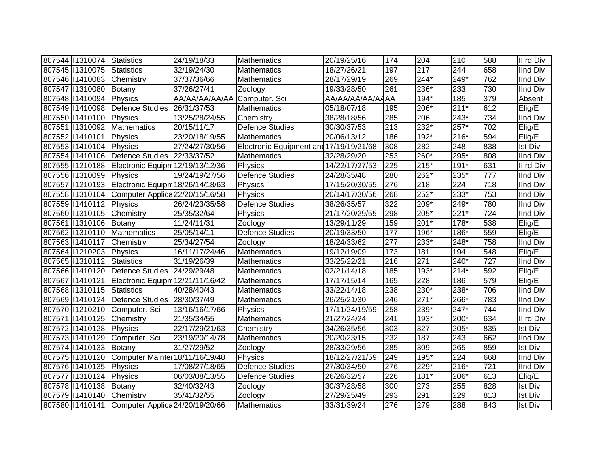| 807544 11310074            | Statistics                                          | 24/19/18/33                  | Mathematics                             | 20/19/25/16      | 174              | 204    | 210    | 588 | <b>Illrd Div</b> |
|----------------------------|-----------------------------------------------------|------------------------------|-----------------------------------------|------------------|------------------|--------|--------|-----|------------------|
| 807545 11310075            | Statistics                                          | 32/19/24/30                  | Mathematics                             | 18/27/26/21      | 197              | 217    | 244    | 658 | <b>IInd Div</b>  |
| 807546 11410083            | Chemistry                                           | 37/37/36/66                  | Mathematics                             | 28/17/29/19      | 269              | $244*$ | $249*$ | 762 | <b>IInd Div</b>  |
| 807547 1310080             | Botany                                              | 37/26/27/41                  | Zoology                                 | 19/33/28/50      | $\overline{261}$ | 236*   | 233    | 730 | <b>IInd Div</b>  |
| 807548 11410094            | Physics                                             | AA/AA/AA/AA/AA Computer. Sci |                                         | AA/AA/AA/AA/AAAA |                  | $194*$ | 185    | 379 | Absent           |
| 807549 11410098            | Defence Studies                                     | 26/31/37/53                  | <b>Mathematics</b>                      | 05/18/07/18      | 195              | 206*   | $211*$ | 612 | Elig/E           |
| 807550 11410100            | Physics                                             | 13/25/28/24/55               | Chemistry                               | 38/28/18/56      | 285              | 206    | 243*   | 734 | <b>IInd Div</b>  |
| 807551 1310092             | <b>Mathematics</b>                                  | 20/15/11/17                  | <b>Defence Studies</b>                  | 30/30/37/53      | 213              | 232*   | $257*$ | 702 | Elig/E           |
| 807552 11410101            | Physics                                             | 23/20/18/19/55               | <b>Mathematics</b>                      | 20/06/13/12      | 186              | 192*   | 216*   | 594 | Elig/E           |
| 807553 11410104            | Physics                                             | 27/24/27/30/56               | Electronic Equipment and 17/19/19/21/68 |                  | 308              | 282    | 248    | 838 | <b>Ist Div</b>   |
| 807554 11410106            | Defence Studies 22/33/37/52                         |                              | Mathematics                             | 32/28/29/20      | 253              | 260*   | 295*   | 808 | <b>IInd Div</b>  |
| 807555 11210188            | Electronic Equipm 12/19/13/12/36                    |                              | Physics                                 | 14/22/17/27/53   | 225              | $215*$ | 191*   | 631 | <b>Illrd Div</b> |
| 807556 11310099            | Physics                                             | 19/24/19/27/56               | <b>Defence Studies</b>                  | 24/28/35/48      | 280              | 262*   | 235*   | 777 | IInd Div         |
|                            | 807557   1210193   Electronic Equipm 18/26/14/18/63 |                              | Physics                                 | 17/15/20/30/55   | 276              | 218    | 224    | 718 | <b>IInd Div</b>  |
|                            | 807558   1310104 Computer Applica 22/20/15/16/58    |                              | Physics                                 | 20/14/17/30/56   | 268              | 252*   | 233*   | 753 | <b>IInd Div</b>  |
| 807559 11410112 Physics    |                                                     | 26/24/23/35/58               | <b>Defence Studies</b>                  | 38/26/35/57      | 322              | 209*   | 249*   | 780 | <b>IInd Div</b>  |
| 807560 11310105            | Chemistry                                           | 25/35/32/64                  | Physics                                 | 21/17/20/29/55   | 298              | 205*   | $221*$ | 724 | <b>IInd Div</b>  |
| 807561 1310106             | Botany                                              | 11/24/11/31                  | Zoology                                 | 13/29/11/29      | 159              | $201*$ | 178*   | 538 | Elig/E           |
| 807562 11310110            | Mathematics                                         | 25/05/14/11                  | <b>Defence Studies</b>                  | 20/19/33/50      | 177              | 196*   | 186*   | 559 | Elig/E           |
| 807563 11410117            | Chemistry                                           | 25/34/27/54                  | Zoology                                 | 18/24/33/62      | 277              | 233*   | 248*   | 758 | <b>IInd Div</b>  |
| 807564 1210203 Physics     |                                                     | 16/11/17/24/46               | <b>Mathematics</b>                      | 19/12/19/09      | 173              | 181    | 194    | 548 | Elig/E           |
| 807565 11310112            | Statistics                                          | 31/19/26/39                  | <b>Mathematics</b>                      | 33/25/22/21      | 216              | 271    | 240*   | 727 | <b>IInd Div</b>  |
|                            | 807566 11410120 Defence Studies 24/29/29/48         |                              | Mathematics                             | 02/21/14/18      | 185              | 193*   | $214*$ | 592 | Elig/E           |
| 807567 11410121            | Electronic Equipm 12/21/11/16/42                    |                              | Mathematics                             | 17/17/15/14      | 165              | 228    | 186    | 579 | Elig/E           |
| 807568 11310115 Statistics |                                                     | 40/28/40/43                  | Mathematics                             | 33/22/14/18      | 238              | 230*   | 238*   | 706 | <b>IInd Div</b>  |
|                            | 807569 11410124 Defence Studies 28/30/37/49         |                              | Mathematics                             | 26/25/21/30      | 246              | $271*$ | 266*   | 783 | <b>IInd Div</b>  |
| 807570 11210210            | Computer. Sci                                       | 13/16/16/17/66               | Physics                                 | 17/11/24/19/59   | 258              | 239*   | $247*$ | 744 | <b>IInd Div</b>  |
| 807571 1410125             | Chemistry                                           | 21/35/34/55                  | <b>Mathematics</b>                      | 21/27/24/24      | 241              | 193*   | 200*   | 634 | <b>Illrd Div</b> |
| 807572 11410128            | Physics                                             | 22/17/29/21/63               | Chemistry                               | 34/26/35/56      | 303              | 327    | $205*$ | 835 | <b>Ist Div</b>   |
| 807573 11410129            | Computer. Sci                                       | 23/19/20/14/78               | <b>Mathematics</b>                      | 20/20/23/15      | 232              | 187    | 243    | 662 | <b>IInd Div</b>  |
| 807574 11410133            | Botany                                              | 31/27/29/52                  | Zoology                                 | 28/33/29/56      | 285              | 309    | 265    | 859 | Ist Div          |
| 807575 1310120             | Computer Mainter 18/11/16/19/48                     |                              | Physics                                 | 18/12/27/21/59   | 249              | 195*   | 224    | 668 | <b>IInd Div</b>  |
| 807576 11410135            | Physics                                             | 17/08/27/18/65               | <b>Defence Studies</b>                  | 27/30/34/50      | 276              | 229*   | $216*$ | 721 | <b>IInd Div</b>  |
| 807577 1310124             | Physics                                             | 06/03/08/13/55               | <b>Defence Studies</b>                  | 26/26/32/57      | 226              | $181*$ | 206*   | 613 | Elig/E           |
| 807578 11410138            | Botany                                              | 32/40/32/43                  | Zoology                                 | 30/37/28/58      | 300              | 273    | 255    | 828 | <b>Ist Div</b>   |
| 807579 11410140            | <b>TChemistry</b>                                   | 35/41/32/55                  | Zoology                                 | 27/29/25/49      | 293              | 291    | 229    | 813 | <b>Ist Div</b>   |
|                            | 807580   1410141 Computer Applica 24/20/19/20/66    |                              | Mathematics                             | 33/31/39/24      | 276              | 279    | 288    | 843 | <b>Ist Div</b>   |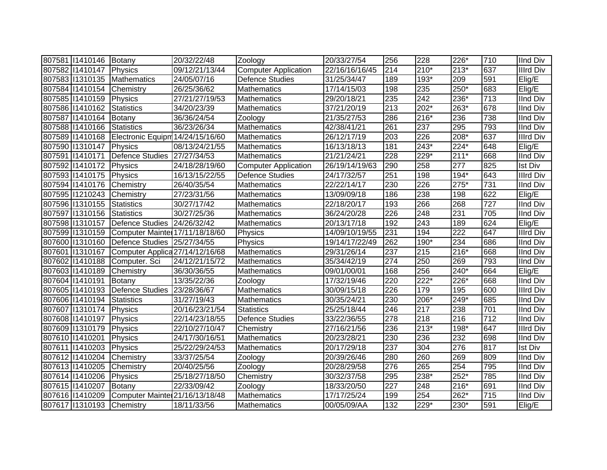| 807581 1410146           | Botany                                         | 20/32/22/48    | Zoology                     | 20/33/27/54    | 256              | 228    | 226*   | 710              | <b>IInd Div</b>  |
|--------------------------|------------------------------------------------|----------------|-----------------------------|----------------|------------------|--------|--------|------------------|------------------|
| 807582 11410147          | Physics                                        | 09/12/21/13/44 | <b>Computer Application</b> | 22/16/16/16/45 | 214              | $210*$ | $213*$ | 637              | Illrd Div        |
| 807583 11310135          | <b>Mathematics</b>                             | 24/05/07/16    | <b>Defence Studies</b>      | 31/25/34/47    | 189              | 193*   | 209    | 591              | Elig/E           |
| 807584 11410154          | Chemistry                                      | 26/25/36/62    | <b>Mathematics</b>          | 17/14/15/03    | 198              | 235    | 250*   | 683              | Elig/E           |
| 807585 11410159          | Physics                                        | 27/21/27/19/53 | Mathematics                 | 29/20/18/21    | 235              | 242    | 236*   | 713              | <b>IInd Div</b>  |
| 807586 11410162          | Statistics                                     | 34/20/23/39    | Mathematics                 | 37/21/20/19    | 213              | 202*   | 263*   | 678              | <b>IInd Div</b>  |
| 807587 11410164          | Botany                                         | 36/36/24/54    | Zoology                     | 21/35/27/53    | 286              | 216*   | 236    | 738              | <b>IInd Div</b>  |
| 807588 11410166          | Statistics                                     | 36/23/26/34    | <b>Mathematics</b>          | 42/38/41/21    | 261              | 237    | 295    | 793              | <b>IInd Div</b>  |
| 807589 11410168          | Electronic Equipm 14/24/15/16/60               |                | <b>Mathematics</b>          | 26/12/17/19    | 203              | 226    | $208*$ | 637              | Illrd Div        |
| 807590 11310147          | Physics                                        | 08/13/24/21/55 | <b>Mathematics</b>          | 16/13/18/13    | 181              | 243*   | 224*   | 648              | Elig/E           |
| 807591 1410171           | Defence Studies 27/27/34/53                    |                | Mathematics                 | 21/21/24/21    | 228              | 229*   | $211*$ | 668              | IInd Div         |
| 807592 11410172          | Physics                                        | 24/18/28/19/60 | <b>Computer Application</b> | 26/19/14/19/63 | 290              | 258    | 277    | 825              | <b>Ist Div</b>   |
| 807593 11410175          | Physics                                        | 16/13/15/22/55 | <b>Defence Studies</b>      | 24/17/32/57    | 251              | 198    | 194*   | 643              | Illrd Div        |
| 807594 11410176          | Chemistry                                      | 26/40/35/54    | Mathematics                 | 22/22/14/17    | 230              | 226    | 275*   | 731              | <b>IInd Div</b>  |
| 807595 11210243          | Chemistry                                      | 27/23/31/56    | <b>Mathematics</b>          | 13/09/09/18    | 186              | 238    | 198    | 622              | Elig/E           |
| 807596 11310155          | Statistics                                     | 30/27/17/42    | Mathematics                 | 22/18/20/17    | 193              | 266    | 268    | $\overline{727}$ | <b>IInd Div</b>  |
| 807597 11310156          | Statistics                                     | 30/27/25/36    | Mathematics                 | 36/24/20/28    | 226              | 248    | 231    | 705              | <b>IInd Div</b>  |
| 807598 11310157          | Defence Studies 24/26/32/42                    |                | Mathematics                 | 20/13/17/18    | 192              | 243    | 189    | 624              | Elig/E           |
|                          | 807599 1310159 Computer Mainter 17/11/18/18/60 |                | Physics                     | 14/09/10/19/55 | 231              | 194    | 222    | 647              | <b>IIIrd Div</b> |
|                          | 807600 11310160 Defence Studies 25/27/34/55    |                | Physics                     | 19/14/17/22/49 | 262              | 190*   | 234    | 686              | <b>IInd Div</b>  |
| 807601 1310167           | Computer Applica 27/14/12/16/68                |                | <b>Mathematics</b>          | 29/31/26/14    | 237              | 215    | $216*$ | 668              | <b>IInd Div</b>  |
|                          | 807602 11410188 Computer. Sci                  | 24/12/21/15/72 | <b>Mathematics</b>          | 35/34/42/19    | 274              | 250    | 269    | 793              | <b>IInd Div</b>  |
| 807603 11410189          | Chemistry                                      | 36/30/36/55    | Mathematics                 | 09/01/00/01    | 168              | 256    | 240*   | 664              | Elig/E           |
| 807604 11410191          | Botany                                         | 13/35/22/36    | Zoology                     | 17/32/19/46    | 220              | $222*$ | 226*   | 668              | <b>IInd Div</b>  |
| 807605 11410193          | Defence Studies 23/28/36/67                    |                | <b>Mathematics</b>          | 30/09/15/18    | 226              | 179    | 195    | 600              | <b>Illrd Div</b> |
| 807606 11410194          | Statistics                                     | 31/27/19/43    | <b>Mathematics</b>          | 30/35/24/21    | 230              | 206*   | 249*   | 685              | <b>IInd Div</b>  |
| 807607 11310174          | Physics                                        | 20/16/23/21/54 | <b>Statistics</b>           | 25/25/18/44    | 246              | 217    | 238    | 701              | <b>IInd Div</b>  |
| 807608 11410197          | Physics                                        | 22/14/23/18/55 | <b>Defence Studies</b>      | 33/22/36/55    | 278              | 218    | 216    | 712              | <b>IInd Div</b>  |
| 807609 11310179          | Physics                                        | 22/10/27/10/47 | Chemistry                   | 27/16/21/56    | 236              | $213*$ | 198*   | 647              | <b>Illrd Div</b> |
| 807610 11410201          | Physics                                        | 24/17/30/16/51 | <b>Mathematics</b>          | 20/23/28/21    | 230              | 236    | 232    | 698              | <b>IInd Div</b>  |
| 807611 1410203           | Physics                                        | 25/22/29/24/53 | Mathematics                 | 20/17/29/18    | 237              | 304    | 276    | 817              | <b>Ist Div</b>   |
| 807612 11410204          | Chemistry                                      | 33/37/25/54    | Zoology                     | 20/39/26/46    | 280              | 260    | 269    | 809              | <b>IInd Div</b>  |
| 807613 11410205          | Chemistry                                      | 20/40/25/56    | Zoology                     | 20/28/29/58    | 276              | 265    | 254    | 795              | <b>IInd Div</b>  |
| 807614 11410206          | Physics                                        | 25/18/27/18/50 | Chemistry                   | 30/32/37/58    | 295              | 238*   | 252*   | 785              | <b>IInd Div</b>  |
| 807615 11410207          | Botany                                         | 22/33/09/42    | Zoology                     | 18/33/20/50    | 227              | 248    | 216*   | 691              | <b>IInd Div</b>  |
| 807616 11410209          | Computer Mainter 21/16/13/18/48                |                | <b>Mathematics</b>          | 17/17/25/24    | 199              | 254    | 262*   | 715              | <b>IInd Div</b>  |
| 807617 1310193 Chemistry |                                                | 18/11/33/56    | Mathematics                 | 00/05/09/AA    | $\overline{132}$ | 229*   | 230*   | 591              | Elig/E           |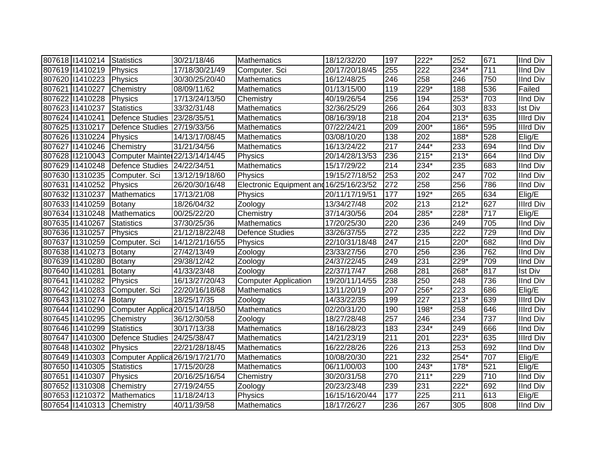| 807618   1410214 Statistics |                                 | 30/21/18/46    | <b>Mathematics</b>                      | 18/12/32/20    | 197              | $222*$ | 252    | 671 | <b>IInd Div</b>  |
|-----------------------------|---------------------------------|----------------|-----------------------------------------|----------------|------------------|--------|--------|-----|------------------|
| 807619 1410219              | Physics                         | 17/18/30/21/49 | Computer. Sci                           | 20/17/20/18/45 | 255              | 222    | $234*$ | 711 | <b>IInd Div</b>  |
| 807620 11410223             | Physics                         | 30/30/25/20/40 | Mathematics                             | 16/12/48/25    | 246              | 258    | 246    | 750 | <b>IInd Div</b>  |
| 807621 1410227              | Chemistry                       | 08/09/11/62    | Mathematics                             | 01/13/15/00    | 119              | 229*   | 188    | 536 | Failed           |
| 807622 11410228             | Physics                         | 17/13/24/13/50 | Chemistry                               | 40/19/26/54    | 256              | 194    | $253*$ | 703 | <b>IInd Div</b>  |
| 807623 11410237             | Statistics                      | 33/32/31/48    | <b>Mathematics</b>                      | 32/36/25/29    | 266              | 264    | 303    | 833 | <b>Ist Div</b>   |
| 807624 11410241             | <b>Defence Studies</b>          | 23/28/35/51    | Mathematics                             | 08/16/39/18    | 218              | 204    | $213*$ | 635 | <b>Illrd Div</b> |
| 807625 11310217             | Defence Studies 27/19/33/56     |                | Mathematics                             | 07/22/24/21    | 209              | 200*   | $186*$ | 595 | <b>Illrd Div</b> |
| 807626 11310224             | Physics                         | 14/13/17/08/45 | Mathematics                             | 03/08/10/20    | 138              | 202    | $188*$ | 528 | Elig/E           |
| 807627 11410246             | Chemistry                       | 31/21/34/56    | Mathematics                             | 16/13/24/22    | $\overline{217}$ | $244*$ | 233    | 694 | <b>IInd Div</b>  |
| 807628 11210043             | Computer Mainter 22/13/14/14/45 |                | Physics                                 | 20/14/28/13/53 | 236              | $215*$ | $213*$ | 664 | IInd Div         |
| 807629 11410248             | Defence Studies 24/22/34/51     |                | Mathematics                             | 15/17/29/22    | 214              | 234*   | 235    | 683 | <b>IInd Div</b>  |
| 807630 11310235             | Computer. Sci                   | 13/12/19/18/60 | Physics                                 | 19/15/27/18/52 | 253              | 202    | 247    | 702 | <b>IInd Div</b>  |
| 807631 1410252              | Physics                         | 26/20/30/16/48 | Electronic Equipment and 16/25/16/23/52 |                | 272              | 258    | 256    | 786 | IInd Div         |
| 807632 11310237             | Mathematics                     | 17/13/21/08    | Physics                                 | 20/11/17/19/51 | 177              | $192*$ | 265    | 634 | Elig/E           |
| 807633 11410259             | Botany                          | 18/26/04/32    | Zoology                                 | 13/34/27/48    | 202              | 213    | $212*$ | 627 | <b>Illrd Div</b> |
| 807634 1310248              | Mathematics                     | 00/25/22/20    | Chemistry                               | 37/14/30/56    | 204              | 285*   | 228*   | 717 | Elig/E           |
| 807635 11410267             | Statistics                      | 37/30/25/36    | <b>Mathematics</b>                      | 17/20/25/30    | 220              | 236    | 249    | 705 | IInd Div         |
| 807636 11310257             | Physics                         | 21/12/18/22/48 | <b>Defence Studies</b>                  | 33/26/37/55    | 272              | 235    | 222    | 729 | IInd Div         |
| 807637 1310259              | Computer. Sci                   | 14/12/21/16/55 | Physics                                 | 22/10/31/18/48 | 247              | 215    | 220*   | 682 | <b>IInd Div</b>  |
| 807638 11410273             | Botany                          | 27/42/13/49    | Zoology                                 | 23/33/27/56    | 270              | 256    | 236    | 762 | <b>IInd Div</b>  |
| 807639 11410280             | Botany                          | 29/38/12/42    | Zoology                                 | 24/37/22/45    | 249              | 231    | $229*$ | 709 | <b>IInd Div</b>  |
| 807640 11410281             | Botany                          | 41/33/23/48    | Zoology                                 | 22/37/17/47    | 268              | 281    | 268*   | 817 | <b>Ist Div</b>   |
| 807641 1410282              | Physics                         | 16/13/27/20/43 | Computer Application                    | 19/20/11/14/55 | 238              | 250    | 248    | 736 | <b>IInd Div</b>  |
| 807642 11410283             | Computer. Sci                   | 22/20/16/18/68 | Mathematics                             | 13/11/20/19    | 207              | 256*   | 223    | 686 | Elig/E           |
| 807643 11310274             | Botany                          | 18/25/17/35    | Zoology                                 | 14/33/22/35    | 199              | 227    | $213*$ | 639 | <b>Illrd Div</b> |
| 807644 11410290             | Computer Applica 20/15/14/18/50 |                | Mathematics                             | 02/20/31/20    | 190              | 198*   | 258    | 646 | <b>Illrd Div</b> |
| 807645 11410295             | Chemistry                       | 36/12/30/58    | Zoology                                 | 18/27/28/48    | 257              | 246    | 234    | 737 | <b>IInd Div</b>  |
| 807646 11410299             | <b>Statistics</b>               | 30/17/13/38    | <b>Mathematics</b>                      | 18/16/28/23    | 183              | 234*   | 249    | 666 | <b>IInd Div</b>  |
| 807647 11410300             | Defence Studies                 | 24/25/38/47    | Mathematics                             | 14/21/23/19    | $\overline{211}$ | 201    | $223*$ | 635 | <b>Illrd Div</b> |
| 807648 11410302             | Physics                         | 22/21/28/18/45 | Mathematics                             | 16/22/28/26    | 226              | 213    | 253    | 692 | <b>IInd Div</b>  |
| 807649 11410303             | Computer Applica 26/19/17/21/70 |                | Mathematics                             | 10/08/20/30    | 221              | 232    | 254*   | 707 | Elig/E           |
| 807650 11410305             | Statistics                      | 17/15/20/28    | Mathematics                             | 06/11/00/03    | 100              | 243*   | $178*$ | 521 | Elig/E           |
| 807651 11410307             | Physics                         | 20/16/25/16/54 | Chemistry                               | 30/20/31/58    | 270              | $211*$ | 229    | 710 | <b>IInd Div</b>  |
| 807652 11310308             | Chemistry                       | 27/19/24/55    | Zoology                                 | 20/23/23/48    | 239              | 231    | $222*$ | 692 | <b>IInd Div</b>  |
| 807653 11210372             | Mathematics                     | 11/18/24/13    | Physics                                 | 16/15/16/20/44 | 177              | 225    | 211    | 613 | Elig/E           |
| 807654 11410313 Chemistry   |                                 | 40/11/39/58    | Mathematics                             | 18/17/26/27    | 236              | 267    | 305    | 808 | <b>IInd Div</b>  |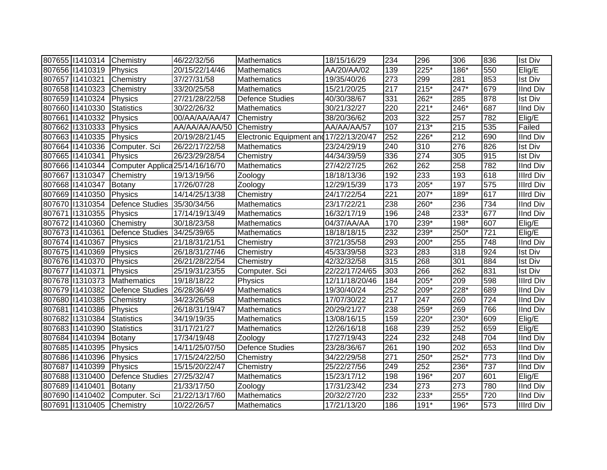| 807655 11410314 Chemistry |                                 | 46/22/32/56    | Mathematics                             | 18/15/16/29    | 234 | 296    | 306    | 836              | <b>Ist Div</b>   |
|---------------------------|---------------------------------|----------------|-----------------------------------------|----------------|-----|--------|--------|------------------|------------------|
| 807656 11410319           | Physics                         | 20/15/22/14/46 | <b>Mathematics</b>                      | AA/20/AA/02    | 139 | $225*$ | 186*   | 550              | Elig/E           |
| 807657 11410321           | Chemistry                       | 37/27/31/58    | Mathematics                             | 19/35/40/26    | 273 | 299    | 281    | 853              | <b>Ist Div</b>   |
| 807658 11410323           | Chemistry                       | 33/20/25/58    | Mathematics                             | 15/21/20/25    | 217 | $215*$ | 247*   | 679              | <b>IInd Div</b>  |
| 807659 11410324           | Physics                         | 27/21/28/22/58 | <b>Defence Studies</b>                  | 40/30/38/67    | 331 | 262*   | 285    | 878              | <b>Ist Div</b>   |
| 807660 11410330           | <b>Statistics</b>               | 30/22/26/32    | Mathematics                             | 30/21/32/27    | 220 | $221*$ | 246*   | 687              | <b>IInd Div</b>  |
| 807661 1410332            | Physics                         | 00/AA/AA/AA/47 | Chemistry                               | 38/20/36/62    | 203 | 322    | 257    | 782              | Elig/E           |
| 807662 11310333           | Physics                         | AA/AA/AA/AA/50 | Chemistry                               | AA/AA/AA/57    | 107 | $213*$ | 215    | 535              | Failed           |
| 807663 11410335           | Physics                         | 20/19/28/21/45 | Electronic Equipment and 17/22/13/20/47 |                | 252 | $226*$ | 212    | 690              | <b>IInd Div</b>  |
| 807664 11410336           | Computer. Sci                   | 26/22/17/22/58 | Mathematics                             | 23/24/29/19    | 240 | 310    | 276    | 826              | Ist Div          |
| 807665 11410341           | Physics                         | 26/23/29/28/54 | Chemistry                               | 44/34/39/59    | 336 | 274    | 305    | 915              | <b>Ist Div</b>   |
| 807666 11410344           | Computer Applica 25/14/16/16/70 |                | <b>Mathematics</b>                      | 27/42/27/25    | 262 | 262    | 258    | 782              | <b>IInd Div</b>  |
| 807667 11310347           | Chemistry                       | 19/13/19/56    | Zoology                                 | 18/18/13/36    | 192 | 233    | 193    | 618              | <b>Illrd Div</b> |
| 807668 11410347           | Botany                          | 17/26/07/28    | Zoology                                 | 12/29/15/39    | 173 | 205*   | 197    | 575              | <b>Illrd Div</b> |
| 807669 11410350           | Physics                         | 14/14/25/13/38 | Chemistry                               | 24/17/22/54    | 221 | $207*$ | $189*$ | 617              | <b>Illrd Div</b> |
| 807670 11310354           | Defence Studies 35/30/34/56     |                | Mathematics                             | 23/17/22/21    | 238 | 260*   | 236    | 734              | <b>IInd Div</b>  |
| 807671 1310355            | Physics                         | 17/14/19/13/49 | Mathematics                             | 16/32/17/19    | 196 | 248    | $233*$ | 677              | <b>IInd Div</b>  |
| 807672 11410360           | Chemistry                       | 30/18/23/58    | Mathematics                             | 04/37/AA/AA    | 170 | 239*   | 198*   | 607              | Elig/E           |
| 807673 11410361           | Defence Studies 34/25/39/65     |                | Mathematics                             | 18/18/18/15    | 232 | 239*   | 250*   | $\overline{7}21$ | Elig/E           |
| 807674 11410367           | Physics                         | 21/18/31/21/51 | Chemistry                               | 37/21/35/58    | 293 | 200*   | 255    | 748              | <b>IInd Div</b>  |
| 807675 11410369           | Physics                         | 26/18/31/27/46 | Chemistry                               | 45/33/39/58    | 323 | 283    | 318    | 924              | <b>Ist Div</b>   |
| 807676 11410370           | Physics                         | 26/21/28/22/54 | Chemistry                               | 42/32/32/58    | 315 | 268    | 301    | 884              | <b>Ist Div</b>   |
| 807677 11410371           | Physics                         | 25/19/31/23/55 | Computer. Sci                           | 22/22/17/24/65 | 303 | 266    | 262    | 831              | <b>Ist Div</b>   |
| 807678 11310373           | Mathematics                     | 19/18/18/22    | Physics                                 | 12/11/18/20/46 | 184 | 205*   | 209    | 598              | <b>Illrd Div</b> |
| 807679 11410382           | Defence Studies                 | 26/28/36/49    | Mathematics                             | 19/30/40/24    | 252 | 209*   | 228*   | 689              | <b>IInd Div</b>  |
| 807680 11410385           | Chemistry                       | 34/23/26/58    | Mathematics                             | 17/07/30/22    | 217 | 247    | 260    | 724              | <b>IInd Div</b>  |
| 807681 1410386            | Physics                         | 26/18/31/19/47 | Mathematics                             | 20/29/21/27    | 238 | 259*   | 269    | 766              | <b>IInd Div</b>  |
| 807682 11310384           | Statistics                      | 34/19/19/35    | Mathematics                             | 13/08/16/15    | 159 | 220*   | 230*   | 609              | Elig/E           |
| 807683 11410390           | Statistics                      | 31/17/21/27    | Mathematics                             | 12/26/16/18    | 168 | 239    | 252    | 659              | Elig/E           |
| 807684 11410394           | Botany                          | 17/34/19/48    | Zoology                                 | 17/27/19/43    | 224 | 232    | 248    | 704              | <b>IInd Div</b>  |
| 807685 11410395           | Physics                         | 14/11/25/07/50 | <b>Defence Studies</b>                  | 23/28/36/67    | 261 | 190    | 202    | 653              | <b>IInd Div</b>  |
| 807686 11410396           | Physics                         | 17/15/24/22/50 | Chemistry                               | 34/22/29/58    | 271 | 250*   | 252*   | 773              | <b>IInd Div</b>  |
| 807687 11410399           | Physics                         | 15/15/20/22/47 | Chemistry                               | 25/22/27/56    | 249 | 252    | 236*   | 737              | <b>IInd Div</b>  |
| 807688 11310400           | Defence Studies                 | 27/25/32/47    | Mathematics                             | 15/23/17/12    | 198 | 196*   | 207    | 601              | Elig/E           |
| 807689 11410401           | Botany                          | 21/33/17/50    | Zoology                                 | 17/31/23/42    | 234 | 273    | 273    | 780              | <b>IInd Div</b>  |
| 807690 11410402           | Computer. Sci                   | 21/22/13/17/60 | <b>Mathematics</b>                      | 20/32/27/20    | 232 | 233*   | 255*   | 720              | <b>IInd Div</b>  |
| 807691 1310405 Chemistry  |                                 | 10/22/26/57    | Mathematics                             | 17/21/13/20    | 186 | 191*   | 196*   | 573              | <b>Illrd Div</b> |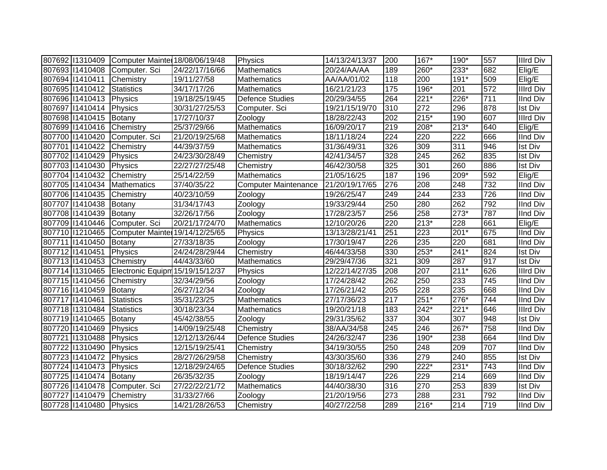|                         | 807692 11310409 Computer Mainter 18/08/06/19/48 |                | Physics                     | 14/13/24/13/37 | 200 | 167*   | 190*   | 557 | Illrd Div        |
|-------------------------|-------------------------------------------------|----------------|-----------------------------|----------------|-----|--------|--------|-----|------------------|
|                         | 807693 11410408 Computer. Sci                   | 24/22/17/16/66 | <b>Mathematics</b>          | 20/24/AA/AA    | 189 | 260*   | $233*$ | 682 | Elig/E           |
| 807694 11410411         | Chemistry                                       | 19/11/27/58    | Mathematics                 | AA/AA/01/02    | 118 | 200    | $191*$ | 509 | Elig/E           |
| 807695 11410412         | Statistics                                      | 34/17/17/26    | Mathematics                 | 16/21/21/23    | 175 | 196*   | 201    | 572 | Illrd Div        |
| 807696 11410413         | Physics                                         | 19/18/25/19/45 | <b>Defence Studies</b>      | 20/29/34/55    | 264 | $221*$ | 226*   | 711 | <b>IInd Div</b>  |
| 807697 11410414         | Physics                                         | 30/31/27/25/53 | Computer. Sci               | 19/21/15/19/70 | 310 | 272    | 296    | 878 | <b>Ist Div</b>   |
| 807698 11410415         | Botany                                          | 17/27/10/37    | Zoology                     | 18/28/22/43    | 202 | $215*$ | 190    | 607 | <b>Illrd Div</b> |
| 807699 11410416         | Chemistry                                       | 25/37/29/66    | Mathematics                 | 16/09/20/17    | 219 | 208*   | $213*$ | 640 | Elig/E           |
| 807700 11410420         | Computer. Sci                                   | 21/20/19/25/68 | Mathematics                 | 18/11/18/24    | 224 | 220    | 222    | 666 | <b>IInd Div</b>  |
| 807701 1410422          | Chemistry                                       | 44/39/37/59    | Mathematics                 | 31/36/49/31    | 326 | 309    | 311    | 946 | <b>Ist Div</b>   |
| 807702 11410429         | Physics                                         | 24/23/30/28/49 | Chemistry                   | 42/41/34/57    | 328 | 245    | 262    | 835 | <b>Ist Div</b>   |
| 807703 11410430         | Physics                                         | 22/27/27/25/48 | Chemistry                   | 46/42/30/58    | 325 | 301    | 260    | 886 | <b>Ist Div</b>   |
| 807704 11410432         | Chemistry                                       | 25/14/22/59    | <b>Mathematics</b>          | 21/05/16/25    | 187 | 196    | 209*   | 592 | Elig/E           |
| 807705 11410434         | Mathematics                                     | 37/40/35/22    | <b>Computer Maintenance</b> | 21/20/19/17/65 | 276 | 208    | 248    | 732 | IInd Div         |
| 807706 11410435         | Chemistry                                       | 40/23/10/59    | Zoology                     | 19/26/25/47    | 249 | 244    | 233    | 726 | <b>IInd Div</b>  |
| 807707 11410438         | Botany                                          | 31/34/17/43    | Zoology                     | 19/33/29/44    | 250 | 280    | 262    | 792 | <b>IInd Div</b>  |
| 807708 11410439         | Botany                                          | 32/26/17/56    | Zoology                     | 17/28/23/57    | 256 | 258    | $273*$ | 787 | <b>IInd Div</b>  |
| 807709 11410446         | Computer. Sci                                   | 20/21/17/24/70 | <b>Mathematics</b>          | 12/10/20/26    | 220 | $213*$ | 228    | 661 | Elig/E           |
| 807710 1210465          | Computer Mainter 19/14/12/25/65                 |                | Physics                     | 13/13/28/21/41 | 251 | 223    | 201*   | 675 | <b>IInd Div</b>  |
| 807711 1410450          | Botany                                          | 27/33/18/35    | Zoology                     | 17/30/19/47    | 226 | 235    | 220    | 681 | <b>IInd Div</b>  |
| 807712 11410451         | Physics                                         | 24/24/28/29/44 | Chemistry                   | 46/44/33/58    | 330 | 253*   | $241*$ | 824 | <b>Ist Div</b>   |
| 807713 11410453         | Chemistry                                       | 44/43/33/60    | Mathematics                 | 29/29/47/36    | 321 | 309    | 287    | 917 | <b>Ist Div</b>   |
| 807714 1310465          | Electronic Equipm 15/19/15/12/37                |                | Physics                     | 12/22/14/27/35 | 208 | 207    | $211*$ | 626 | <b>Illrd Div</b> |
| 807715 11410456         | Chemistry                                       | 32/34/29/56    | Zoology                     | 17/24/28/42    | 262 | 250    | 233    | 745 | <b>IInd Div</b>  |
| 807716 11410459         | Botany                                          | 26/27/12/34    | Zoology                     | 17/26/21/42    | 205 | 228    | 235    | 668 | <b>IInd Div</b>  |
| 807717 1410461          | <b>Statistics</b>                               | 35/31/23/25    | <b>Mathematics</b>          | 27/17/36/23    | 217 | $251*$ | 276*   | 744 | <b>IInd Div</b>  |
| 807718 1310484          | Statistics                                      | 30/18/23/34    | <b>Mathematics</b>          | 19/20/21/18    | 183 | $242*$ | $221*$ | 646 | <b>Illrd Div</b> |
| 807719 11410465         | Botany                                          | 45/42/38/55    | Zoology                     | 29/31/35/62    | 337 | 304    | 307    | 948 | <b>Ist Div</b>   |
| 807720 11410469         | Physics                                         | 14/09/19/25/48 | Chemistry                   | 38/AA/34/58    | 245 | 246    | 267*   | 758 | <b>IInd Div</b>  |
| 807721 1310488          | Physics                                         | 12/12/13/26/44 | <b>Defence Studies</b>      | 24/26/32/47    | 236 | 190*   | 238    | 664 | <b>IInd Div</b>  |
| 807722 11310490         | Physics                                         | 12/15/19/25/41 | Chemistry                   | 34/19/30/55    | 250 | 248    | 209    | 707 | <b>IInd Div</b>  |
| 807723 11410472         | Physics                                         | 28/27/26/29/58 | Chemistry                   | 43/30/35/60    | 336 | 279    | 240    | 855 | <b>Ist Div</b>   |
| 807724 11410473         | Physics                                         | 12/18/29/24/65 | <b>Defence Studies</b>      | 30/18/32/62    | 290 | 222*   | $231*$ | 743 | <b>IInd Div</b>  |
| 807725 11410474         | Botany                                          | 26/35/32/35    | Zoology                     | 18/19/14/47    | 226 | 229    | 214    | 669 | <b>IInd Div</b>  |
| 807726 11410478         | Computer. Sci                                   | 27/22/22/21/72 | <b>Mathematics</b>          | 44/40/38/30    | 316 | 270    | 253    | 839 | <b>Ist Div</b>   |
| 807727 11410479         | Chemistry                                       | 31/33/27/66    | Zoology                     | 21/20/19/56    | 273 | 288    | 231    | 792 | <b>IInd Div</b>  |
| 807728 11410480 Physics |                                                 | 14/21/28/26/53 | Chemistry                   | 40/27/22/58    | 289 | $216*$ | 214    | 719 | IInd Div         |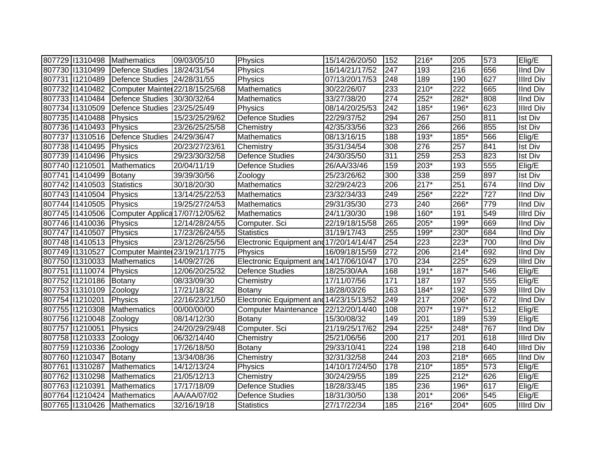| 807729 1310498  | Mathematics                     | 09/03/05/10    | Physics                                 | 15/14/26/20/50 | 152              | 216*   | 205    | 573 | Elig/E           |
|-----------------|---------------------------------|----------------|-----------------------------------------|----------------|------------------|--------|--------|-----|------------------|
| 807730 11310499 | Defence Studies                 | 18/24/31/54    | Physics                                 | 16/14/21/17/52 | 247              | 193    | 216    | 656 | <b>IInd Div</b>  |
| 807731 1210489  | Defence Studies 24/28/31/55     |                | Physics                                 | 07/13/20/17/53 | 248              | 189    | 190    | 627 | <b>Illrd Div</b> |
| 807732 11410482 | Computer Mainter 22/18/15/25/68 |                | Mathematics                             | 30/22/26/07    | 233              | $210*$ | 222    | 665 | <b>IInd Div</b>  |
| 807733 11410484 | Defence Studies 30/30/32/64     |                | Mathematics                             | 33/27/38/20    | $\overline{274}$ | 252*   | 282*   | 808 | <b>IInd Div</b>  |
| 807734 11310509 | Defence Studies 23/25/25/49     |                | Physics                                 | 08/14/20/25/53 | 242              | 185*   | 196*   | 623 | <b>Illrd Div</b> |
| 807735 11410488 | Physics                         | 15/23/25/29/62 | <b>Defence Studies</b>                  | 22/29/37/52    | 294              | 267    | 250    | 811 | <b>Ist Div</b>   |
| 807736 11410493 | Physics                         | 23/26/25/25/58 | Chemistry                               | 42/35/33/56    | 323              | 266    | 266    | 855 | <b>Ist Div</b>   |
| 807737 1310516  | Defence Studies 24/29/36/47     |                | Mathematics                             | 08/13/16/15    | 188              | $193*$ | $185*$ | 566 | Elig/E           |
| 807738 11410495 | Physics                         | 20/23/27/23/61 | Chemistry                               | 35/31/34/54    | 308              | 276    | 257    | 841 | <b>Ist Div</b>   |
| 807739 11410496 | Physics                         | 29/23/30/32/58 | <b>Defence Studies</b>                  | 24/30/35/50    | 311              | 259    | 253    | 823 | <b>Ist Div</b>   |
| 807740 11210501 | Mathematics                     | 20/04/11/19    | <b>Defence Studies</b>                  | 26/AA/33/46    | 159              | $203*$ | 193    | 555 | Elig/E           |
| 807741 1410499  | Botany                          | 39/39/30/56    | Zoology                                 | 25/23/26/62    | 300              | 338    | 259    | 897 | <b>Ist Div</b>   |
| 807742 11410503 | <b>Statistics</b>               | 30/18/20/30    | Mathematics                             | 32/29/24/23    | 206              | $217*$ | 251    | 674 | <b>IInd Div</b>  |
| 807743 11410504 | Physics                         | 13/14/25/22/53 | <b>Mathematics</b>                      | 23/32/34/33    | 249              | 256*   | $222*$ | 727 | <b>IInd Div</b>  |
| 807744 11410505 | Physics                         | 19/25/27/24/53 | Mathematics                             | 29/31/35/30    | 273              | 240    | 266*   | 779 | <b>IInd Div</b>  |
| 807745 11410506 | Computer Applica 17/07/12/05/62 |                | Mathematics                             | 24/11/30/30    | 198              | 160*   | 191    | 549 | <b>Illrd Div</b> |
| 807746 11410036 | Physics                         | 12/14/28/24/55 | Computer. Sci                           | 22/19/18/15/58 | 265              | 205*   | 199*   | 669 | <b>IInd Div</b>  |
| 807747 11410507 | Physics                         | 17/23/26/24/55 | <b>Statistics</b>                       | 31/19/17/43    | 255              | 199*   | 230*   | 684 | <b>IInd Div</b>  |
| 807748 11410513 | Physics                         | 23/12/26/25/56 | Electronic Equipment and 17/20/14/14/47 |                | 254              | 223    | 223*   | 700 | <b>IInd Div</b>  |
| 807749 1310527  | Computer Mainter 23/19/21/17/75 |                | Physics                                 | 16/09/18/15/59 | 272              | 206    | $214*$ | 692 | <b>IInd Div</b>  |
| 807750 11310033 | Mathematics                     | 14/09/27/26    | Electronic Equipment and 14/17/06/10/47 |                | 170              | 234    | $225*$ | 629 | <b>Illrd Div</b> |
| 807751 11110074 | Physics                         | 12/06/20/25/32 | <b>Defence Studies</b>                  | 18/25/30/AA    | 168              | $191*$ | $187*$ | 546 | Elig/E           |
| 807752 11210186 | Botany                          | 08/33/09/30    | Chemistry                               | 17/11/07/56    | 171              | 187    | 197    | 555 | Elig/E           |
| 807753 1310109  | Zoology                         | 17/21/18/32    | Botany                                  | 18/28/03/26    | 163              | 184*   | 192    | 539 | <b>Illrd Div</b> |
| 807754 11210201 | Physics                         | 22/16/23/21/50 | Electronic Equipment and 14/23/15/13/52 |                | 249              | 217    | 206*   | 672 | <b>IInd Div</b>  |
| 807755 11210308 | Mathematics                     | 00/00/00/00    | <b>Computer Maintenance</b>             | 22/12/20/14/40 | 108              | 207*   | $197*$ | 512 | Elig/E           |
| 807756 11210048 | Zoology                         | 08/14/12/30    | <b>Botany</b>                           | 15/30/08/32    | 149              | 201    | 189    | 539 | Elig/E           |
| 807757 11210051 | Physics                         | 24/20/29/29/48 | Computer. Sci                           | 21/19/25/17/62 | 294              | 225*   | 248*   | 767 | <b>IInd Div</b>  |
| 807758 11210333 | Zoology                         | 06/32/14/40    | Chemistry                               | 25/21/06/56    | 200              | 217    | 201    | 618 | <b>Illrd Div</b> |
| 807759 11210336 | Zoology                         | 17/26/18/50    | Botany                                  | 29/33/10/41    | 224              | 198    | 218    | 640 | <b>Illrd Div</b> |
| 807760 11210347 | Botany                          | 13/34/08/36    | Chemistry                               | 32/31/32/58    | 244              | 203    | 218*   | 665 | <b>IInd Div</b>  |
| 807761 1310287  | Mathematics                     | 14/12/13/24    | Physics                                 | 14/10/17/24/50 | 178              | $210*$ | 185*   | 573 | Elig/E           |
| 807762 11310298 | Mathematics                     | 21/05/12/13    | Chemistry                               | 30/24/29/55    | 189              | 225    | $212*$ | 626 | Elig/E           |
| 807763 11210391 | Mathematics                     | 17/17/18/09    | <b>Defence Studies</b>                  | 18/28/33/45    | 185              | 236    | 196*   | 617 | Elig/E           |
| 807764 11210424 | Mathematics                     | AA/AA/07/02    | <b>Defence Studies</b>                  | 18/31/30/50    | 138              | 201*   | 206*   | 545 | Elig/E           |
|                 | 807765 11310426 Mathematics     | 32/16/19/18    | <b>Statistics</b>                       | 27/17/22/34    | 185              | 216*   | $204*$ | 605 | Illrd Div        |